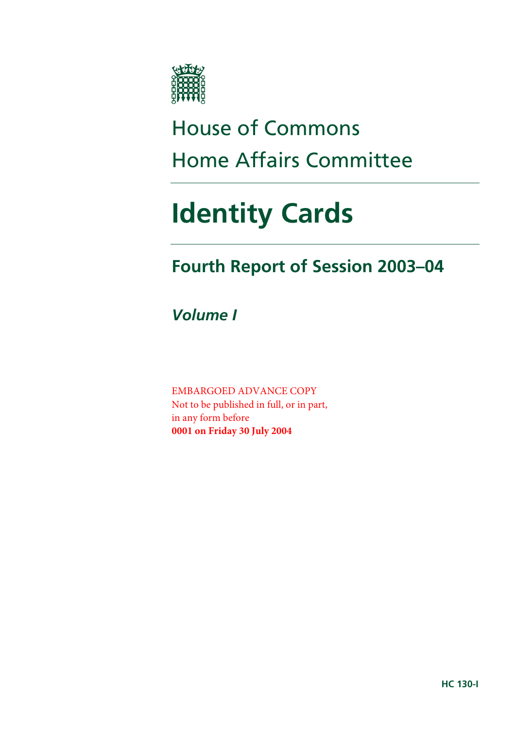

# House of Commons Home Affairs Committee

# **Identity Cards**

## **Fourth Report of Session 2003–04**

*Volume I* 

EMBARGOED ADVANCE COPY Not to be published in full, or in part, in any form before **0001 on Friday 30 July 2004**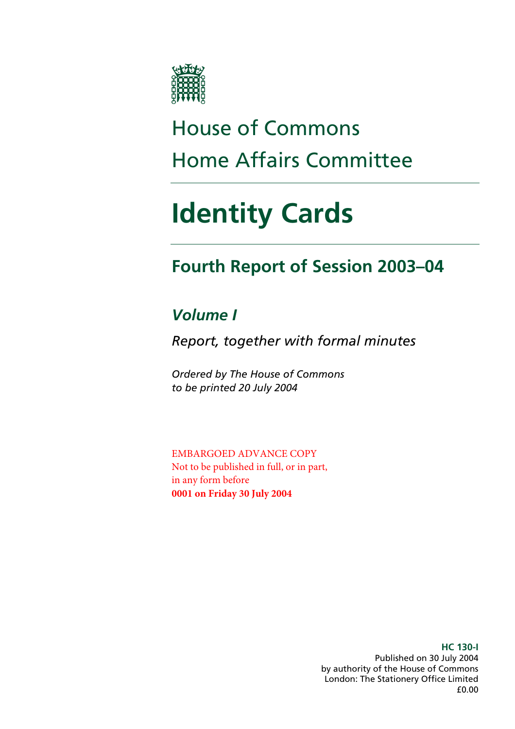

# House of Commons Home Affairs Committee

# **Identity Cards**

## **Fourth Report of Session 2003–04**

### *Volume I*

*Report, together with formal minutes* 

*Ordered by The House of Commons to be printed 20 July 2004* 

EMBARGOED ADVANCE COPY Not to be published in full, or in part, in any form before **0001 on Friday 30 July 2004** 

> **HC 130-I**  Published on 30 July 2004 by authority of the House of Commons London: The Stationery Office Limited £0.00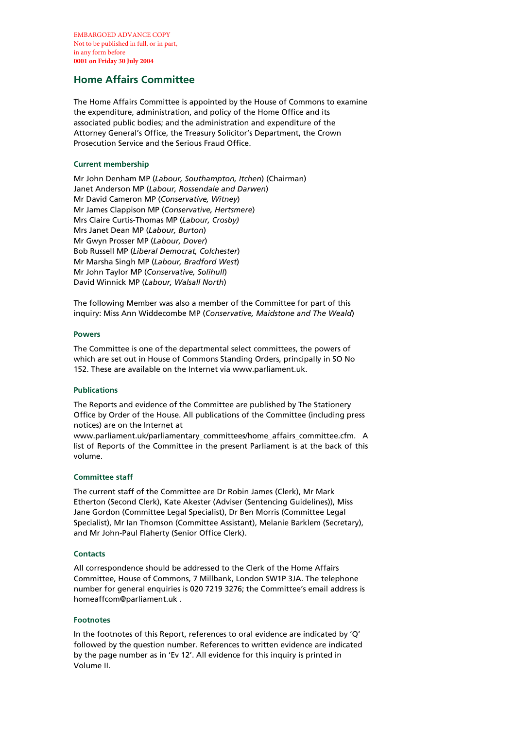EMBARGOED ADVANCE COPY Not to be published in full, or in part, in any form before **0001 on Friday 30 July 2004**

#### **Home Affairs Committee**

The Home Affairs Committee is appointed by the House of Commons to examine the expenditure, administration, and policy of the Home Office and its associated public bodies; and the administration and expenditure of the Attorney General's Office, the Treasury Solicitor's Department, the Crown Prosecution Service and the Serious Fraud Office.

#### **Current membership**

Mr John Denham MP (*Labour, Southampton, Itchen*) (Chairman) Janet Anderson MP (*Labour, Rossendale and Darwen*) Mr David Cameron MP (*Conservative, Witney*) Mr James Clappison MP (*Conservative, Hertsmere*) Mrs Claire Curtis-Thomas MP (*Labour, Crosby)* Mrs Janet Dean MP (*Labour, Burton*) Mr Gwyn Prosser MP (*Labour, Dover*) Bob Russell MP (*Liberal Democrat, Colchester*) Mr Marsha Singh MP (*Labour, Bradford West*) Mr John Taylor MP (*Conservative, Solihull*) David Winnick MP (*Labour, Walsall North*)

The following Member was also a member of the Committee for part of this inquiry: Miss Ann Widdecombe MP (*Conservative, Maidstone and The Weald*)

#### **Powers**

The Committee is one of the departmental select committees, the powers of which are set out in House of Commons Standing Orders, principally in SO No 152. These are available on the Internet via www.parliament.uk.

#### **Publications**

The Reports and evidence of the Committee are published by The Stationery Office by Order of the House. All publications of the Committee (including press notices) are on the Internet at

www.parliament.uk/parliamentary\_committees/home\_affairs\_committee.cfm. A list of Reports of the Committee in the present Parliament is at the back of this volume.

#### **Committee staff**

The current staff of the Committee are Dr Robin James (Clerk), Mr Mark Etherton (Second Clerk), Kate Akester (Adviser (Sentencing Guidelines)), Miss Jane Gordon (Committee Legal Specialist), Dr Ben Morris (Committee Legal Specialist), Mr Ian Thomson (Committee Assistant), Melanie Barklem (Secretary), and Mr John-Paul Flaherty (Senior Office Clerk).

#### **Contacts**

All correspondence should be addressed to the Clerk of the Home Affairs Committee, House of Commons, 7 Millbank, London SW1P 3JA. The telephone number for general enquiries is 020 7219 3276; the Committee's email address is homeaffcom@parliament.uk .

#### **Footnotes**

In the footnotes of this Report, references to oral evidence are indicated by 'Q' followed by the question number. References to written evidence are indicated by the page number as in 'Ev 12'. All evidence for this inquiry is printed in Volume II.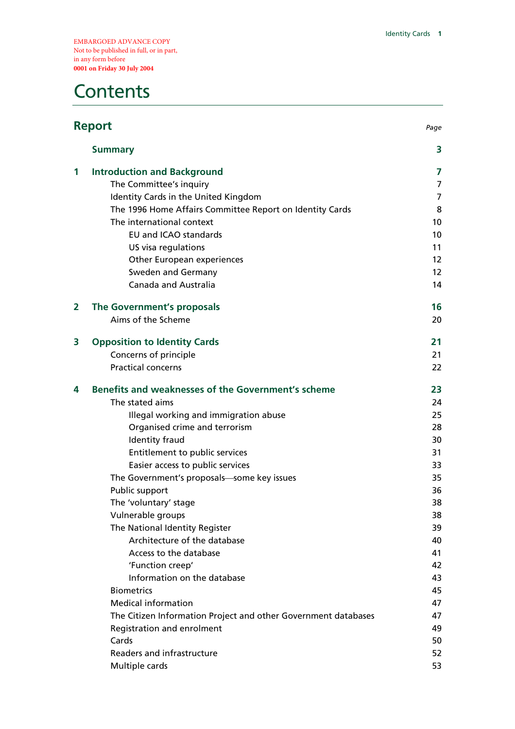EMBARGOED ADVANCE COPY Not to be published in full, or in part, in any form before **0001 on Friday 30 July 2004** 

### **Contents**

| <b>Report</b>  |                                                                | Page              |
|----------------|----------------------------------------------------------------|-------------------|
|                | <b>Summary</b>                                                 | 3                 |
| 1              | <b>Introduction and Background</b>                             | 7                 |
|                | The Committee's inquiry                                        | 7                 |
|                | Identity Cards in the United Kingdom                           | 7                 |
|                | The 1996 Home Affairs Committee Report on Identity Cards       | 8                 |
|                | The international context                                      | 10 <sup>1</sup>   |
|                | <b>EU and ICAO standards</b>                                   | 10                |
|                | US visa regulations                                            | 11                |
|                | Other European experiences                                     | $12 \overline{ }$ |
|                | Sweden and Germany                                             | $12 \overline{ }$ |
|                | Canada and Australia                                           | 14                |
| $\overline{2}$ | The Government's proposals                                     | 16                |
|                | Aims of the Scheme                                             | 20                |
| 3              | <b>Opposition to Identity Cards</b>                            | 21                |
|                | Concerns of principle                                          | 21                |
|                | <b>Practical concerns</b>                                      | 22                |
| 4              | Benefits and weaknesses of the Government's scheme             | 23                |
|                | The stated aims                                                | 24                |
|                | Illegal working and immigration abuse                          | 25                |
|                | Organised crime and terrorism                                  | 28                |
|                | Identity fraud                                                 | 30                |
|                | Entitlement to public services                                 | 31                |
|                | Easier access to public services                               | 33                |
|                | The Government's proposals-some key issues                     | 35                |
|                | Public support                                                 | 36                |
|                | The 'voluntary' stage                                          | 38                |
|                | Vulnerable groups                                              | 38                |
|                | The National Identity Register                                 | 39                |
|                | Architecture of the database                                   | 40                |
|                | Access to the database                                         | 41                |
|                | 'Function creep'                                               | 42                |
|                | Information on the database                                    | 43                |
|                | <b>Biometrics</b>                                              | 45                |
|                | <b>Medical information</b>                                     | 47                |
|                | The Citizen Information Project and other Government databases | 47                |
|                | Registration and enrolment                                     | 49                |
|                | Cards                                                          | 50                |
|                | Readers and infrastructure                                     | 52                |
|                | Multiple cards                                                 | 53                |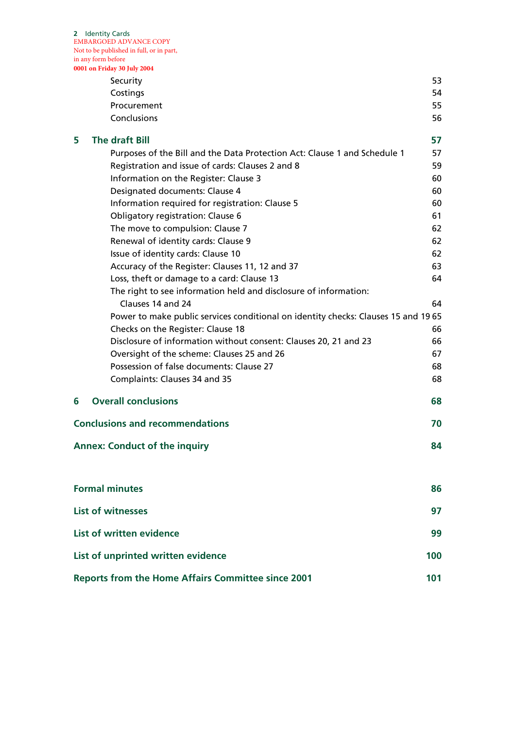**2** Identity Cards EMBARGOED ADVANCE COPY Not to be published in full, or in part, in any form before

|   | 0001 on Friday 30 July 2004                                                       |     |
|---|-----------------------------------------------------------------------------------|-----|
|   | Security                                                                          | 53  |
|   | Costings                                                                          | 54  |
|   | Procurement                                                                       | 55  |
|   | Conclusions                                                                       | 56  |
| 5 | <b>The draft Bill</b>                                                             | 57  |
|   | Purposes of the Bill and the Data Protection Act: Clause 1 and Schedule 1         | 57  |
|   | Registration and issue of cards: Clauses 2 and 8                                  | 59  |
|   | Information on the Register: Clause 3                                             | 60  |
|   | Designated documents: Clause 4                                                    | 60  |
|   | Information required for registration: Clause 5                                   | 60  |
|   | Obligatory registration: Clause 6                                                 | 61  |
|   | The move to compulsion: Clause 7                                                  | 62  |
|   | Renewal of identity cards: Clause 9                                               | 62  |
|   | Issue of identity cards: Clause 10                                                | 62  |
|   | Accuracy of the Register: Clauses 11, 12 and 37                                   | 63  |
|   | Loss, theft or damage to a card: Clause 13                                        | 64  |
|   | The right to see information held and disclosure of information:                  |     |
|   | Clauses 14 and 24                                                                 | 64  |
|   | Power to make public services conditional on identity checks: Clauses 15 and 1965 |     |
|   | Checks on the Register: Clause 18                                                 | 66  |
|   | Disclosure of information without consent: Clauses 20, 21 and 23                  | 66  |
|   | Oversight of the scheme: Clauses 25 and 26                                        | 67  |
|   | Possession of false documents: Clause 27                                          | 68  |
|   | Complaints: Clauses 34 and 35                                                     | 68  |
| 6 | <b>Overall conclusions</b>                                                        | 68  |
|   | <b>Conclusions and recommendations</b>                                            | 70  |
|   | <b>Annex: Conduct of the inquiry</b>                                              | 84  |
|   | <b>Formal minutes</b>                                                             | 86  |
|   | <b>List of witnesses</b>                                                          | 97  |
|   | List of written evidence                                                          | 99  |
|   |                                                                                   |     |
|   | List of unprinted written evidence                                                | 100 |

| <b>Reports from the Home Affairs Committee since 2001</b> |  |
|-----------------------------------------------------------|--|
|                                                           |  |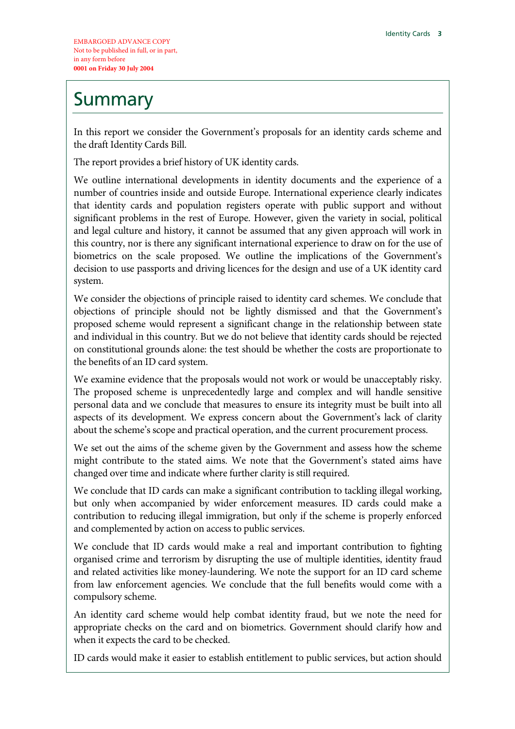## **Summary**

In this report we consider the Government's proposals for an identity cards scheme and the draft Identity Cards Bill.

The report provides a brief history of UK identity cards.

We outline international developments in identity documents and the experience of a number of countries inside and outside Europe. International experience clearly indicates that identity cards and population registers operate with public support and without significant problems in the rest of Europe. However, given the variety in social, political and legal culture and history, it cannot be assumed that any given approach will work in this country, nor is there any significant international experience to draw on for the use of biometrics on the scale proposed. We outline the implications of the Government's decision to use passports and driving licences for the design and use of a UK identity card system.

We consider the objections of principle raised to identity card schemes. We conclude that objections of principle should not be lightly dismissed and that the Government's proposed scheme would represent a significant change in the relationship between state and individual in this country. But we do not believe that identity cards should be rejected on constitutional grounds alone: the test should be whether the costs are proportionate to the benefits of an ID card system.

We examine evidence that the proposals would not work or would be unacceptably risky. The proposed scheme is unprecedentedly large and complex and will handle sensitive personal data and we conclude that measures to ensure its integrity must be built into all aspects of its development. We express concern about the Government's lack of clarity about the scheme's scope and practical operation, and the current procurement process.

We set out the aims of the scheme given by the Government and assess how the scheme might contribute to the stated aims. We note that the Government's stated aims have changed over time and indicate where further clarity is still required.

We conclude that ID cards can make a significant contribution to tackling illegal working, but only when accompanied by wider enforcement measures. ID cards could make a contribution to reducing illegal immigration, but only if the scheme is properly enforced and complemented by action on access to public services.

We conclude that ID cards would make a real and important contribution to fighting organised crime and terrorism by disrupting the use of multiple identities, identity fraud and related activities like money-laundering. We note the support for an ID card scheme from law enforcement agencies. We conclude that the full benefits would come with a compulsory scheme.

An identity card scheme would help combat identity fraud, but we note the need for appropriate checks on the card and on biometrics. Government should clarify how and when it expects the card to be checked.

ID cards would make it easier to establish entitlement to public services, but action should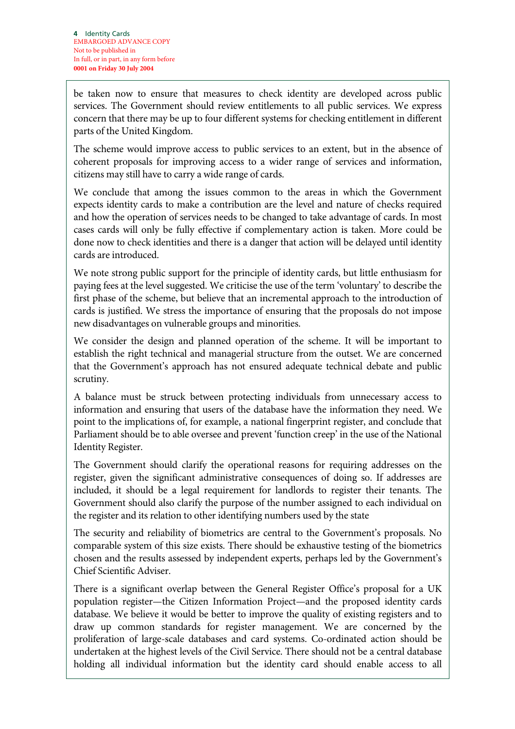be taken now to ensure that measures to check identity are developed across public services. The Government should review entitlements to all public services. We express concern that there may be up to four different systems for checking entitlement in different parts of the United Kingdom.

The scheme would improve access to public services to an extent, but in the absence of coherent proposals for improving access to a wider range of services and information, citizens may still have to carry a wide range of cards.

We conclude that among the issues common to the areas in which the Government expects identity cards to make a contribution are the level and nature of checks required and how the operation of services needs to be changed to take advantage of cards. In most cases cards will only be fully effective if complementary action is taken. More could be done now to check identities and there is a danger that action will be delayed until identity cards are introduced.

We note strong public support for the principle of identity cards, but little enthusiasm for paying fees at the level suggested. We criticise the use of the term 'voluntary' to describe the first phase of the scheme, but believe that an incremental approach to the introduction of cards is justified. We stress the importance of ensuring that the proposals do not impose new disadvantages on vulnerable groups and minorities.

We consider the design and planned operation of the scheme. It will be important to establish the right technical and managerial structure from the outset. We are concerned that the Government's approach has not ensured adequate technical debate and public scrutiny.

A balance must be struck between protecting individuals from unnecessary access to information and ensuring that users of the database have the information they need. We point to the implications of, for example, a national fingerprint register, and conclude that Parliament should be to able oversee and prevent 'function creep' in the use of the National Identity Register.

The Government should clarify the operational reasons for requiring addresses on the register, given the significant administrative consequences of doing so. If addresses are included, it should be a legal requirement for landlords to register their tenants. The Government should also clarify the purpose of the number assigned to each individual on the register and its relation to other identifying numbers used by the state

The security and reliability of biometrics are central to the Government's proposals. No comparable system of this size exists. There should be exhaustive testing of the biometrics chosen and the results assessed by independent experts, perhaps led by the Government's Chief Scientific Adviser.

There is a significant overlap between the General Register Office's proposal for a UK population register—the Citizen Information Project—and the proposed identity cards database. We believe it would be better to improve the quality of existing registers and to draw up common standards for register management. We are concerned by the proliferation of large-scale databases and card systems. Co-ordinated action should be undertaken at the highest levels of the Civil Service. There should not be a central database holding all individual information but the identity card should enable access to all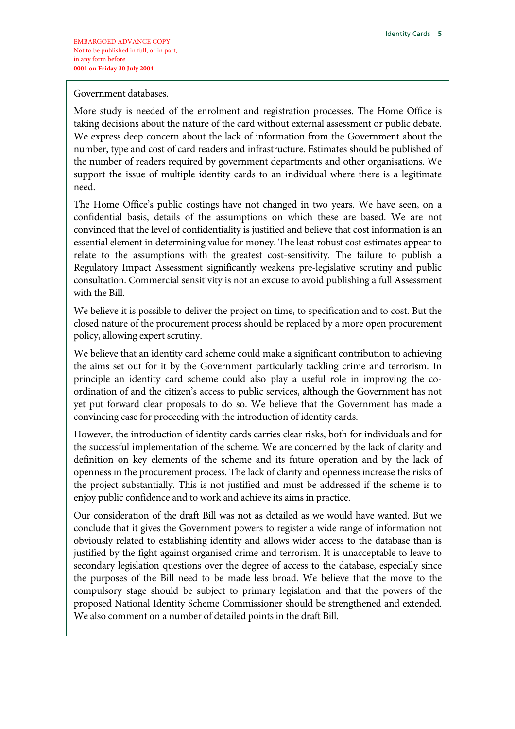Government databases.

More study is needed of the enrolment and registration processes. The Home Office is taking decisions about the nature of the card without external assessment or public debate. We express deep concern about the lack of information from the Government about the number, type and cost of card readers and infrastructure. Estimates should be published of the number of readers required by government departments and other organisations. We support the issue of multiple identity cards to an individual where there is a legitimate need.

The Home Office's public costings have not changed in two years. We have seen, on a confidential basis, details of the assumptions on which these are based. We are not convinced that the level of confidentiality is justified and believe that cost information is an essential element in determining value for money. The least robust cost estimates appear to relate to the assumptions with the greatest cost-sensitivity. The failure to publish a Regulatory Impact Assessment significantly weakens pre-legislative scrutiny and public consultation. Commercial sensitivity is not an excuse to avoid publishing a full Assessment with the Bill.

We believe it is possible to deliver the project on time, to specification and to cost. But the closed nature of the procurement process should be replaced by a more open procurement policy, allowing expert scrutiny.

We believe that an identity card scheme could make a significant contribution to achieving the aims set out for it by the Government particularly tackling crime and terrorism. In principle an identity card scheme could also play a useful role in improving the coordination of and the citizen's access to public services, although the Government has not yet put forward clear proposals to do so. We believe that the Government has made a convincing case for proceeding with the introduction of identity cards.

However, the introduction of identity cards carries clear risks, both for individuals and for the successful implementation of the scheme. We are concerned by the lack of clarity and definition on key elements of the scheme and its future operation and by the lack of openness in the procurement process. The lack of clarity and openness increase the risks of the project substantially. This is not justified and must be addressed if the scheme is to enjoy public confidence and to work and achieve its aims in practice.

Our consideration of the draft Bill was not as detailed as we would have wanted. But we conclude that it gives the Government powers to register a wide range of information not obviously related to establishing identity and allows wider access to the database than is justified by the fight against organised crime and terrorism. It is unacceptable to leave to secondary legislation questions over the degree of access to the database, especially since the purposes of the Bill need to be made less broad. We believe that the move to the compulsory stage should be subject to primary legislation and that the powers of the proposed National Identity Scheme Commissioner should be strengthened and extended. We also comment on a number of detailed points in the draft Bill.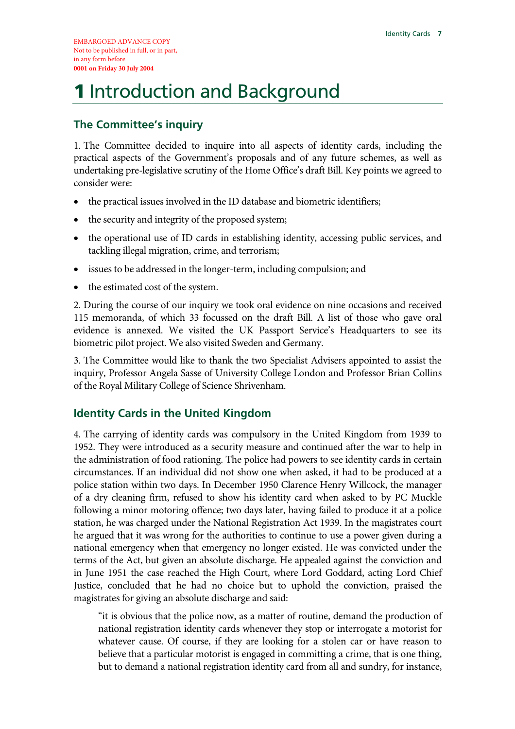# 1 Introduction and Background

#### **The Committee's inquiry**

1. The Committee decided to inquire into all aspects of identity cards, including the practical aspects of the Government's proposals and of any future schemes, as well as undertaking pre-legislative scrutiny of the Home Office's draft Bill. Key points we agreed to consider were:

- the practical issues involved in the ID database and biometric identifiers;
- the security and integrity of the proposed system;
- the operational use of ID cards in establishing identity, accessing public services, and tackling illegal migration, crime, and terrorism;
- issues to be addressed in the longer-term, including compulsion; and
- the estimated cost of the system.

2. During the course of our inquiry we took oral evidence on nine occasions and received 115 memoranda, of which 33 focussed on the draft Bill. A list of those who gave oral evidence is annexed. We visited the UK Passport Service's Headquarters to see its biometric pilot project. We also visited Sweden and Germany.

3. The Committee would like to thank the two Specialist Advisers appointed to assist the inquiry, Professor Angela Sasse of University College London and Professor Brian Collins of the Royal Military College of Science Shrivenham.

#### **Identity Cards in the United Kingdom**

4. The carrying of identity cards was compulsory in the United Kingdom from 1939 to 1952. They were introduced as a security measure and continued after the war to help in the administration of food rationing. The police had powers to see identity cards in certain circumstances. If an individual did not show one when asked, it had to be produced at a police station within two days. In December 1950 Clarence Henry Willcock, the manager of a dry cleaning firm, refused to show his identity card when asked to by PC Muckle following a minor motoring offence; two days later, having failed to produce it at a police station, he was charged under the National Registration Act 1939. In the magistrates court he argued that it was wrong for the authorities to continue to use a power given during a national emergency when that emergency no longer existed. He was convicted under the terms of the Act, but given an absolute discharge. He appealed against the conviction and in June 1951 the case reached the High Court, where Lord Goddard, acting Lord Chief Justice, concluded that he had no choice but to uphold the conviction, praised the magistrates for giving an absolute discharge and said:

"it is obvious that the police now, as a matter of routine, demand the production of national registration identity cards whenever they stop or interrogate a motorist for whatever cause. Of course, if they are looking for a stolen car or have reason to believe that a particular motorist is engaged in committing a crime, that is one thing, but to demand a national registration identity card from all and sundry, for instance,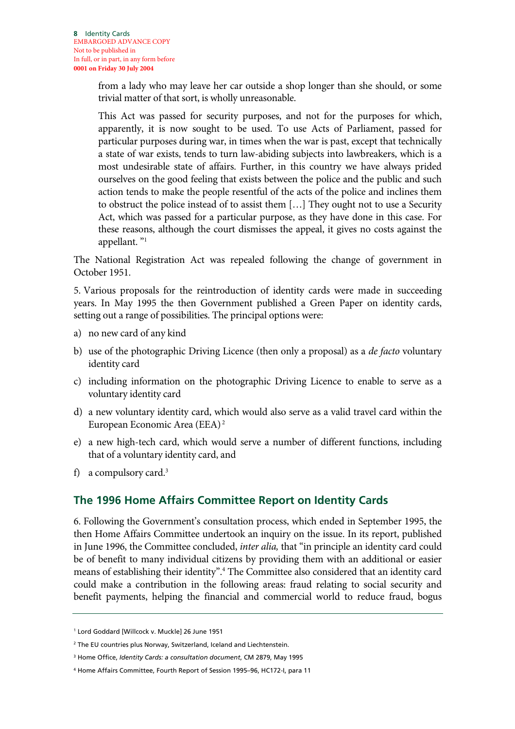from a lady who may leave her car outside a shop longer than she should, or some trivial matter of that sort, is wholly unreasonable.

This Act was passed for security purposes, and not for the purposes for which, apparently, it is now sought to be used. To use Acts of Parliament, passed for particular purposes during war, in times when the war is past, except that technically a state of war exists, tends to turn law-abiding subjects into lawbreakers, which is a most undesirable state of affairs. Further, in this country we have always prided ourselves on the good feeling that exists between the police and the public and such action tends to make the people resentful of the acts of the police and inclines them to obstruct the police instead of to assist them […] They ought not to use a Security Act, which was passed for a particular purpose, as they have done in this case. For these reasons, although the court dismisses the appeal, it gives no costs against the appellant. "1

The National Registration Act was repealed following the change of government in October 1951.

5. Various proposals for the reintroduction of identity cards were made in succeeding years. In May 1995 the then Government published a Green Paper on identity cards, setting out a range of possibilities. The principal options were:

- a) no new card of any kind
- b) use of the photographic Driving Licence (then only a proposal) as a *de facto* voluntary identity card
- c) including information on the photographic Driving Licence to enable to serve as a voluntary identity card
- d) a new voluntary identity card, which would also serve as a valid travel card within the European Economic Area (EEA) 2
- e) a new high-tech card, which would serve a number of different functions, including that of a voluntary identity card, and
- f) a compulsory card. $3$

#### **The 1996 Home Affairs Committee Report on Identity Cards**

6. Following the Government's consultation process, which ended in September 1995, the then Home Affairs Committee undertook an inquiry on the issue. In its report, published in June 1996, the Committee concluded, *inter alia,* that "in principle an identity card could be of benefit to many individual citizens by providing them with an additional or easier means of establishing their identity".4 The Committee also considered that an identity card could make a contribution in the following areas: fraud relating to social security and benefit payments, helping the financial and commercial world to reduce fraud, bogus

<sup>1</sup> Lord Goddard [Willcock v. Muckle] 26 June 1951

<sup>2</sup> The EU countries plus Norway, Switzerland, Iceland and Liechtenstein.

<sup>3</sup> Home Office, *Identity Cards: a consultation document*, CM 2879, May 1995

<sup>4</sup> Home Affairs Committee, Fourth Report of Session 1995–96, HC172-I, para 11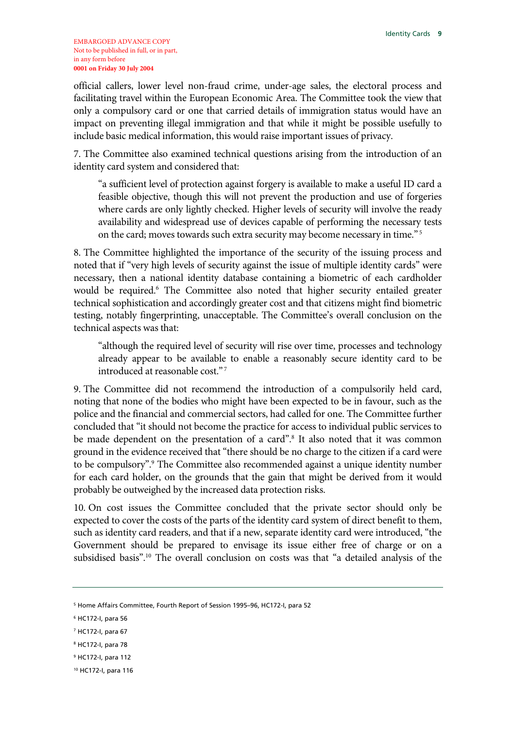official callers, lower level non-fraud crime, under-age sales, the electoral process and facilitating travel within the European Economic Area. The Committee took the view that only a compulsory card or one that carried details of immigration status would have an impact on preventing illegal immigration and that while it might be possible usefully to include basic medical information, this would raise important issues of privacy.

7. The Committee also examined technical questions arising from the introduction of an identity card system and considered that:

"a sufficient level of protection against forgery is available to make a useful ID card a feasible objective, though this will not prevent the production and use of forgeries where cards are only lightly checked. Higher levels of security will involve the ready availability and widespread use of devices capable of performing the necessary tests on the card; moves towards such extra security may become necessary in time."<sup>5</sup>

8. The Committee highlighted the importance of the security of the issuing process and noted that if "very high levels of security against the issue of multiple identity cards" were necessary, then a national identity database containing a biometric of each cardholder would be required.<sup>6</sup> The Committee also noted that higher security entailed greater technical sophistication and accordingly greater cost and that citizens might find biometric testing, notably fingerprinting, unacceptable. The Committee's overall conclusion on the technical aspects was that:

"although the required level of security will rise over time, processes and technology already appear to be available to enable a reasonably secure identity card to be introduced at reasonable cost."<sup>7</sup>

9. The Committee did not recommend the introduction of a compulsorily held card, noting that none of the bodies who might have been expected to be in favour, such as the police and the financial and commercial sectors, had called for one. The Committee further concluded that "it should not become the practice for access to individual public services to be made dependent on the presentation of a card".<sup>8</sup> It also noted that it was common ground in the evidence received that "there should be no charge to the citizen if a card were to be compulsory".<sup>9</sup> The Committee also recommended against a unique identity number for each card holder, on the grounds that the gain that might be derived from it would probably be outweighed by the increased data protection risks.

10. On cost issues the Committee concluded that the private sector should only be expected to cover the costs of the parts of the identity card system of direct benefit to them, such as identity card readers, and that if a new, separate identity card were introduced, "the Government should be prepared to envisage its issue either free of charge or on a subsidised basis".10 The overall conclusion on costs was that "a detailed analysis of the

<sup>5</sup> Home Affairs Committee, Fourth Report of Session 1995–96, HC172-I, para 52

<sup>6</sup> HC172-I, para 56

<sup>7</sup> HC172-I, para 67

<sup>8</sup> HC172-I, para 78

<sup>9</sup> HC172-I, para 112

<sup>10</sup> HC172-I, para 116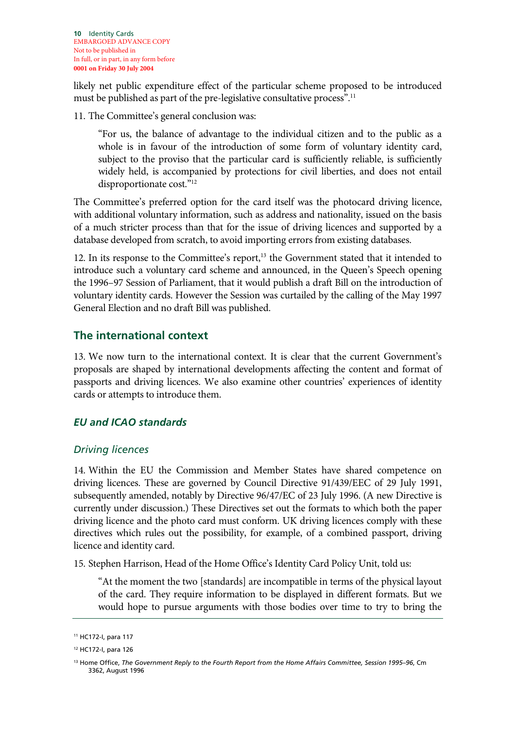likely net public expenditure effect of the particular scheme proposed to be introduced must be published as part of the pre-legislative consultative process".<sup>11</sup>

11. The Committee's general conclusion was:

"For us, the balance of advantage to the individual citizen and to the public as a whole is in favour of the introduction of some form of voluntary identity card, subject to the proviso that the particular card is sufficiently reliable, is sufficiently widely held, is accompanied by protections for civil liberties, and does not entail disproportionate cost."12

The Committee's preferred option for the card itself was the photocard driving licence, with additional voluntary information, such as address and nationality, issued on the basis of a much stricter process than that for the issue of driving licences and supported by a database developed from scratch, to avoid importing errors from existing databases.

12. In its response to the Committee's report,<sup>13</sup> the Government stated that it intended to introduce such a voluntary card scheme and announced, in the Queen's Speech opening the 1996–97 Session of Parliament, that it would publish a draft Bill on the introduction of voluntary identity cards. However the Session was curtailed by the calling of the May 1997 General Election and no draft Bill was published.

#### **The international context**

13. We now turn to the international context. It is clear that the current Government's proposals are shaped by international developments affecting the content and format of passports and driving licences. We also examine other countries' experiences of identity cards or attempts to introduce them.

#### *EU and ICAO standards*

#### *Driving licences*

14. Within the EU the Commission and Member States have shared competence on driving licences. These are governed by Council Directive 91/439/EEC of 29 July 1991, subsequently amended, notably by Directive 96/47/EC of 23 July 1996. (A new Directive is currently under discussion.) These Directives set out the formats to which both the paper driving licence and the photo card must conform. UK driving licences comply with these directives which rules out the possibility, for example, of a combined passport, driving licence and identity card.

15. Stephen Harrison, Head of the Home Office's Identity Card Policy Unit, told us:

"At the moment the two [standards] are incompatible in terms of the physical layout of the card. They require information to be displayed in different formats. But we would hope to pursue arguments with those bodies over time to try to bring the

<sup>11</sup> HC172-I, para 117

<sup>12</sup> HC172-I, para 126

<sup>13</sup> Home Office, *The Government Reply to the Fourth Report from the Home Affairs Committee, Session 1995–96*, Cm 3362, August 1996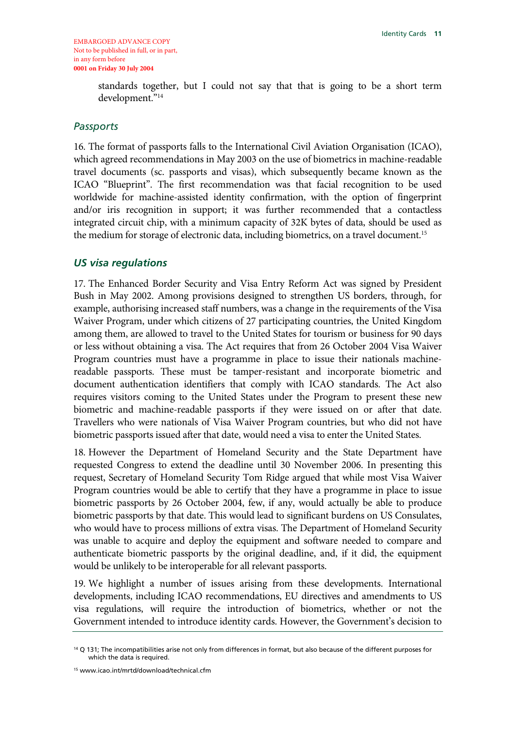standards together, but I could not say that that is going to be a short term development."14

#### *Passports*

16. The format of passports falls to the International Civil Aviation Organisation (ICAO), which agreed recommendations in May 2003 on the use of biometrics in machine-readable travel documents (sc. passports and visas), which subsequently became known as the ICAO "Blueprint". The first recommendation was that facial recognition to be used worldwide for machine-assisted identity confirmation, with the option of fingerprint and/or iris recognition in support; it was further recommended that a contactless integrated circuit chip, with a minimum capacity of 32K bytes of data, should be used as the medium for storage of electronic data, including biometrics, on a travel document.<sup>15</sup>

#### *US visa regulations*

17. The Enhanced Border Security and Visa Entry Reform Act was signed by President Bush in May 2002. Among provisions designed to strengthen US borders, through, for example, authorising increased staff numbers, was a change in the requirements of the Visa Waiver Program, under which citizens of 27 participating countries, the United Kingdom among them, are allowed to travel to the United States for tourism or business for 90 days or less without obtaining a visa. The Act requires that from 26 October 2004 Visa Waiver Program countries must have a programme in place to issue their nationals machinereadable passports. These must be tamper-resistant and incorporate biometric and document authentication identifiers that comply with ICAO standards. The Act also requires visitors coming to the United States under the Program to present these new biometric and machine-readable passports if they were issued on or after that date. Travellers who were nationals of Visa Waiver Program countries, but who did not have biometric passports issued after that date, would need a visa to enter the United States.

18. However the Department of Homeland Security and the State Department have requested Congress to extend the deadline until 30 November 2006. In presenting this request, Secretary of Homeland Security Tom Ridge argued that while most Visa Waiver Program countries would be able to certify that they have a programme in place to issue biometric passports by 26 October 2004, few, if any, would actually be able to produce biometric passports by that date. This would lead to significant burdens on US Consulates, who would have to process millions of extra visas. The Department of Homeland Security was unable to acquire and deploy the equipment and software needed to compare and authenticate biometric passports by the original deadline, and, if it did, the equipment would be unlikely to be interoperable for all relevant passports.

19. We highlight a number of issues arising from these developments. International developments, including ICAO recommendations, EU directives and amendments to US visa regulations, will require the introduction of biometrics, whether or not the Government intended to introduce identity cards. However, the Government's decision to

<sup>&</sup>lt;sup>14</sup> Q 131; The incompatibilities arise not only from differences in format, but also because of the different purposes for which the data is required.

<sup>15</sup> www.icao.int/mrtd/download/technical.cfm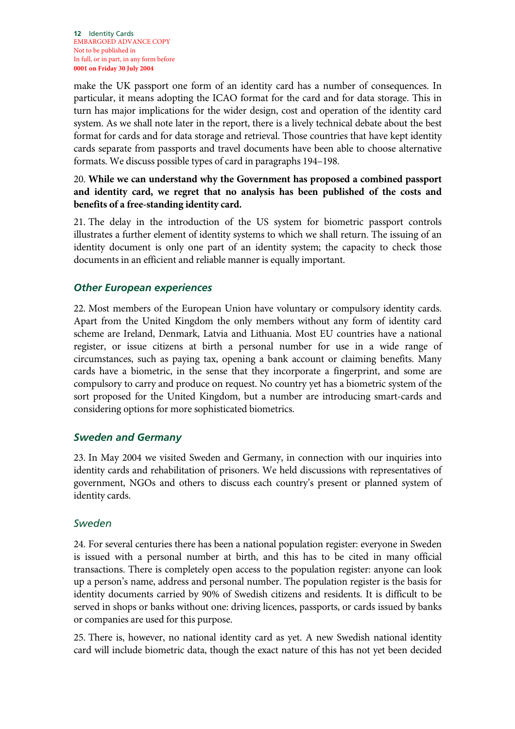make the UK passport one form of an identity card has a number of consequences. In particular, it means adopting the ICAO format for the card and for data storage. This in turn has major implications for the wider design, cost and operation of the identity card system. As we shall note later in the report, there is a lively technical debate about the best format for cards and for data storage and retrieval. Those countries that have kept identity cards separate from passports and travel documents have been able to choose alternative formats. We discuss possible types of card in paragraphs 194–198.

#### 20. **While we can understand why the Government has proposed a combined passport and identity card, we regret that no analysis has been published of the costs and benefits of a free-standing identity card.**

21. The delay in the introduction of the US system for biometric passport controls illustrates a further element of identity systems to which we shall return. The issuing of an identity document is only one part of an identity system; the capacity to check those documents in an efficient and reliable manner is equally important.

#### *Other European experiences*

22. Most members of the European Union have voluntary or compulsory identity cards. Apart from the United Kingdom the only members without any form of identity card scheme are Ireland, Denmark, Latvia and Lithuania. Most EU countries have a national register, or issue citizens at birth a personal number for use in a wide range of circumstances, such as paying tax, opening a bank account or claiming benefits. Many cards have a biometric, in the sense that they incorporate a fingerprint, and some are compulsory to carry and produce on request. No country yet has a biometric system of the sort proposed for the United Kingdom, but a number are introducing smart-cards and considering options for more sophisticated biometrics.

#### *Sweden and Germany*

23. In May 2004 we visited Sweden and Germany, in connection with our inquiries into identity cards and rehabilitation of prisoners. We held discussions with representatives of government, NGOs and others to discuss each country's present or planned system of identity cards.

#### *Sweden*

24. For several centuries there has been a national population register: everyone in Sweden is issued with a personal number at birth, and this has to be cited in many official transactions. There is completely open access to the population register: anyone can look up a person's name, address and personal number. The population register is the basis for identity documents carried by 90% of Swedish citizens and residents. It is difficult to be served in shops or banks without one: driving licences, passports, or cards issued by banks or companies are used for this purpose.

25. There is, however, no national identity card as yet. A new Swedish national identity card will include biometric data, though the exact nature of this has not yet been decided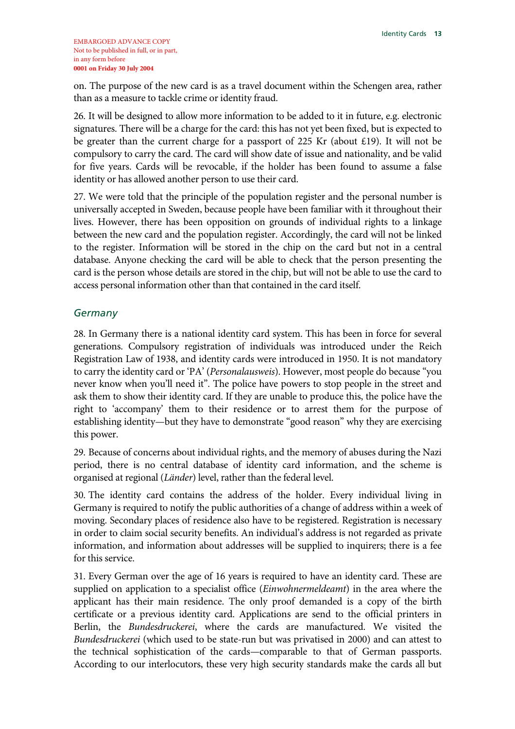on. The purpose of the new card is as a travel document within the Schengen area, rather than as a measure to tackle crime or identity fraud.

26. It will be designed to allow more information to be added to it in future, e.g. electronic signatures. There will be a charge for the card: this has not yet been fixed, but is expected to be greater than the current charge for a passport of 225 Kr (about £19). It will not be compulsory to carry the card. The card will show date of issue and nationality, and be valid for five years. Cards will be revocable, if the holder has been found to assume a false identity or has allowed another person to use their card.

27. We were told that the principle of the population register and the personal number is universally accepted in Sweden, because people have been familiar with it throughout their lives. However, there has been opposition on grounds of individual rights to a linkage between the new card and the population register. Accordingly, the card will not be linked to the register. Information will be stored in the chip on the card but not in a central database. Anyone checking the card will be able to check that the person presenting the card is the person whose details are stored in the chip, but will not be able to use the card to access personal information other than that contained in the card itself.

#### *Germany*

28. In Germany there is a national identity card system. This has been in force for several generations. Compulsory registration of individuals was introduced under the Reich Registration Law of 1938, and identity cards were introduced in 1950. It is not mandatory to carry the identity card or 'PA' (*Personalausweis*). However, most people do because "you never know when you'll need it". The police have powers to stop people in the street and ask them to show their identity card. If they are unable to produce this, the police have the right to 'accompany' them to their residence or to arrest them for the purpose of establishing identity—but they have to demonstrate "good reason" why they are exercising this power.

29. Because of concerns about individual rights, and the memory of abuses during the Nazi period, there is no central database of identity card information, and the scheme is organised at regional (*Länder*) level, rather than the federal level.

30. The identity card contains the address of the holder. Every individual living in Germany is required to notify the public authorities of a change of address within a week of moving. Secondary places of residence also have to be registered. Registration is necessary in order to claim social security benefits. An individual's address is not regarded as private information, and information about addresses will be supplied to inquirers; there is a fee for this service.

31. Every German over the age of 16 years is required to have an identity card. These are supplied on application to a specialist office (*Einwohnermeldeamt*) in the area where the applicant has their main residence. The only proof demanded is a copy of the birth certificate or a previous identity card. Applications are send to the official printers in Berlin, the *Bundesdruckerei*, where the cards are manufactured. We visited the *Bundesdruckerei* (which used to be state-run but was privatised in 2000) and can attest to the technical sophistication of the cards—comparable to that of German passports. According to our interlocutors, these very high security standards make the cards all but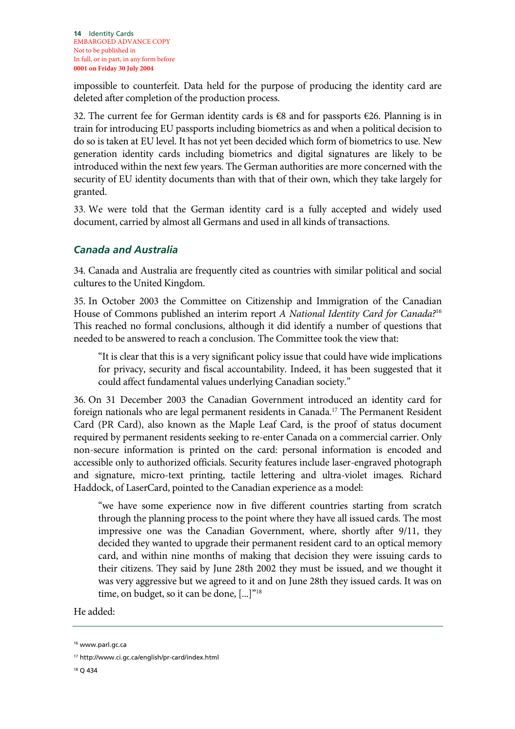impossible to counterfeit. Data held for the purpose of producing the identity card are deleted after completion of the production process.

32. The current fee for German identity cards is €8 and for passports €26. Planning is in train for introducing EU passports including biometrics as and when a political decision to do so is taken at EU level. It has not yet been decided which form of biometrics to use. New generation identity cards including biometrics and digital signatures are likely to be introduced within the next few years. The German authorities are more concerned with the security of EU identity documents than with that of their own, which they take largely for granted.

33. We were told that the German identity card is a fully accepted and widely used document, carried by almost all Germans and used in all kinds of transactions.

#### *Canada and Australia*

34. Canada and Australia are frequently cited as countries with similar political and social cultures to the United Kingdom.

35. In October 2003 the Committee on Citizenship and Immigration of the Canadian House of Commons published an interim report *A National Identity Card for Canada?*<sup>16</sup> This reached no formal conclusions, although it did identify a number of questions that needed to be answered to reach a conclusion. The Committee took the view that:

"It is clear that this is a very significant policy issue that could have wide implications for privacy, security and fiscal accountability. Indeed, it has been suggested that it could affect fundamental values underlying Canadian society."

36. On 31 December 2003 the Canadian Government introduced an identity card for foreign nationals who are legal permanent residents in Canada.<sup>17</sup> The Permanent Resident Card (PR Card), also known as the Maple Leaf Card, is the proof of status document required by permanent residents seeking to re-enter Canada on a commercial carrier. Only non-secure information is printed on the card: personal information is encoded and accessible only to authorized officials. Security features include laser-engraved photograph and signature, micro-text printing, tactile lettering and ultra-violet images. Richard Haddock, of LaserCard, pointed to the Canadian experience as a model:

"we have some experience now in five different countries starting from scratch through the planning process to the point where they have all issued cards. The most impressive one was the Canadian Government, where, shortly after 9/11, they decided they wanted to upgrade their permanent resident card to an optical memory card, and within nine months of making that decision they were issuing cards to their citizens. They said by June 28th 2002 they must be issued, and we thought it was very aggressive but we agreed to it and on June 28th they issued cards. It was on time, on budget, so it can be done, [...]<sup>"18</sup>

#### He added:

18 Q 434

<sup>&</sup>lt;sup>16</sup> www.parl.gc.ca

<sup>17</sup> http://www.ci.gc.ca/english/pr-card/index.html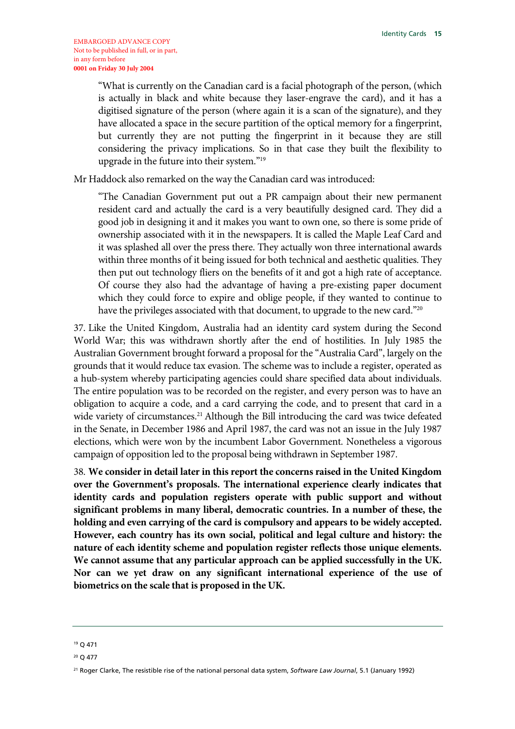"What is currently on the Canadian card is a facial photograph of the person, (which is actually in black and white because they laser-engrave the card), and it has a digitised signature of the person (where again it is a scan of the signature), and they have allocated a space in the secure partition of the optical memory for a fingerprint, but currently they are not putting the fingerprint in it because they are still considering the privacy implications. So in that case they built the flexibility to upgrade in the future into their system."19

Mr Haddock also remarked on the way the Canadian card was introduced:

"The Canadian Government put out a PR campaign about their new permanent resident card and actually the card is a very beautifully designed card. They did a good job in designing it and it makes you want to own one, so there is some pride of ownership associated with it in the newspapers. It is called the Maple Leaf Card and it was splashed all over the press there. They actually won three international awards within three months of it being issued for both technical and aesthetic qualities. They then put out technology fliers on the benefits of it and got a high rate of acceptance. Of course they also had the advantage of having a pre-existing paper document which they could force to expire and oblige people, if they wanted to continue to have the privileges associated with that document, to upgrade to the new card."20

37. Like the United Kingdom, Australia had an identity card system during the Second World War; this was withdrawn shortly after the end of hostilities. In July 1985 the Australian Government brought forward a proposal for the "Australia Card", largely on the grounds that it would reduce tax evasion. The scheme was to include a register, operated as a hub-system whereby participating agencies could share specified data about individuals. The entire population was to be recorded on the register, and every person was to have an obligation to acquire a code, and a card carrying the code, and to present that card in a wide variety of circumstances.<sup>21</sup> Although the Bill introducing the card was twice defeated in the Senate, in December 1986 and April 1987, the card was not an issue in the July 1987 elections, which were won by the incumbent Labor Government. Nonetheless a vigorous campaign of opposition led to the proposal being withdrawn in September 1987.

38. **We consider in detail later in this report the concerns raised in the United Kingdom over the Government's proposals. The international experience clearly indicates that identity cards and population registers operate with public support and without significant problems in many liberal, democratic countries. In a number of these, the holding and even carrying of the card is compulsory and appears to be widely accepted. However, each country has its own social, political and legal culture and history: the nature of each identity scheme and population register reflects those unique elements. We cannot assume that any particular approach can be applied successfully in the UK. Nor can we yet draw on any significant international experience of the use of biometrics on the scale that is proposed in the UK.**

<sup>19</sup> Q 471

<sup>20</sup> Q 477

<sup>21</sup> Roger Clarke, The resistible rise of the national personal data system, *Software Law Journal*, 5.1 (January 1992)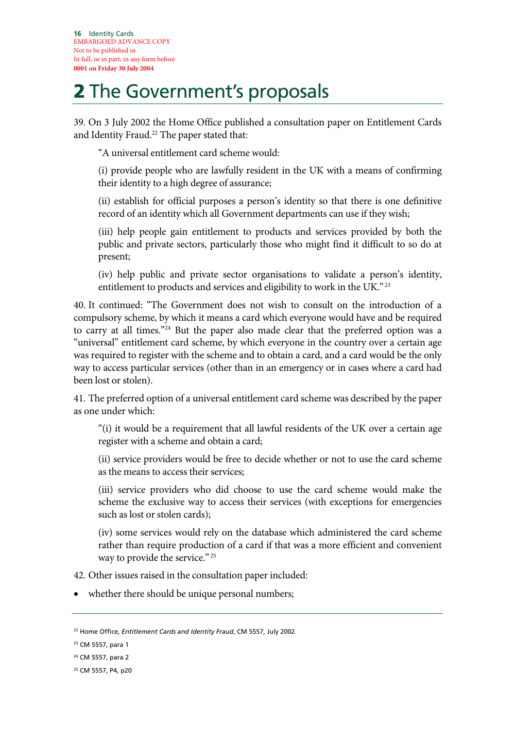# 2 The Government's proposals

39. On 3 July 2002 the Home Office published a consultation paper on Entitlement Cards and Identity Fraud.<sup>22</sup> The paper stated that:

"A universal entitlement card scheme would:

(i) provide people who are lawfully resident in the UK with a means of confirming their identity to a high degree of assurance;

(ii) establish for official purposes a person's identity so that there is one definitive record of an identity which all Government departments can use if they wish;

(iii) help people gain entitlement to products and services provided by both the public and private sectors, particularly those who might find it difficult to so do at present;

(iv) help public and private sector organisations to validate a person's identity, entitlement to products and services and eligibility to work in the UK."<sup>23</sup>

40. It continued: "The Government does not wish to consult on the introduction of a compulsory scheme, by which it means a card which everyone would have and be required to carry at all times."24 But the paper also made clear that the preferred option was a "universal" entitlement card scheme, by which everyone in the country over a certain age was required to register with the scheme and to obtain a card, and a card would be the only way to access particular services (other than in an emergency or in cases where a card had been lost or stolen).

41. The preferred option of a universal entitlement card scheme was described by the paper as one under which:

"(i) it would be a requirement that all lawful residents of the UK over a certain age register with a scheme and obtain a card;

(ii) service providers would be free to decide whether or not to use the card scheme as the means to access their services;

(iii) service providers who did choose to use the card scheme would make the scheme the exclusive way to access their services (with exceptions for emergencies such as lost or stolen cards);

(iv) some services would rely on the database which administered the card scheme rather than require production of a card if that was a more efficient and convenient way to provide the service."<sup>25</sup>

42. Other issues raised in the consultation paper included:

whether there should be unique personal numbers;

<sup>22</sup> Home Office, *Entitlement Cards and Identity Fraud*, CM 5557, July 2002

<sup>23</sup> CM 5557, para 1

<sup>24</sup> CM 5557, para 2

<sup>25</sup> CM 5557, P4, p20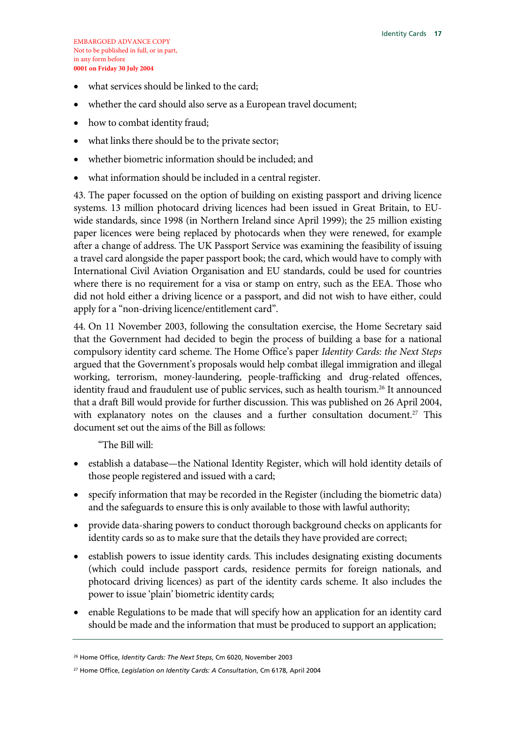- what services should be linked to the card;
- whether the card should also serve as a European travel document;
- how to combat identity fraud;
- what links there should be to the private sector;
- whether biometric information should be included; and
- what information should be included in a central register.

43. The paper focussed on the option of building on existing passport and driving licence systems. 13 million photocard driving licences had been issued in Great Britain, to EUwide standards, since 1998 (in Northern Ireland since April 1999); the 25 million existing paper licences were being replaced by photocards when they were renewed, for example after a change of address. The UK Passport Service was examining the feasibility of issuing a travel card alongside the paper passport book; the card, which would have to comply with International Civil Aviation Organisation and EU standards, could be used for countries where there is no requirement for a visa or stamp on entry, such as the EEA. Those who did not hold either a driving licence or a passport, and did not wish to have either, could apply for a "non-driving licence/entitlement card".

44. On 11 November 2003, following the consultation exercise, the Home Secretary said that the Government had decided to begin the process of building a base for a national compulsory identity card scheme. The Home Office's paper *Identity Cards: the Next Steps* argued that the Government's proposals would help combat illegal immigration and illegal working, terrorism, money-laundering, people-trafficking and drug-related offences, identity fraud and fraudulent use of public services, such as health tourism.<sup>26</sup> It announced that a draft Bill would provide for further discussion. This was published on 26 April 2004, with explanatory notes on the clauses and a further consultation document.<sup>27</sup> This document set out the aims of the Bill as follows:

"The Bill will:

- establish a database—the National Identity Register, which will hold identity details of those people registered and issued with a card;
- specify information that may be recorded in the Register (including the biometric data) and the safeguards to ensure this is only available to those with lawful authority;
- provide data-sharing powers to conduct thorough background checks on applicants for identity cards so as to make sure that the details they have provided are correct;
- establish powers to issue identity cards. This includes designating existing documents (which could include passport cards, residence permits for foreign nationals, and photocard driving licences) as part of the identity cards scheme. It also includes the power to issue 'plain' biometric identity cards;
- enable Regulations to be made that will specify how an application for an identity card should be made and the information that must be produced to support an application;

<sup>26</sup> Home Office, *Identity Cards: The Next Steps*, Cm 6020, November 2003

<sup>27</sup> Home Office, *Legislation on Identity Cards: A Consultation*, Cm 6178, April 2004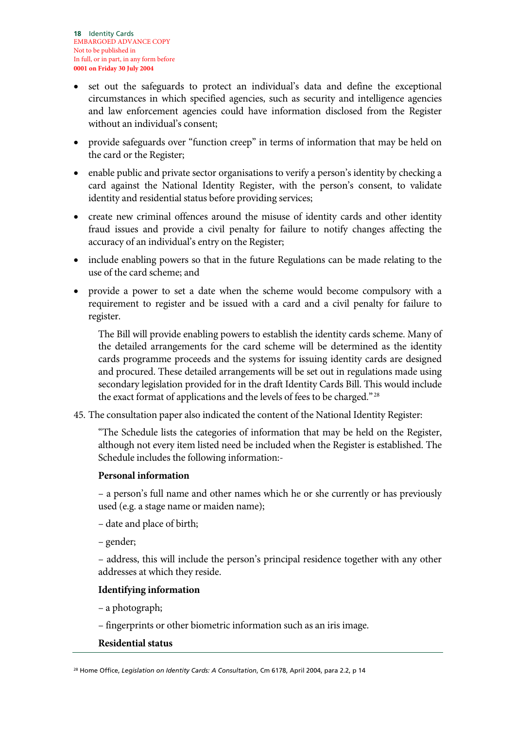- set out the safeguards to protect an individual's data and define the exceptional circumstances in which specified agencies, such as security and intelligence agencies and law enforcement agencies could have information disclosed from the Register without an individual's consent;
- provide safeguards over "function creep" in terms of information that may be held on the card or the Register;
- enable public and private sector organisations to verify a person's identity by checking a card against the National Identity Register, with the person's consent, to validate identity and residential status before providing services;
- create new criminal offences around the misuse of identity cards and other identity fraud issues and provide a civil penalty for failure to notify changes affecting the accuracy of an individual's entry on the Register;
- include enabling powers so that in the future Regulations can be made relating to the use of the card scheme; and
- provide a power to set a date when the scheme would become compulsory with a requirement to register and be issued with a card and a civil penalty for failure to register.

The Bill will provide enabling powers to establish the identity cards scheme. Many of the detailed arrangements for the card scheme will be determined as the identity cards programme proceeds and the systems for issuing identity cards are designed and procured. These detailed arrangements will be set out in regulations made using secondary legislation provided for in the draft Identity Cards Bill. This would include the exact format of applications and the levels of fees to be charged." 28

45. The consultation paper also indicated the content of the National Identity Register:

"The Schedule lists the categories of information that may be held on the Register, although not every item listed need be included when the Register is established. The Schedule includes the following information:-

#### **Personal information**

– a person's full name and other names which he or she currently or has previously used (e.g. a stage name or maiden name);

- date and place of birth;
- gender;

– address, this will include the person's principal residence together with any other addresses at which they reside.

#### **Identifying information**

– a photograph;

– fingerprints or other biometric information such as an iris image.

#### **Residential status**

28 Home Office, *Legislation on Identity Cards: A Consultation*, Cm 6178, April 2004, para 2.2, p 14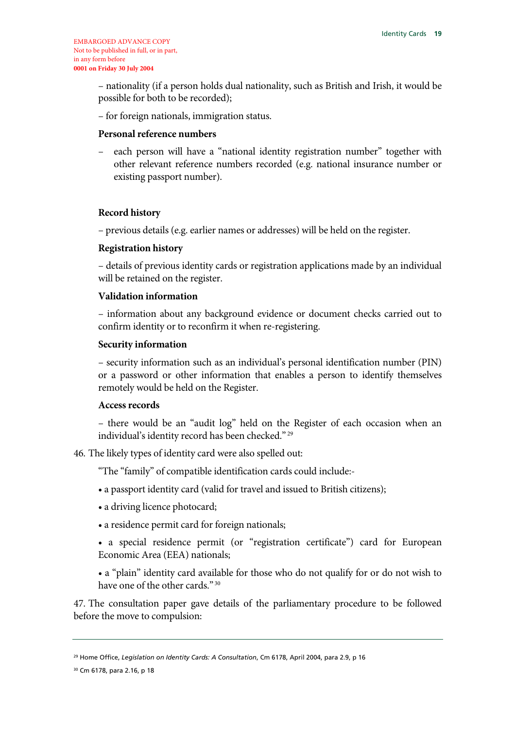– nationality (if a person holds dual nationality, such as British and Irish, it would be possible for both to be recorded);

– for foreign nationals, immigration status.

#### **Personal reference numbers**

– each person will have a "national identity registration number" together with other relevant reference numbers recorded (e.g. national insurance number or existing passport number).

#### **Record history**

– previous details (e.g. earlier names or addresses) will be held on the register.

#### **Registration history**

– details of previous identity cards or registration applications made by an individual will be retained on the register.

#### **Validation information**

– information about any background evidence or document checks carried out to confirm identity or to reconfirm it when re-registering.

#### **Security information**

– security information such as an individual's personal identification number (PIN) or a password or other information that enables a person to identify themselves remotely would be held on the Register.

#### **Access records**

– there would be an "audit log" held on the Register of each occasion when an individual's identity record has been checked." 29

46. The likely types of identity card were also spelled out:

"The "family" of compatible identification cards could include:-

- a passport identity card (valid for travel and issued to British citizens);
- a driving licence photocard;
- a residence permit card for foreign nationals;

• a special residence permit (or "registration certificate") card for European Economic Area (EEA) nationals;

• a "plain" identity card available for those who do not qualify for or do not wish to have one of the other cards."<sup>30</sup>

47. The consultation paper gave details of the parliamentary procedure to be followed before the move to compulsion:

<sup>29</sup> Home Office, *Legislation on Identity Cards: A Consultation*, Cm 6178, April 2004, para 2.9, p 16

<sup>30</sup> Cm 6178, para 2.16, p 18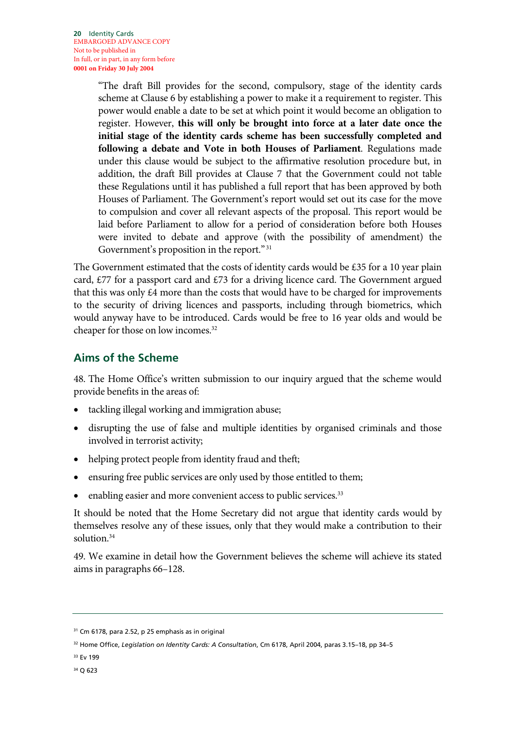"The draft Bill provides for the second, compulsory, stage of the identity cards scheme at Clause 6 by establishing a power to make it a requirement to register. This power would enable a date to be set at which point it would become an obligation to register. However, **this will only be brought into force at a later date once the initial stage of the identity cards scheme has been successfully completed and following a debate and Vote in both Houses of Parliament**. Regulations made under this clause would be subject to the affirmative resolution procedure but, in addition, the draft Bill provides at Clause 7 that the Government could not table these Regulations until it has published a full report that has been approved by both Houses of Parliament. The Government's report would set out its case for the move to compulsion and cover all relevant aspects of the proposal. This report would be laid before Parliament to allow for a period of consideration before both Houses were invited to debate and approve (with the possibility of amendment) the Government's proposition in the report."<sup>31</sup>

The Government estimated that the costs of identity cards would be £35 for a 10 year plain card,  $£77$  for a passport card and  $£73$  for a driving licence card. The Government argued that this was only  $\epsilon$ 4 more than the costs that would have to be charged for improvements to the security of driving licences and passports, including through biometrics, which would anyway have to be introduced. Cards would be free to 16 year olds and would be cheaper for those on low incomes.<sup>32</sup>

#### **Aims of the Scheme**

48. The Home Office's written submission to our inquiry argued that the scheme would provide benefits in the areas of:

- tackling illegal working and immigration abuse;
- disrupting the use of false and multiple identities by organised criminals and those involved in terrorist activity;
- helping protect people from identity fraud and theft;
- ensuring free public services are only used by those entitled to them;
- enabling easier and more convenient access to public services.<sup>33</sup>

It should be noted that the Home Secretary did not argue that identity cards would by themselves resolve any of these issues, only that they would make a contribution to their solution.34

49. We examine in detail how the Government believes the scheme will achieve its stated aims in paragraphs 66–128.

34 Q 623

<sup>31</sup> Cm 6178, para 2.52, p 25 emphasis as in original

<sup>32</sup> Home Office, *Legislation on Identity Cards: A Consultation*, Cm 6178, April 2004, paras 3.15–18, pp 34–5

<sup>&</sup>lt;sup>33</sup> Ev 199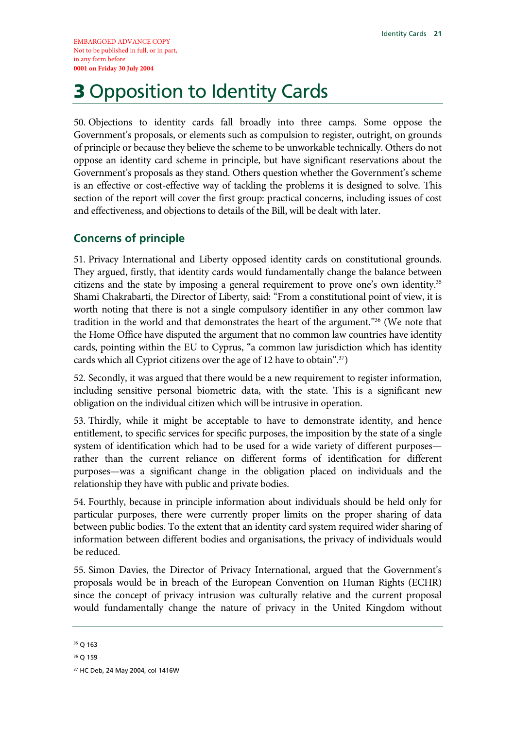# **3 Opposition to Identity Cards**

50. Objections to identity cards fall broadly into three camps. Some oppose the Government's proposals, or elements such as compulsion to register, outright, on grounds of principle or because they believe the scheme to be unworkable technically. Others do not oppose an identity card scheme in principle, but have significant reservations about the Government's proposals as they stand. Others question whether the Government's scheme is an effective or cost-effective way of tackling the problems it is designed to solve. This section of the report will cover the first group: practical concerns, including issues of cost and effectiveness, and objections to details of the Bill, will be dealt with later.

#### **Concerns of principle**

51. Privacy International and Liberty opposed identity cards on constitutional grounds. They argued, firstly, that identity cards would fundamentally change the balance between citizens and the state by imposing a general requirement to prove one's own identity.<sup>35</sup> Shami Chakrabarti, the Director of Liberty, said: "From a constitutional point of view, it is worth noting that there is not a single compulsory identifier in any other common law tradition in the world and that demonstrates the heart of the argument."36 (We note that the Home Office have disputed the argument that no common law countries have identity cards, pointing within the EU to Cyprus, "a common law jurisdiction which has identity cards which all Cypriot citizens over the age of 12 have to obtain".37)

52. Secondly, it was argued that there would be a new requirement to register information, including sensitive personal biometric data, with the state. This is a significant new obligation on the individual citizen which will be intrusive in operation.

53. Thirdly, while it might be acceptable to have to demonstrate identity, and hence entitlement, to specific services for specific purposes, the imposition by the state of a single system of identification which had to be used for a wide variety of different purposes rather than the current reliance on different forms of identification for different purposes—was a significant change in the obligation placed on individuals and the relationship they have with public and private bodies.

54. Fourthly, because in principle information about individuals should be held only for particular purposes, there were currently proper limits on the proper sharing of data between public bodies. To the extent that an identity card system required wider sharing of information between different bodies and organisations, the privacy of individuals would be reduced.

55. Simon Davies, the Director of Privacy International, argued that the Government's proposals would be in breach of the European Convention on Human Rights (ECHR) since the concept of privacy intrusion was culturally relative and the current proposal would fundamentally change the nature of privacy in the United Kingdom without

<sup>35</sup> Q 163

<sup>36</sup> Q 159

<sup>37</sup> HC Deb, 24 May 2004, col 1416W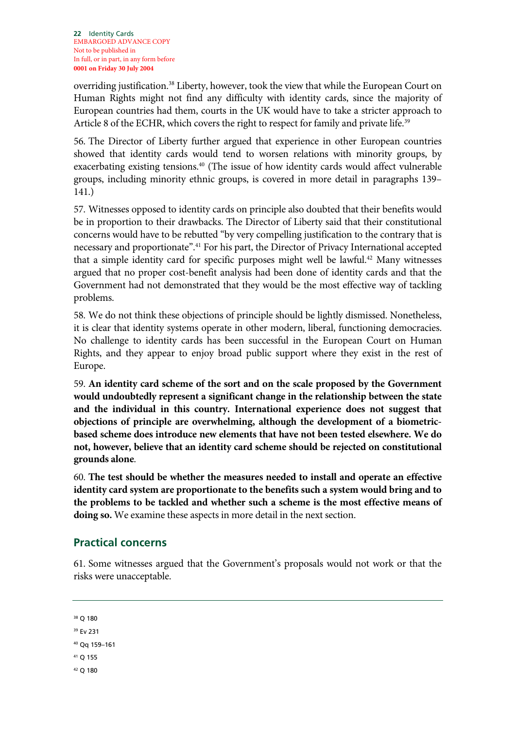overriding justification.38 Liberty, however, took the view that while the European Court on Human Rights might not find any difficulty with identity cards, since the majority of European countries had them, courts in the UK would have to take a stricter approach to Article 8 of the ECHR, which covers the right to respect for family and private life.<sup>39</sup>

56. The Director of Liberty further argued that experience in other European countries showed that identity cards would tend to worsen relations with minority groups, by exacerbating existing tensions.<sup>40</sup> (The issue of how identity cards would affect vulnerable groups, including minority ethnic groups, is covered in more detail in paragraphs 139– 141.)

57. Witnesses opposed to identity cards on principle also doubted that their benefits would be in proportion to their drawbacks. The Director of Liberty said that their constitutional concerns would have to be rebutted "by very compelling justification to the contrary that is necessary and proportionate".41 For his part, the Director of Privacy International accepted that a simple identity card for specific purposes might well be lawful.<sup>42</sup> Many witnesses argued that no proper cost-benefit analysis had been done of identity cards and that the Government had not demonstrated that they would be the most effective way of tackling problems.

58. We do not think these objections of principle should be lightly dismissed. Nonetheless, it is clear that identity systems operate in other modern, liberal, functioning democracies. No challenge to identity cards has been successful in the European Court on Human Rights, and they appear to enjoy broad public support where they exist in the rest of Europe.

59. **An identity card scheme of the sort and on the scale proposed by the Government would undoubtedly represent a significant change in the relationship between the state and the individual in this country. International experience does not suggest that objections of principle are overwhelming, although the development of a biometricbased scheme does introduce new elements that have not been tested elsewhere. We do not, however, believe that an identity card scheme should be rejected on constitutional grounds alone**.

60. **The test should be whether the measures needed to install and operate an effective identity card system are proportionate to the benefits such a system would bring and to the problems to be tackled and whether such a scheme is the most effective means of doing so.** We examine these aspects in more detail in the next section.

#### **Practical concerns**

61. Some witnesses argued that the Government's proposals would not work or that the risks were unacceptable.

38 Q 180

39 Ev 231

```
40 Qq 159–161
```
41 Q 155

42 Q 180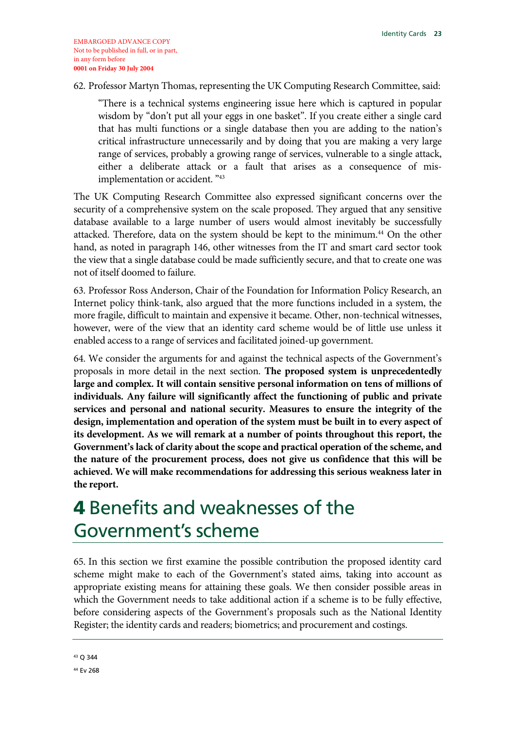#### 62. Professor Martyn Thomas, representing the UK Computing Research Committee, said:

"There is a technical systems engineering issue here which is captured in popular wisdom by "don't put all your eggs in one basket". If you create either a single card that has multi functions or a single database then you are adding to the nation's critical infrastructure unnecessarily and by doing that you are making a very large range of services, probably a growing range of services, vulnerable to a single attack, either a deliberate attack or a fault that arises as a consequence of misimplementation or accident. "43

The UK Computing Research Committee also expressed significant concerns over the security of a comprehensive system on the scale proposed. They argued that any sensitive database available to a large number of users would almost inevitably be successfully attacked. Therefore, data on the system should be kept to the minimum.44 On the other hand, as noted in paragraph 146, other witnesses from the IT and smart card sector took the view that a single database could be made sufficiently secure, and that to create one was not of itself doomed to failure.

63. Professor Ross Anderson, Chair of the Foundation for Information Policy Research, an Internet policy think-tank, also argued that the more functions included in a system, the more fragile, difficult to maintain and expensive it became. Other, non-technical witnesses, however, were of the view that an identity card scheme would be of little use unless it enabled access to a range of services and facilitated joined-up government.

64. We consider the arguments for and against the technical aspects of the Government's proposals in more detail in the next section. **The proposed system is unprecedentedly large and complex. It will contain sensitive personal information on tens of millions of individuals. Any failure will significantly affect the functioning of public and private services and personal and national security. Measures to ensure the integrity of the design, implementation and operation of the system must be built in to every aspect of its development. As we will remark at a number of points throughout this report, the Government's lack of clarity about the scope and practical operation of the scheme, and the nature of the procurement process, does not give us confidence that this will be achieved. We will make recommendations for addressing this serious weakness later in the report.**

## 4 Benefits and weaknesses of the Government's scheme

65. In this section we first examine the possible contribution the proposed identity card scheme might make to each of the Government's stated aims, taking into account as appropriate existing means for attaining these goals. We then consider possible areas in which the Government needs to take additional action if a scheme is to be fully effective, before considering aspects of the Government's proposals such as the National Identity Register; the identity cards and readers; biometrics; and procurement and costings.

43 Q 344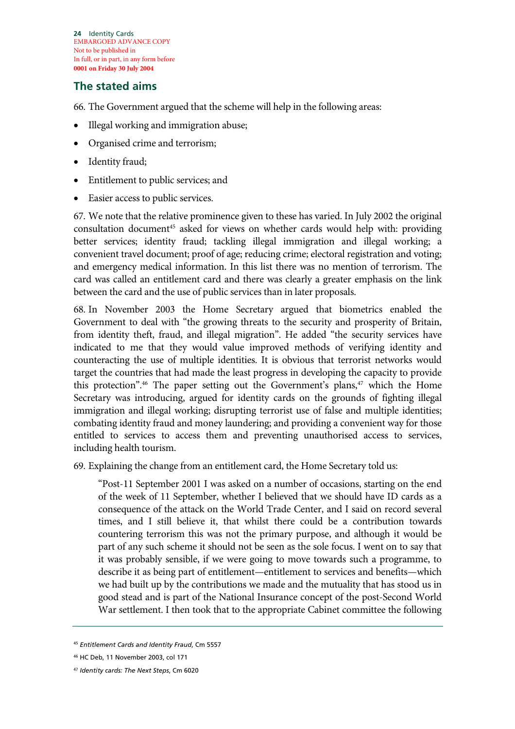**24** Identity Cards EMBARGOED ADVANCE COPY Not to be published in In full, or in part, in any form before **0001 on Friday 30 July 2004**

#### **The stated aims**

66. The Government argued that the scheme will help in the following areas:

- Illegal working and immigration abuse;
- Organised crime and terrorism;
- Identity fraud;
- Entitlement to public services; and
- Easier access to public services.

67. We note that the relative prominence given to these has varied. In July 2002 the original consultation document<sup>45</sup> asked for views on whether cards would help with: providing better services; identity fraud; tackling illegal immigration and illegal working; a convenient travel document; proof of age; reducing crime; electoral registration and voting; and emergency medical information. In this list there was no mention of terrorism. The card was called an entitlement card and there was clearly a greater emphasis on the link between the card and the use of public services than in later proposals.

68. In November 2003 the Home Secretary argued that biometrics enabled the Government to deal with "the growing threats to the security and prosperity of Britain, from identity theft, fraud, and illegal migration". He added "the security services have indicated to me that they would value improved methods of verifying identity and counteracting the use of multiple identities. It is obvious that terrorist networks would target the countries that had made the least progress in developing the capacity to provide this protection".<sup>46</sup> The paper setting out the Government's plans,<sup>47</sup> which the Home Secretary was introducing, argued for identity cards on the grounds of fighting illegal immigration and illegal working; disrupting terrorist use of false and multiple identities; combating identity fraud and money laundering; and providing a convenient way for those entitled to services to access them and preventing unauthorised access to services, including health tourism.

69. Explaining the change from an entitlement card, the Home Secretary told us:

"Post-11 September 2001 I was asked on a number of occasions, starting on the end of the week of 11 September, whether I believed that we should have ID cards as a consequence of the attack on the World Trade Center, and I said on record several times, and I still believe it, that whilst there could be a contribution towards countering terrorism this was not the primary purpose, and although it would be part of any such scheme it should not be seen as the sole focus. I went on to say that it was probably sensible, if we were going to move towards such a programme, to describe it as being part of entitlement—entitlement to services and benefits—which we had built up by the contributions we made and the mutuality that has stood us in good stead and is part of the National Insurance concept of the post-Second World War settlement. I then took that to the appropriate Cabinet committee the following

<sup>45</sup> *Entitlement Cards and Identity Fraud*, Cm 5557

<sup>46</sup> HC Deb, 11 November 2003, col 171

<sup>47</sup> *Identity cards: The Next Steps*, Cm 6020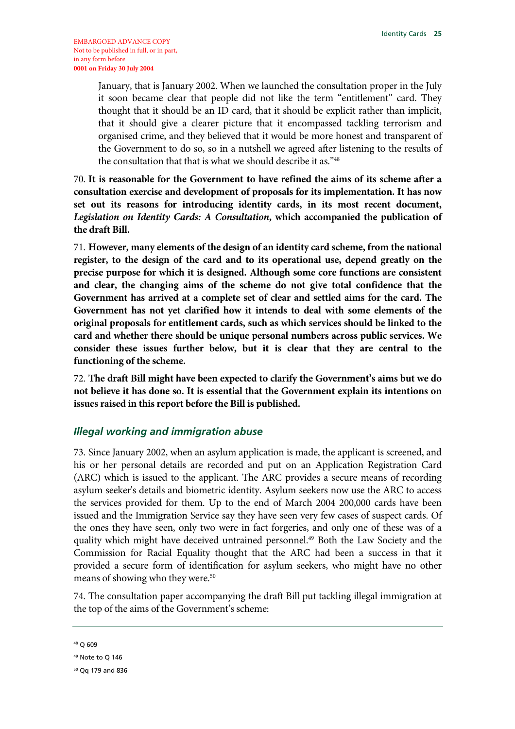January, that is January 2002. When we launched the consultation proper in the July it soon became clear that people did not like the term "entitlement" card. They thought that it should be an ID card, that it should be explicit rather than implicit, that it should give a clearer picture that it encompassed tackling terrorism and organised crime, and they believed that it would be more honest and transparent of the Government to do so, so in a nutshell we agreed after listening to the results of the consultation that that is what we should describe it as."48

70. **It is reasonable for the Government to have refined the aims of its scheme after a consultation exercise and development of proposals for its implementation. It has now set out its reasons for introducing identity cards, in its most recent document,**  *Legislation on Identity Cards: A Consultation***, which accompanied the publication of the draft Bill.** 

71. **However, many elements of the design of an identity card scheme, from the national register, to the design of the card and to its operational use, depend greatly on the precise purpose for which it is designed. Although some core functions are consistent and clear, the changing aims of the scheme do not give total confidence that the Government has arrived at a complete set of clear and settled aims for the card. The Government has not yet clarified how it intends to deal with some elements of the original proposals for entitlement cards, such as which services should be linked to the card and whether there should be unique personal numbers across public services. We consider these issues further below, but it is clear that they are central to the functioning of the scheme.**

72. **The draft Bill might have been expected to clarify the Government's aims but we do not believe it has done so. It is essential that the Government explain its intentions on issues raised in this report before the Bill is published.** 

#### *Illegal working and immigration abuse*

73. Since January 2002, when an asylum application is made, the applicant is screened, and his or her personal details are recorded and put on an Application Registration Card (ARC) which is issued to the applicant. The ARC provides a secure means of recording asylum seeker's details and biometric identity. Asylum seekers now use the ARC to access the services provided for them. Up to the end of March 2004 200,000 cards have been issued and the Immigration Service say they have seen very few cases of suspect cards. Of the ones they have seen, only two were in fact forgeries, and only one of these was of a quality which might have deceived untrained personnel.<sup>49</sup> Both the Law Society and the Commission for Racial Equality thought that the ARC had been a success in that it provided a secure form of identification for asylum seekers, who might have no other means of showing who they were.<sup>50</sup>

74. The consultation paper accompanying the draft Bill put tackling illegal immigration at the top of the aims of the Government's scheme:

<sup>48</sup> Q 609

<sup>49</sup> Note to Q 146

<sup>50</sup> Qq 179 and 836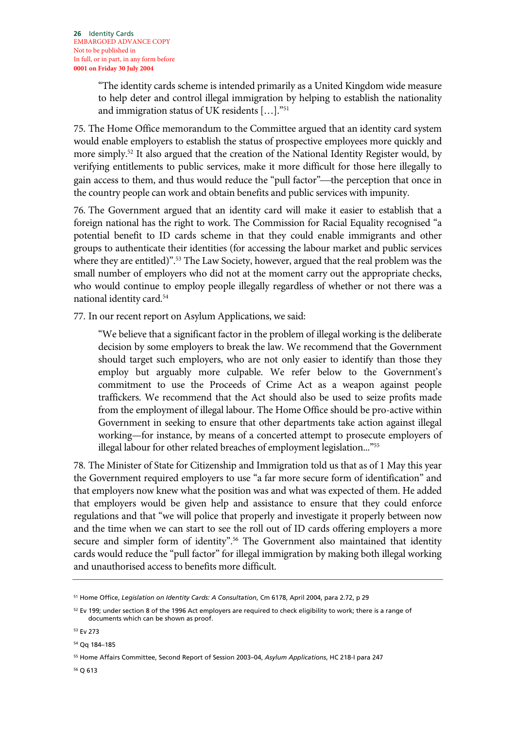"The identity cards scheme is intended primarily as a United Kingdom wide measure to help deter and control illegal immigration by helping to establish the nationality and immigration status of UK residents […]."51

75. The Home Office memorandum to the Committee argued that an identity card system would enable employers to establish the status of prospective employees more quickly and more simply.<sup>52</sup> It also argued that the creation of the National Identity Register would, by verifying entitlements to public services, make it more difficult for those here illegally to gain access to them, and thus would reduce the "pull factor"—the perception that once in the country people can work and obtain benefits and public services with impunity.

76. The Government argued that an identity card will make it easier to establish that a foreign national has the right to work. The Commission for Racial Equality recognised "a potential benefit to ID cards scheme in that they could enable immigrants and other groups to authenticate their identities (for accessing the labour market and public services where they are entitled)".<sup>53</sup> The Law Society, however, argued that the real problem was the small number of employers who did not at the moment carry out the appropriate checks, who would continue to employ people illegally regardless of whether or not there was a national identity card.54

77. In our recent report on Asylum Applications, we said:

"We believe that a significant factor in the problem of illegal working is the deliberate decision by some employers to break the law. We recommend that the Government should target such employers, who are not only easier to identify than those they employ but arguably more culpable. We refer below to the Government's commitment to use the Proceeds of Crime Act as a weapon against people traffickers. We recommend that the Act should also be used to seize profits made from the employment of illegal labour. The Home Office should be pro-active within Government in seeking to ensure that other departments take action against illegal working—for instance, by means of a concerted attempt to prosecute employers of illegal labour for other related breaches of employment legislation..."<sup>55</sup>

78. The Minister of State for Citizenship and Immigration told us that as of 1 May this year the Government required employers to use "a far more secure form of identification" and that employers now knew what the position was and what was expected of them. He added that employers would be given help and assistance to ensure that they could enforce regulations and that "we will police that properly and investigate it properly between now and the time when we can start to see the roll out of ID cards offering employers a more secure and simpler form of identity".<sup>56</sup> The Government also maintained that identity cards would reduce the "pull factor" for illegal immigration by making both illegal working and unauthorised access to benefits more difficult.

53 Ev 273

54 Qq 184–185

56 Q 613

<sup>51</sup> Home Office, *Legislation on Identity Cards: A Consultation*, Cm 6178, April 2004, para 2.72, p 29

 $52$  Ev 199; under section 8 of the 1996 Act employers are required to check eligibility to work; there is a range of documents which can be shown as proof.

<sup>55</sup> Home Affairs Committee, Second Report of Session 2003–04, *Asylum Applications*, HC 218-I para 247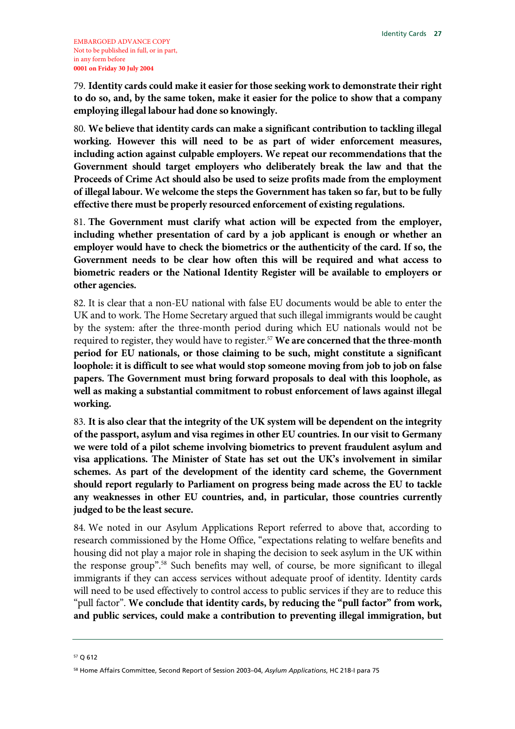79. **Identity cards could make it easier for those seeking work to demonstrate their right to do so, and, by the same token, make it easier for the police to show that a company employing illegal labour had done so knowingly.** 

80. **We believe that identity cards can make a significant contribution to tackling illegal working. However this will need to be as part of wider enforcement measures, including action against culpable employers. We repeat our recommendations that the Government should target employers who deliberately break the law and that the Proceeds of Crime Act should also be used to seize profits made from the employment of illegal labour. We welcome the steps the Government has taken so far, but to be fully effective there must be properly resourced enforcement of existing regulations.**

81. **The Government must clarify what action will be expected from the employer, including whether presentation of card by a job applicant is enough or whether an employer would have to check the biometrics or the authenticity of the card. If so, the Government needs to be clear how often this will be required and what access to biometric readers or the National Identity Register will be available to employers or other agencies.**

82. It is clear that a non-EU national with false EU documents would be able to enter the UK and to work. The Home Secretary argued that such illegal immigrants would be caught by the system: after the three-month period during which EU nationals would not be required to register, they would have to register.57 **We are concerned that the three-month period for EU nationals, or those claiming to be such, might constitute a significant loophole: it is difficult to see what would stop someone moving from job to job on false papers. The Government must bring forward proposals to deal with this loophole, as well as making a substantial commitment to robust enforcement of laws against illegal working.**

83. **It is also clear that the integrity of the UK system will be dependent on the integrity of the passport, asylum and visa regimes in other EU countries. In our visit to Germany we were told of a pilot scheme involving biometrics to prevent fraudulent asylum and visa applications. The Minister of State has set out the UK's involvement in similar schemes. As part of the development of the identity card scheme, the Government should report regularly to Parliament on progress being made across the EU to tackle any weaknesses in other EU countries, and, in particular, those countries currently judged to be the least secure.**

84. We noted in our Asylum Applications Report referred to above that, according to research commissioned by the Home Office, "expectations relating to welfare benefits and housing did not play a major role in shaping the decision to seek asylum in the UK within the response group".58 Such benefits may well, of course, be more significant to illegal immigrants if they can access services without adequate proof of identity. Identity cards will need to be used effectively to control access to public services if they are to reduce this "pull factor". **We conclude that identity cards, by reducing the "pull factor" from work, and public services, could make a contribution to preventing illegal immigration, but** 

<sup>57</sup> Q 612

<sup>58</sup> Home Affairs Committee, Second Report of Session 2003–04, *Asylum Applications*, HC 218-I para 75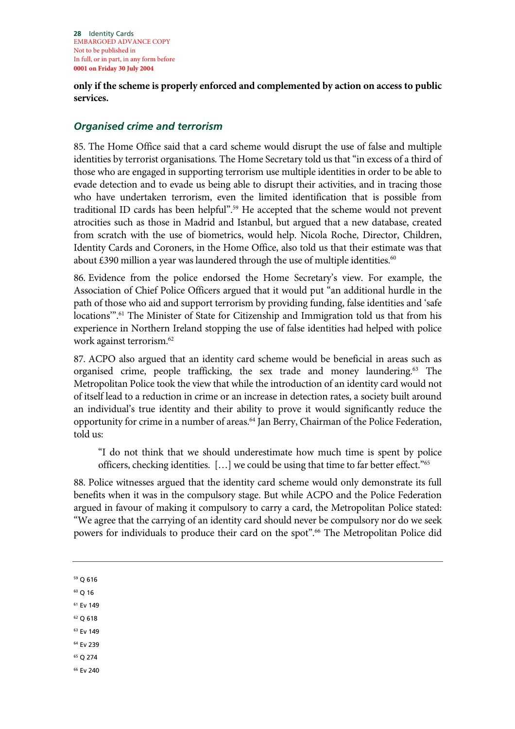**28** Identity Cards EMBARGOED ADVANCE COPY Not to be published in In full, or in part, in any form before **0001 on Friday 30 July 2004**

**only if the scheme is properly enforced and complemented by action on access to public services.** 

#### *Organised crime and terrorism*

85. The Home Office said that a card scheme would disrupt the use of false and multiple identities by terrorist organisations. The Home Secretary told us that "in excess of a third of those who are engaged in supporting terrorism use multiple identities in order to be able to evade detection and to evade us being able to disrupt their activities, and in tracing those who have undertaken terrorism, even the limited identification that is possible from traditional ID cards has been helpful".<sup>59</sup> He accepted that the scheme would not prevent atrocities such as those in Madrid and Istanbul, but argued that a new database, created from scratch with the use of biometrics, would help. Nicola Roche, Director, Children, Identity Cards and Coroners, in the Home Office, also told us that their estimate was that about  $£390$  million a year was laundered through the use of multiple identities.<sup>60</sup>

86. Evidence from the police endorsed the Home Secretary's view. For example, the Association of Chief Police Officers argued that it would put "an additional hurdle in the path of those who aid and support terrorism by providing funding, false identities and 'safe locations".<sup>61</sup> The Minister of State for Citizenship and Immigration told us that from his experience in Northern Ireland stopping the use of false identities had helped with police work against terrorism.62

87. ACPO also argued that an identity card scheme would be beneficial in areas such as organised crime, people trafficking, the sex trade and money laundering.63 The Metropolitan Police took the view that while the introduction of an identity card would not of itself lead to a reduction in crime or an increase in detection rates, a society built around an individual's true identity and their ability to prove it would significantly reduce the opportunity for crime in a number of areas.<sup>64</sup> Jan Berry, Chairman of the Police Federation, told us:

"I do not think that we should underestimate how much time is spent by police officers, checking identities. […] we could be using that time to far better effect."65

88. Police witnesses argued that the identity card scheme would only demonstrate its full benefits when it was in the compulsory stage. But while ACPO and the Police Federation argued in favour of making it compulsory to carry a card, the Metropolitan Police stated: "We agree that the carrying of an identity card should never be compulsory nor do we seek powers for individuals to produce their card on the spot".<sup>66</sup> The Metropolitan Police did

59 Q 616

 $60$  Q 16

- 61 Ev 149
- 62 Q 618
- 63 Ev 149
- 64 Ev 239
- 65 Q 274
- 66 Ev 240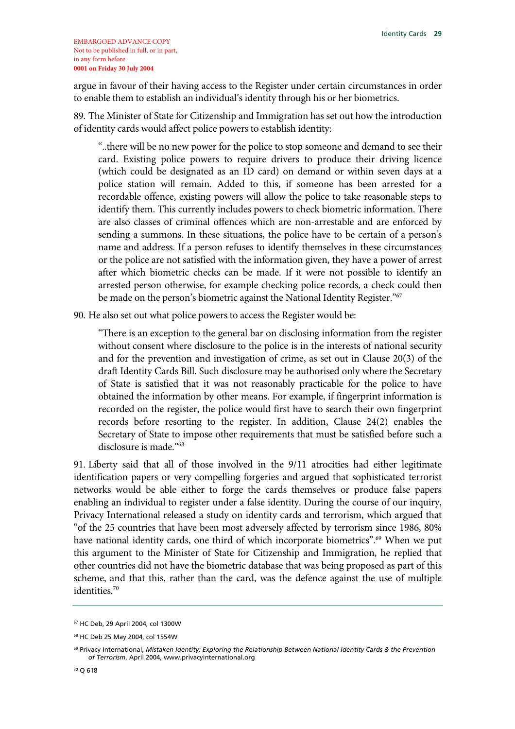argue in favour of their having access to the Register under certain circumstances in order to enable them to establish an individual's identity through his or her biometrics.

89. The Minister of State for Citizenship and Immigration has set out how the introduction of identity cards would affect police powers to establish identity:

"..there will be no new power for the police to stop someone and demand to see their card. Existing police powers to require drivers to produce their driving licence (which could be designated as an ID card) on demand or within seven days at a police station will remain. Added to this, if someone has been arrested for a recordable offence, existing powers will allow the police to take reasonable steps to identify them. This currently includes powers to check biometric information. There are also classes of criminal offences which are non-arrestable and are enforced by sending a summons. In these situations, the police have to be certain of a person's name and address. If a person refuses to identify themselves in these circumstances or the police are not satisfied with the information given, they have a power of arrest after which biometric checks can be made. If it were not possible to identify an arrested person otherwise, for example checking police records, a check could then be made on the person's biometric against the National Identity Register."<sup>67</sup>

90. He also set out what police powers to access the Register would be:

"There is an exception to the general bar on disclosing information from the register without consent where disclosure to the police is in the interests of national security and for the prevention and investigation of crime, as set out in Clause 20(3) of the draft Identity Cards Bill. Such disclosure may be authorised only where the Secretary of State is satisfied that it was not reasonably practicable for the police to have obtained the information by other means. For example, if fingerprint information is recorded on the register, the police would first have to search their own fingerprint records before resorting to the register. In addition, Clause 24(2) enables the Secretary of State to impose other requirements that must be satisfied before such a disclosure is made."68

91. Liberty said that all of those involved in the 9/11 atrocities had either legitimate identification papers or very compelling forgeries and argued that sophisticated terrorist networks would be able either to forge the cards themselves or produce false papers enabling an individual to register under a false identity. During the course of our inquiry, Privacy International released a study on identity cards and terrorism, which argued that "of the 25 countries that have been most adversely affected by terrorism since 1986, 80% have national identity cards, one third of which incorporate biometrics".<sup>69</sup> When we put this argument to the Minister of State for Citizenship and Immigration, he replied that other countries did not have the biometric database that was being proposed as part of this scheme, and that this, rather than the card, was the defence against the use of multiple identities.70

<sup>67</sup> HC Deb, 29 April 2004, col 1300W

<sup>68</sup> HC Deb 25 May 2004, col 1554W

<sup>69</sup> Privacy International, *Mistaken Identity; Exploring the Relationship Between National Identity Cards & the Prevention of Terrorism*, April 2004, www.privacyinternational.org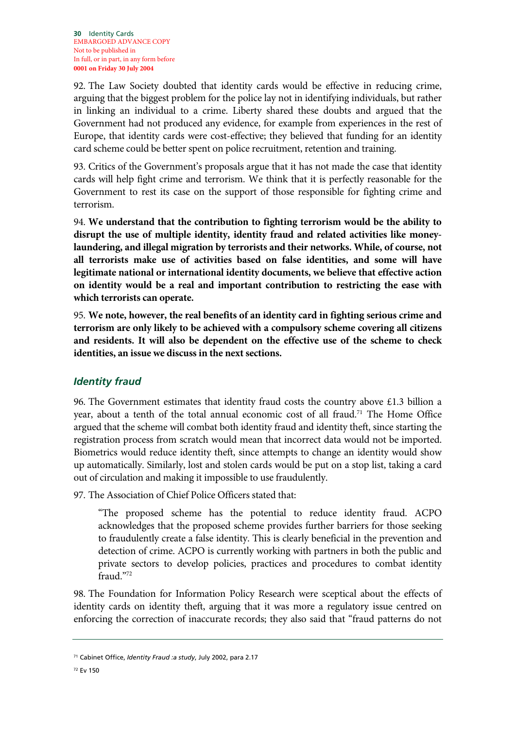92. The Law Society doubted that identity cards would be effective in reducing crime, arguing that the biggest problem for the police lay not in identifying individuals, but rather in linking an individual to a crime. Liberty shared these doubts and argued that the Government had not produced any evidence, for example from experiences in the rest of Europe, that identity cards were cost-effective; they believed that funding for an identity card scheme could be better spent on police recruitment, retention and training.

93. Critics of the Government's proposals argue that it has not made the case that identity cards will help fight crime and terrorism. We think that it is perfectly reasonable for the Government to rest its case on the support of those responsible for fighting crime and terrorism.

94. **We understand that the contribution to fighting terrorism would be the ability to disrupt the use of multiple identity, identity fraud and related activities like moneylaundering, and illegal migration by terrorists and their networks. While, of course, not all terrorists make use of activities based on false identities, and some will have legitimate national or international identity documents, we believe that effective action on identity would be a real and important contribution to restricting the ease with which terrorists can operate.**

95. **We note, however, the real benefits of an identity card in fighting serious crime and terrorism are only likely to be achieved with a compulsory scheme covering all citizens and residents. It will also be dependent on the effective use of the scheme to check identities, an issue we discuss in the next sections.**

#### *Identity fraud*

96. The Government estimates that identity fraud costs the country above £1.3 billion a year, about a tenth of the total annual economic cost of all fraud.<sup>71</sup> The Home Office argued that the scheme will combat both identity fraud and identity theft, since starting the registration process from scratch would mean that incorrect data would not be imported. Biometrics would reduce identity theft, since attempts to change an identity would show up automatically. Similarly, lost and stolen cards would be put on a stop list, taking a card out of circulation and making it impossible to use fraudulently.

97. The Association of Chief Police Officers stated that:

"The proposed scheme has the potential to reduce identity fraud. ACPO acknowledges that the proposed scheme provides further barriers for those seeking to fraudulently create a false identity. This is clearly beneficial in the prevention and detection of crime. ACPO is currently working with partners in both the public and private sectors to develop policies, practices and procedures to combat identity fraud."72

98. The Foundation for Information Policy Research were sceptical about the effects of identity cards on identity theft, arguing that it was more a regulatory issue centred on enforcing the correction of inaccurate records; they also said that "fraud patterns do not

<sup>71</sup> Cabinet Office, *Identity Fraud :a study*, July 2002, para 2.17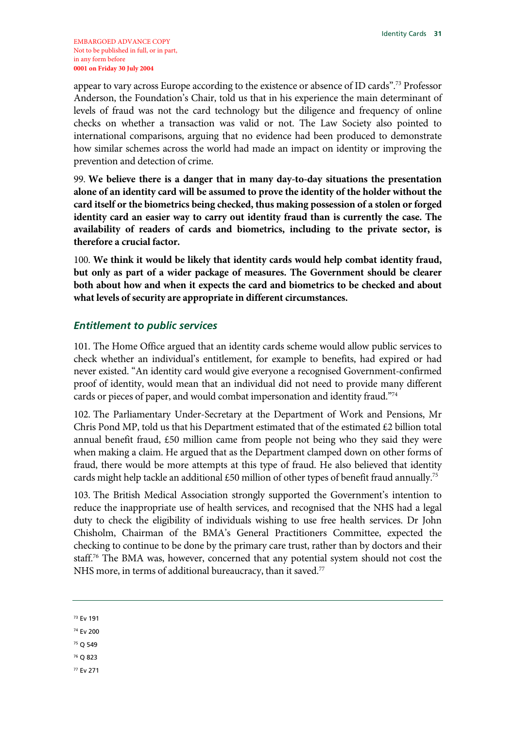appear to vary across Europe according to the existence or absence of ID cards".73 Professor Anderson, the Foundation's Chair, told us that in his experience the main determinant of levels of fraud was not the card technology but the diligence and frequency of online checks on whether a transaction was valid or not. The Law Society also pointed to international comparisons, arguing that no evidence had been produced to demonstrate how similar schemes across the world had made an impact on identity or improving the prevention and detection of crime.

99. **We believe there is a danger that in many day-to-day situations the presentation alone of an identity card will be assumed to prove the identity of the holder without the card itself or the biometrics being checked, thus making possession of a stolen or forged identity card an easier way to carry out identity fraud than is currently the case. The availability of readers of cards and biometrics, including to the private sector, is therefore a crucial factor.**

100. **We think it would be likely that identity cards would help combat identity fraud, but only as part of a wider package of measures. The Government should be clearer both about how and when it expects the card and biometrics to be checked and about what levels of security are appropriate in different circumstances.** 

#### *Entitlement to public services*

101. The Home Office argued that an identity cards scheme would allow public services to check whether an individual's entitlement, for example to benefits, had expired or had never existed. "An identity card would give everyone a recognised Government-confirmed proof of identity, would mean that an individual did not need to provide many different cards or pieces of paper, and would combat impersonation and identity fraud."74

102. The Parliamentary Under-Secretary at the Department of Work and Pensions, Mr Chris Pond MP, told us that his Department estimated that of the estimated  $\epsilon$ 2 billion total annual benefit fraud, £50 million came from people not being who they said they were when making a claim. He argued that as the Department clamped down on other forms of fraud, there would be more attempts at this type of fraud. He also believed that identity cards might help tackle an additional £50 million of other types of benefit fraud annually.<sup>75</sup>

103. The British Medical Association strongly supported the Government's intention to reduce the inappropriate use of health services, and recognised that the NHS had a legal duty to check the eligibility of individuals wishing to use free health services. Dr John Chisholm, Chairman of the BMA's General Practitioners Committee, expected the checking to continue to be done by the primary care trust, rather than by doctors and their staff.76 The BMA was, however, concerned that any potential system should not cost the NHS more, in terms of additional bureaucracy, than it saved.<sup>77</sup>

- 74 Ev 200
- 75 Q 549
- 76 Q 823
- 77 Ev 271

<sup>73</sup> Ev 191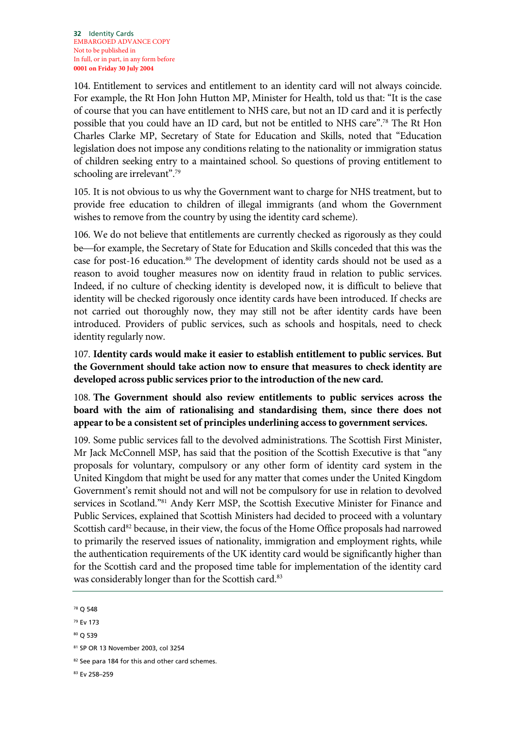104. Entitlement to services and entitlement to an identity card will not always coincide. For example, the Rt Hon John Hutton MP, Minister for Health, told us that: "It is the case of course that you can have entitlement to NHS care, but not an ID card and it is perfectly possible that you could have an ID card, but not be entitled to NHS care".78 The Rt Hon Charles Clarke MP, Secretary of State for Education and Skills, noted that "Education legislation does not impose any conditions relating to the nationality or immigration status of children seeking entry to a maintained school. So questions of proving entitlement to schooling are irrelevant".<sup>79</sup>

105. It is not obvious to us why the Government want to charge for NHS treatment, but to provide free education to children of illegal immigrants (and whom the Government wishes to remove from the country by using the identity card scheme).

106. We do not believe that entitlements are currently checked as rigorously as they could be—for example, the Secretary of State for Education and Skills conceded that this was the case for post-16 education.<sup>80</sup> The development of identity cards should not be used as a reason to avoid tougher measures now on identity fraud in relation to public services. Indeed, if no culture of checking identity is developed now, it is difficult to believe that identity will be checked rigorously once identity cards have been introduced. If checks are not carried out thoroughly now, they may still not be after identity cards have been introduced. Providers of public services, such as schools and hospitals, need to check identity regularly now.

107. **Identity cards would make it easier to establish entitlement to public services. But the Government should take action now to ensure that measures to check identity are developed across public services prior to the introduction of the new card.**

108. **The Government should also review entitlements to public services across the board with the aim of rationalising and standardising them, since there does not appear to be a consistent set of principles underlining access to government services.**

109. Some public services fall to the devolved administrations. The Scottish First Minister, Mr Jack McConnell MSP, has said that the position of the Scottish Executive is that "any proposals for voluntary, compulsory or any other form of identity card system in the United Kingdom that might be used for any matter that comes under the United Kingdom Government's remit should not and will not be compulsory for use in relation to devolved services in Scotland."<sup>81</sup> Andy Kerr MSP, the Scottish Executive Minister for Finance and Public Services, explained that Scottish Ministers had decided to proceed with a voluntary Scottish card<sup>82</sup> because, in their view, the focus of the Home Office proposals had narrowed to primarily the reserved issues of nationality, immigration and employment rights, while the authentication requirements of the UK identity card would be significantly higher than for the Scottish card and the proposed time table for implementation of the identity card was considerably longer than for the Scottish card.<sup>83</sup>

<sup>78</sup> Q 548

<sup>79</sup> Ev 173

<sup>80</sup> Q 539

<sup>81</sup> SP OR 13 November 2003, col 3254

<sup>82</sup> See para 184 for this and other card schemes.

<sup>83</sup> Ev 258–259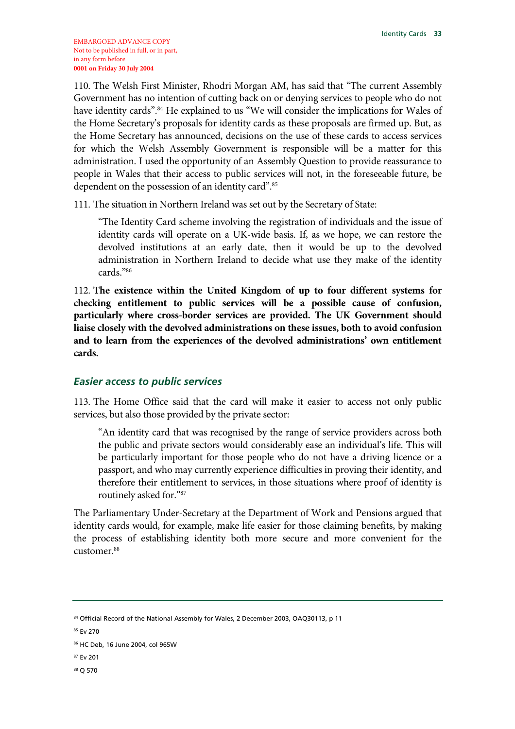110. The Welsh First Minister, Rhodri Morgan AM, has said that "The current Assembly Government has no intention of cutting back on or denying services to people who do not have identity cards".84 He explained to us "We will consider the implications for Wales of the Home Secretary's proposals for identity cards as these proposals are firmed up. But, as the Home Secretary has announced, decisions on the use of these cards to access services for which the Welsh Assembly Government is responsible will be a matter for this administration. I used the opportunity of an Assembly Question to provide reassurance to people in Wales that their access to public services will not, in the foreseeable future, be dependent on the possession of an identity card".<sup>85</sup>

111. The situation in Northern Ireland was set out by the Secretary of State:

"The Identity Card scheme involving the registration of individuals and the issue of identity cards will operate on a UK-wide basis. If, as we hope, we can restore the devolved institutions at an early date, then it would be up to the devolved administration in Northern Ireland to decide what use they make of the identity cards."86

112. **The existence within the United Kingdom of up to four different systems for checking entitlement to public services will be a possible cause of confusion, particularly where cross-border services are provided. The UK Government should liaise closely with the devolved administrations on these issues, both to avoid confusion and to learn from the experiences of the devolved administrations' own entitlement cards.**

### *Easier access to public services*

113. The Home Office said that the card will make it easier to access not only public services, but also those provided by the private sector:

"An identity card that was recognised by the range of service providers across both the public and private sectors would considerably ease an individual's life. This will be particularly important for those people who do not have a driving licence or a passport, and who may currently experience difficulties in proving their identity, and therefore their entitlement to services, in those situations where proof of identity is routinely asked for."87

The Parliamentary Under-Secretary at the Department of Work and Pensions argued that identity cards would, for example, make life easier for those claiming benefits, by making the process of establishing identity both more secure and more convenient for the customer.<sup>88</sup>

88 Q 570

<sup>84</sup> Official Record of the National Assembly for Wales, 2 December 2003, OAQ30113, p 11

<sup>85</sup> Ev 270

<sup>86</sup> HC Deb, 16 June 2004, col 965W

<sup>87</sup> Ev 201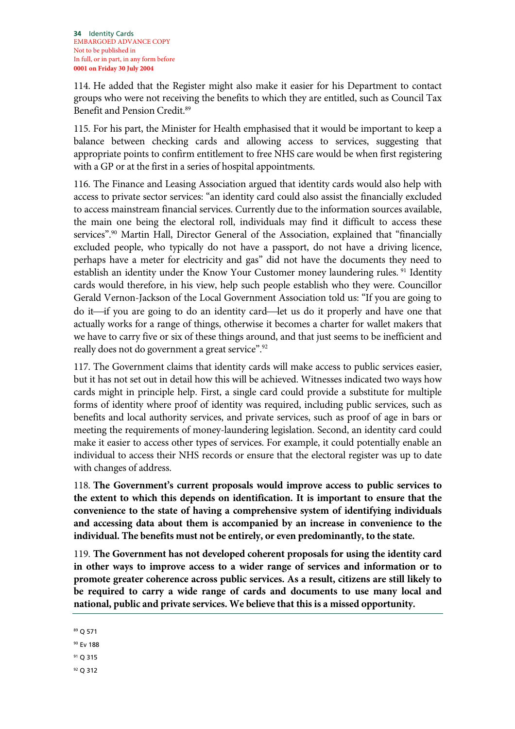114. He added that the Register might also make it easier for his Department to contact groups who were not receiving the benefits to which they are entitled, such as Council Tax Benefit and Pension Credit.89

115. For his part, the Minister for Health emphasised that it would be important to keep a balance between checking cards and allowing access to services, suggesting that appropriate points to confirm entitlement to free NHS care would be when first registering with a GP or at the first in a series of hospital appointments.

116. The Finance and Leasing Association argued that identity cards would also help with access to private sector services: "an identity card could also assist the financially excluded to access mainstream financial services. Currently due to the information sources available, the main one being the electoral roll, individuals may find it difficult to access these services".<sup>90</sup> Martin Hall, Director General of the Association, explained that "financially excluded people, who typically do not have a passport, do not have a driving licence, perhaps have a meter for electricity and gas" did not have the documents they need to establish an identity under the Know Your Customer money laundering rules.<sup>91</sup> Identity cards would therefore, in his view, help such people establish who they were. Councillor Gerald Vernon-Jackson of the Local Government Association told us: "If you are going to do it—if you are going to do an identity card—let us do it properly and have one that actually works for a range of things, otherwise it becomes a charter for wallet makers that we have to carry five or six of these things around, and that just seems to be inefficient and really does not do government a great service".<sup>92</sup>

117. The Government claims that identity cards will make access to public services easier, but it has not set out in detail how this will be achieved. Witnesses indicated two ways how cards might in principle help. First, a single card could provide a substitute for multiple forms of identity where proof of identity was required, including public services, such as benefits and local authority services, and private services, such as proof of age in bars or meeting the requirements of money-laundering legislation. Second, an identity card could make it easier to access other types of services. For example, it could potentially enable an individual to access their NHS records or ensure that the electoral register was up to date with changes of address.

118. **The Government's current proposals would improve access to public services to the extent to which this depends on identification. It is important to ensure that the convenience to the state of having a comprehensive system of identifying individuals and accessing data about them is accompanied by an increase in convenience to the individual. The benefits must not be entirely, or even predominantly, to the state.**

119. **The Government has not developed coherent proposals for using the identity card in other ways to improve access to a wider range of services and information or to promote greater coherence across public services. As a result, citizens are still likely to be required to carry a wide range of cards and documents to use many local and national, public and private services. We believe that this is a missed opportunity.**

89 Q 571

90 Ev 188

91 Q 315

92 Q 312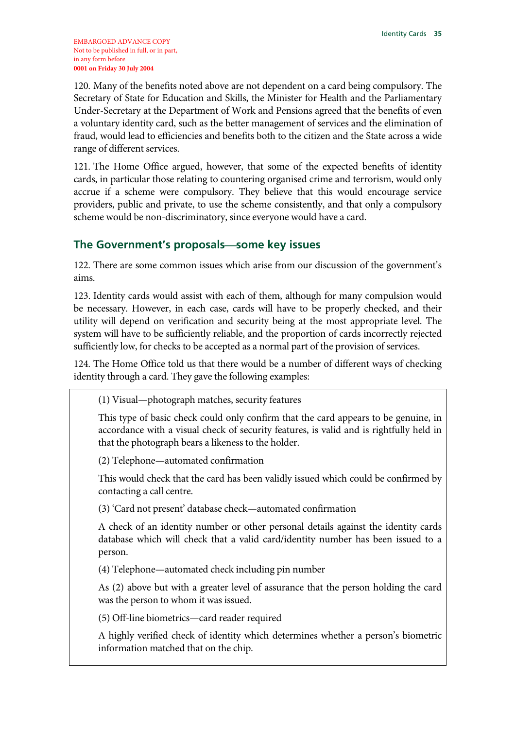120. Many of the benefits noted above are not dependent on a card being compulsory. The Secretary of State for Education and Skills, the Minister for Health and the Parliamentary Under-Secretary at the Department of Work and Pensions agreed that the benefits of even a voluntary identity card, such as the better management of services and the elimination of fraud, would lead to efficiencies and benefits both to the citizen and the State across a wide range of different services.

121. The Home Office argued, however, that some of the expected benefits of identity cards, in particular those relating to countering organised crime and terrorism, would only accrue if a scheme were compulsory. They believe that this would encourage service providers, public and private, to use the scheme consistently, and that only a compulsory scheme would be non-discriminatory, since everyone would have a card.

### **The Government's proposalssome key issues**

122. There are some common issues which arise from our discussion of the government's aims.

123. Identity cards would assist with each of them, although for many compulsion would be necessary. However, in each case, cards will have to be properly checked, and their utility will depend on verification and security being at the most appropriate level. The system will have to be sufficiently reliable, and the proportion of cards incorrectly rejected sufficiently low, for checks to be accepted as a normal part of the provision of services.

124. The Home Office told us that there would be a number of different ways of checking identity through a card. They gave the following examples:

(1) Visual—photograph matches, security features

This type of basic check could only confirm that the card appears to be genuine, in accordance with a visual check of security features, is valid and is rightfully held in that the photograph bears a likeness to the holder.

(2) Telephone—automated confirmation

This would check that the card has been validly issued which could be confirmed by contacting a call centre.

(3) 'Card not present' database check—automated confirmation

A check of an identity number or other personal details against the identity cards database which will check that a valid card/identity number has been issued to a person.

(4) Telephone—automated check including pin number

As (2) above but with a greater level of assurance that the person holding the card was the person to whom it was issued.

(5) Off-line biometrics—card reader required

A highly verified check of identity which determines whether a person's biometric information matched that on the chip.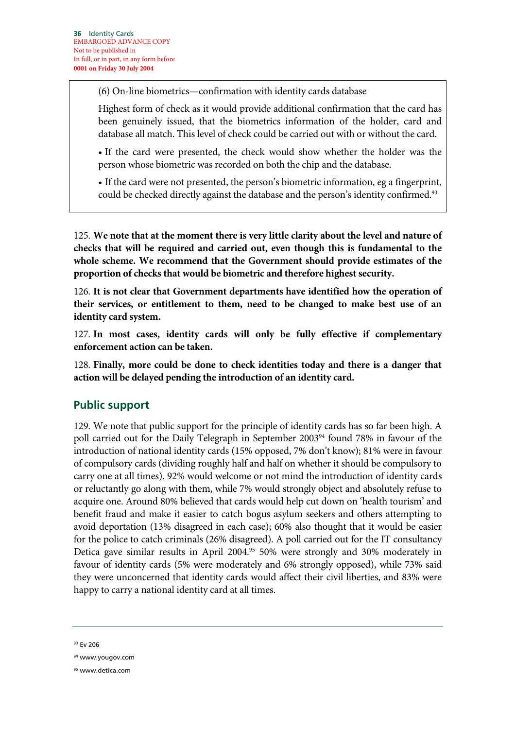(6) On-line biometrics—confirmation with identity cards database

Highest form of check as it would provide additional confirmation that the card has been genuinely issued, that the biometrics information of the holder, card and database all match. This level of check could be carried out with or without the card.

• If the card were presented, the check would show whether the holder was the person whose biometric was recorded on both the chip and the database.

• If the card were not presented, the person's biometric information, eg a fingerprint, could be checked directly against the database and the person's identity confirmed.<sup>93</sup>

125. **We note that at the moment there is very little clarity about the level and nature of checks that will be required and carried out, even though this is fundamental to the whole scheme. We recommend that the Government should provide estimates of the proportion of checks that would be biometric and therefore highest security.**

126. **It is not clear that Government departments have identified how the operation of their services, or entitlement to them, need to be changed to make best use of an identity card system.**

127. **In most cases, identity cards will only be fully effective if complementary enforcement action can be taken.**

128. **Finally, more could be done to check identities today and there is a danger that action will be delayed pending the introduction of an identity card.**

# **Public support**

129. We note that public support for the principle of identity cards has so far been high. A poll carried out for the Daily Telegraph in September 2003<sup>94</sup> found 78% in favour of the introduction of national identity cards (15% opposed, 7% don't know); 81% were in favour of compulsory cards (dividing roughly half and half on whether it should be compulsory to carry one at all times). 92% would welcome or not mind the introduction of identity cards or reluctantly go along with them, while 7% would strongly object and absolutely refuse to acquire one. Around 80% believed that cards would help cut down on 'health tourism' and benefit fraud and make it easier to catch bogus asylum seekers and others attempting to avoid deportation (13% disagreed in each case); 60% also thought that it would be easier for the police to catch criminals (26% disagreed). A poll carried out for the IT consultancy Detica gave similar results in April 2004.<sup>95</sup> 50% were strongly and 30% moderately in favour of identity cards (5% were moderately and 6% strongly opposed), while 73% said they were unconcerned that identity cards would affect their civil liberties, and 83% were happy to carry a national identity card at all times.

93 Ev 206

<sup>94</sup> www.yougov.com

<sup>95</sup> www.detica.com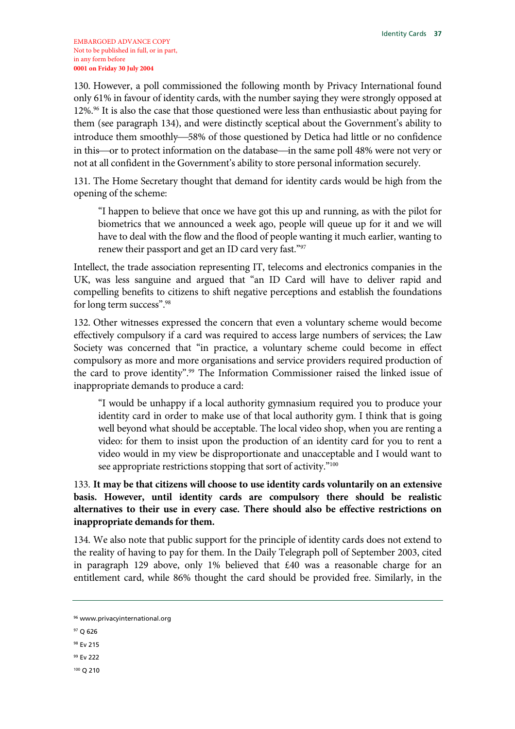130. However, a poll commissioned the following month by Privacy International found only 61% in favour of identity cards, with the number saying they were strongly opposed at 12%.96 It is also the case that those questioned were less than enthusiastic about paying for them (see paragraph 134), and were distinctly sceptical about the Government's ability to introduce them smoothly—58% of those questioned by Detica had little or no confidence in this—or to protect information on the database—in the same poll 48% were not very or not at all confident in the Government's ability to store personal information securely.

131. The Home Secretary thought that demand for identity cards would be high from the opening of the scheme:

"I happen to believe that once we have got this up and running, as with the pilot for biometrics that we announced a week ago, people will queue up for it and we will have to deal with the flow and the flood of people wanting it much earlier, wanting to renew their passport and get an ID card very fast."97

Intellect, the trade association representing IT, telecoms and electronics companies in the UK, was less sanguine and argued that "an ID Card will have to deliver rapid and compelling benefits to citizens to shift negative perceptions and establish the foundations for long term success".<sup>98</sup>

132. Other witnesses expressed the concern that even a voluntary scheme would become effectively compulsory if a card was required to access large numbers of services; the Law Society was concerned that "in practice, a voluntary scheme could become in effect compulsory as more and more organisations and service providers required production of the card to prove identity".<sup>99</sup> The Information Commissioner raised the linked issue of inappropriate demands to produce a card:

"I would be unhappy if a local authority gymnasium required you to produce your identity card in order to make use of that local authority gym. I think that is going well beyond what should be acceptable. The local video shop, when you are renting a video: for them to insist upon the production of an identity card for you to rent a video would in my view be disproportionate and unacceptable and I would want to see appropriate restrictions stopping that sort of activity."<sup>100</sup>

133. **It may be that citizens will choose to use identity cards voluntarily on an extensive basis. However, until identity cards are compulsory there should be realistic alternatives to their use in every case. There should also be effective restrictions on inappropriate demands for them.**

134. We also note that public support for the principle of identity cards does not extend to the reality of having to pay for them. In the Daily Telegraph poll of September 2003, cited in paragraph 129 above, only 1% believed that  $\text{\pounds}40$  was a reasonable charge for an entitlement card, while 86% thought the card should be provided free. Similarly, in the

- 98 Ev 215
- 99 Ev 222
- 100 Q 210

<sup>96</sup> www.privacyinternational.org

<sup>97</sup> Q 626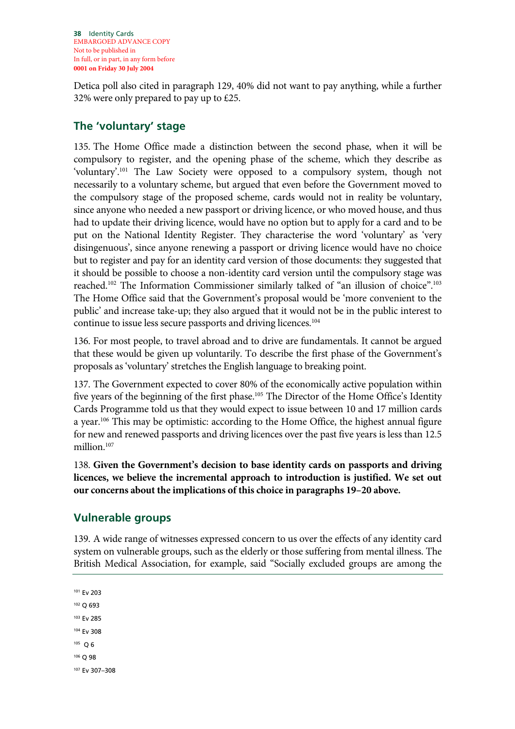Detica poll also cited in paragraph 129, 40% did not want to pay anything, while a further 32% were only prepared to pay up to £25.

## **The 'voluntary' stage**

135. The Home Office made a distinction between the second phase, when it will be compulsory to register, and the opening phase of the scheme, which they describe as 'voluntary'.101 The Law Society were opposed to a compulsory system, though not necessarily to a voluntary scheme, but argued that even before the Government moved to the compulsory stage of the proposed scheme, cards would not in reality be voluntary, since anyone who needed a new passport or driving licence, or who moved house, and thus had to update their driving licence, would have no option but to apply for a card and to be put on the National Identity Register. They characterise the word 'voluntary' as 'very disingenuous', since anyone renewing a passport or driving licence would have no choice but to register and pay for an identity card version of those documents: they suggested that it should be possible to choose a non-identity card version until the compulsory stage was reached.102 The Information Commissioner similarly talked of "an illusion of choice".103 The Home Office said that the Government's proposal would be 'more convenient to the public' and increase take-up; they also argued that it would not be in the public interest to continue to issue less secure passports and driving licences.<sup>104</sup>

136. For most people, to travel abroad and to drive are fundamentals. It cannot be argued that these would be given up voluntarily. To describe the first phase of the Government's proposals as 'voluntary' stretches the English language to breaking point.

137. The Government expected to cover 80% of the economically active population within five years of the beginning of the first phase.<sup>105</sup> The Director of the Home Office's Identity Cards Programme told us that they would expect to issue between 10 and 17 million cards a year.<sup>106</sup> This may be optimistic: according to the Home Office, the highest annual figure for new and renewed passports and driving licences over the past five years is less than 12.5 million.107

138. **Given the Government's decision to base identity cards on passports and driving licences, we believe the incremental approach to introduction is justified. We set out our concerns about the implications of this choice in paragraphs 19–20 above.**

# **Vulnerable groups**

139. A wide range of witnesses expressed concern to us over the effects of any identity card system on vulnerable groups, such as the elderly or those suffering from mental illness. The British Medical Association, for example, said "Socially excluded groups are among the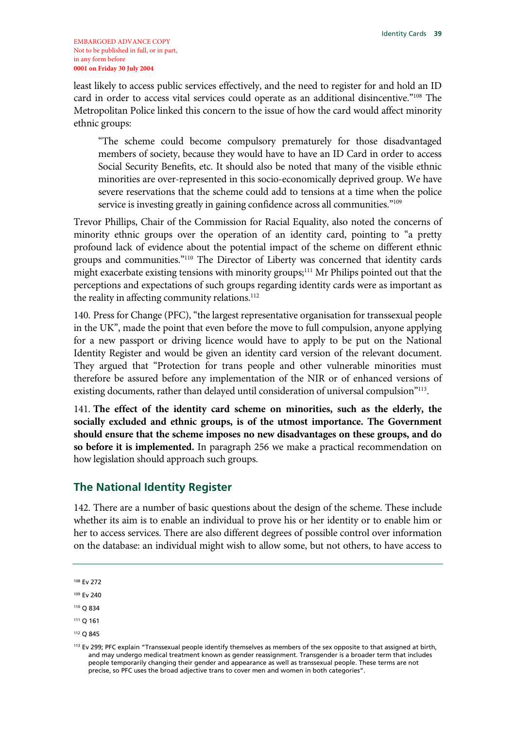least likely to access public services effectively, and the need to register for and hold an ID card in order to access vital services could operate as an additional disincentive."108 The Metropolitan Police linked this concern to the issue of how the card would affect minority ethnic groups:

"The scheme could become compulsory prematurely for those disadvantaged members of society, because they would have to have an ID Card in order to access Social Security Benefits, etc. It should also be noted that many of the visible ethnic minorities are over-represented in this socio-economically deprived group. We have severe reservations that the scheme could add to tensions at a time when the police service is investing greatly in gaining confidence across all communities."<sup>109</sup>

Trevor Phillips, Chair of the Commission for Racial Equality, also noted the concerns of minority ethnic groups over the operation of an identity card, pointing to "a pretty profound lack of evidence about the potential impact of the scheme on different ethnic groups and communities."110 The Director of Liberty was concerned that identity cards might exacerbate existing tensions with minority groups;<sup>111</sup> Mr Philips pointed out that the perceptions and expectations of such groups regarding identity cards were as important as the reality in affecting community relations.<sup>112</sup>

140. Press for Change (PFC), "the largest representative organisation for transsexual people in the UK", made the point that even before the move to full compulsion, anyone applying for a new passport or driving licence would have to apply to be put on the National Identity Register and would be given an identity card version of the relevant document. They argued that "Protection for trans people and other vulnerable minorities must therefore be assured before any implementation of the NIR or of enhanced versions of existing documents, rather than delayed until consideration of universal compulsion<sup>"113</sup>.

141. **The effect of the identity card scheme on minorities, such as the elderly, the socially excluded and ethnic groups, is of the utmost importance. The Government should ensure that the scheme imposes no new disadvantages on these groups, and do so before it is implemented.** In paragraph 256 we make a practical recommendation on how legislation should approach such groups.

### **The National Identity Register**

142. There are a number of basic questions about the design of the scheme. These include whether its aim is to enable an individual to prove his or her identity or to enable him or her to access services. There are also different degrees of possible control over information on the database: an individual might wish to allow some, but not others, to have access to

- 110 Q 834
- 111 Q 161
- 112 Q 845

<sup>108</sup> Ev 272

<sup>109</sup> Ev 240

<sup>&</sup>lt;sup>113</sup> Ev 299; PFC explain "Transsexual people identify themselves as members of the sex opposite to that assigned at birth, and may undergo medical treatment known as gender reassignment. Transgender is a broader term that includes people temporarily changing their gender and appearance as well as transsexual people. These terms are not precise, so PFC uses the broad adjective trans to cover men and women in both categories".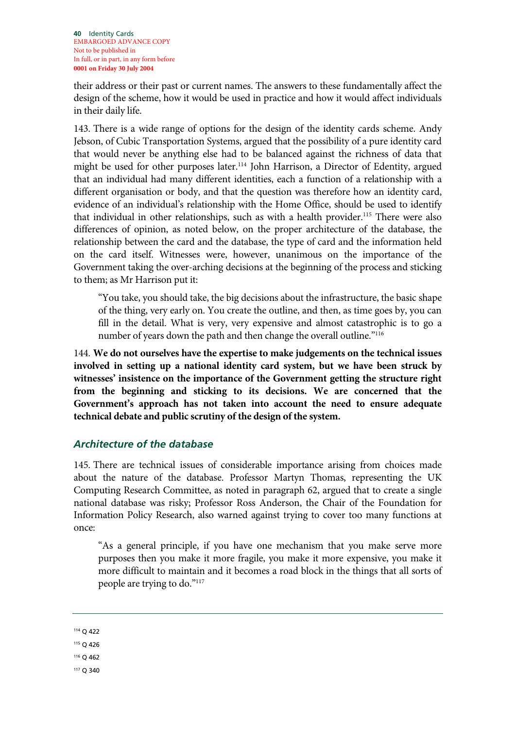their address or their past or current names. The answers to these fundamentally affect the design of the scheme, how it would be used in practice and how it would affect individuals in their daily life.

143. There is a wide range of options for the design of the identity cards scheme. Andy Jebson, of Cubic Transportation Systems, argued that the possibility of a pure identity card that would never be anything else had to be balanced against the richness of data that might be used for other purposes later.<sup>114</sup> John Harrison, a Director of Edentity, argued that an individual had many different identities, each a function of a relationship with a different organisation or body, and that the question was therefore how an identity card, evidence of an individual's relationship with the Home Office, should be used to identify that individual in other relationships, such as with a health provider.<sup>115</sup> There were also differences of opinion, as noted below, on the proper architecture of the database, the relationship between the card and the database, the type of card and the information held on the card itself. Witnesses were, however, unanimous on the importance of the Government taking the over-arching decisions at the beginning of the process and sticking to them; as Mr Harrison put it:

"You take, you should take, the big decisions about the infrastructure, the basic shape of the thing, very early on. You create the outline, and then, as time goes by, you can fill in the detail. What is very, very expensive and almost catastrophic is to go a number of years down the path and then change the overall outline."<sup>116</sup>

144. **We do not ourselves have the expertise to make judgements on the technical issues involved in setting up a national identity card system, but we have been struck by witnesses' insistence on the importance of the Government getting the structure right from the beginning and sticking to its decisions. We are concerned that the Government's approach has not taken into account the need to ensure adequate technical debate and public scrutiny of the design of the system.**

### *Architecture of the database*

145. There are technical issues of considerable importance arising from choices made about the nature of the database. Professor Martyn Thomas, representing the UK Computing Research Committee, as noted in paragraph 62, argued that to create a single national database was risky; Professor Ross Anderson, the Chair of the Foundation for Information Policy Research, also warned against trying to cover too many functions at once:

"As a general principle, if you have one mechanism that you make serve more purposes then you make it more fragile, you make it more expensive, you make it more difficult to maintain and it becomes a road block in the things that all sorts of people are trying to do."117

114 Q 422

- 115 Q 426
- 116 Q 462

117 Q 340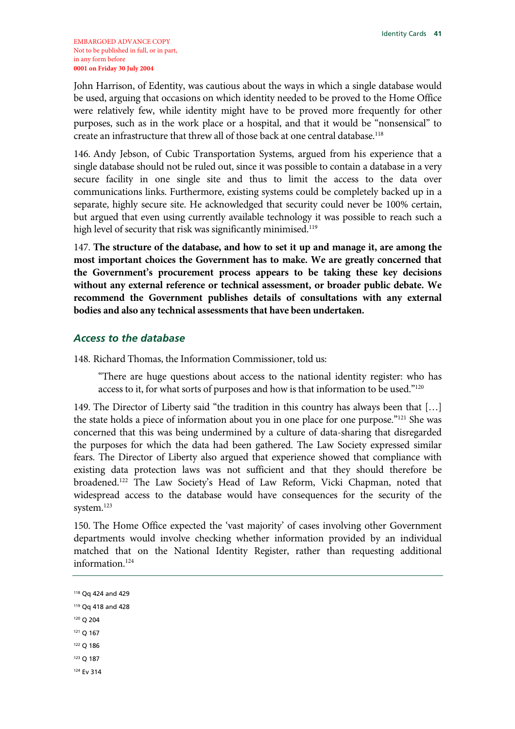John Harrison, of Edentity, was cautious about the ways in which a single database would be used, arguing that occasions on which identity needed to be proved to the Home Office were relatively few, while identity might have to be proved more frequently for other purposes, such as in the work place or a hospital, and that it would be "nonsensical" to create an infrastructure that threw all of those back at one central database.118

146. Andy Jebson, of Cubic Transportation Systems, argued from his experience that a single database should not be ruled out, since it was possible to contain a database in a very secure facility in one single site and thus to limit the access to the data over communications links. Furthermore, existing systems could be completely backed up in a separate, highly secure site. He acknowledged that security could never be 100% certain, but argued that even using currently available technology it was possible to reach such a high level of security that risk was significantly minimised.<sup>119</sup>

147. **The structure of the database, and how to set it up and manage it, are among the most important choices the Government has to make. We are greatly concerned that the Government's procurement process appears to be taking these key decisions without any external reference or technical assessment, or broader public debate. We recommend the Government publishes details of consultations with any external bodies and also any technical assessments that have been undertaken.**

### *Access to the database*

148. Richard Thomas, the Information Commissioner, told us:

"There are huge questions about access to the national identity register: who has access to it, for what sorts of purposes and how is that information to be used."120

149. The Director of Liberty said "the tradition in this country has always been that […] the state holds a piece of information about you in one place for one purpose."<sup>121</sup> She was concerned that this was being undermined by a culture of data-sharing that disregarded the purposes for which the data had been gathered. The Law Society expressed similar fears. The Director of Liberty also argued that experience showed that compliance with existing data protection laws was not sufficient and that they should therefore be broadened.122 The Law Society's Head of Law Reform, Vicki Chapman, noted that widespread access to the database would have consequences for the security of the system.<sup>123</sup>

150. The Home Office expected the 'vast majority' of cases involving other Government departments would involve checking whether information provided by an individual matched that on the National Identity Register, rather than requesting additional information.<sup>124</sup>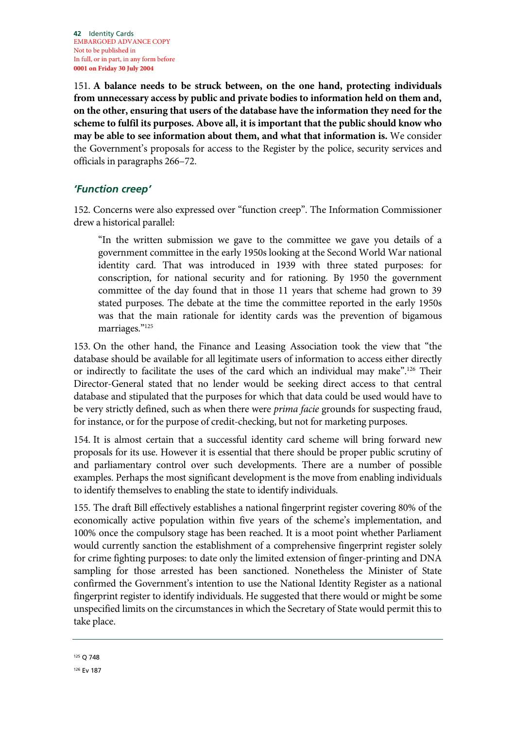151. **A balance needs to be struck between, on the one hand, protecting individuals from unnecessary access by public and private bodies to information held on them and, on the other, ensuring that users of the database have the information they need for the scheme to fulfil its purposes. Above all, it is important that the public should know who may be able to see information about them, and what that information is.** We consider the Government's proposals for access to the Register by the police, security services and officials in paragraphs 266–72.

### *'Function creep'*

152. Concerns were also expressed over "function creep". The Information Commissioner drew a historical parallel:

"In the written submission we gave to the committee we gave you details of a government committee in the early 1950s looking at the Second World War national identity card. That was introduced in 1939 with three stated purposes: for conscription, for national security and for rationing. By 1950 the government committee of the day found that in those 11 years that scheme had grown to 39 stated purposes. The debate at the time the committee reported in the early 1950s was that the main rationale for identity cards was the prevention of bigamous marriages."125

153. On the other hand, the Finance and Leasing Association took the view that "the database should be available for all legitimate users of information to access either directly or indirectly to facilitate the uses of the card which an individual may make".<sup>126</sup> Their Director-General stated that no lender would be seeking direct access to that central database and stipulated that the purposes for which that data could be used would have to be very strictly defined, such as when there were *prima facie* grounds for suspecting fraud, for instance, or for the purpose of credit-checking, but not for marketing purposes.

154. It is almost certain that a successful identity card scheme will bring forward new proposals for its use. However it is essential that there should be proper public scrutiny of and parliamentary control over such developments. There are a number of possible examples. Perhaps the most significant development is the move from enabling individuals to identify themselves to enabling the state to identify individuals.

155. The draft Bill effectively establishes a national fingerprint register covering 80% of the economically active population within five years of the scheme's implementation, and 100% once the compulsory stage has been reached. It is a moot point whether Parliament would currently sanction the establishment of a comprehensive fingerprint register solely for crime fighting purposes: to date only the limited extension of finger-printing and DNA sampling for those arrested has been sanctioned. Nonetheless the Minister of State confirmed the Government's intention to use the National Identity Register as a national fingerprint register to identify individuals. He suggested that there would or might be some unspecified limits on the circumstances in which the Secretary of State would permit this to take place.

<sup>125</sup> Q 748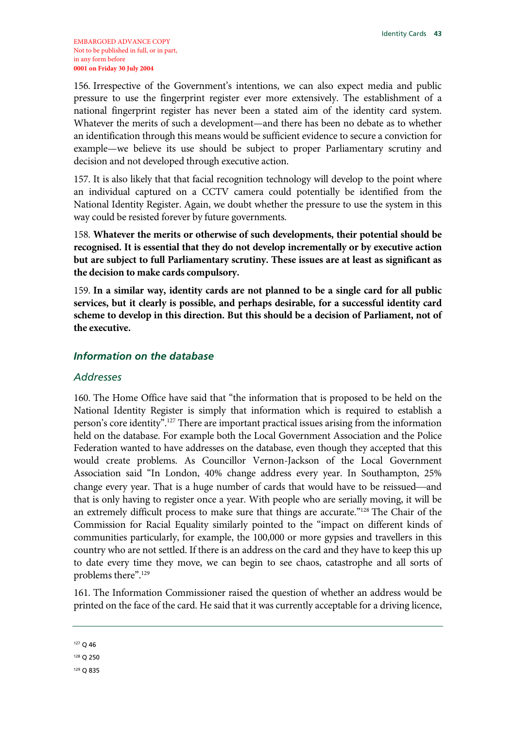156. Irrespective of the Government's intentions, we can also expect media and public pressure to use the fingerprint register ever more extensively. The establishment of a national fingerprint register has never been a stated aim of the identity card system. Whatever the merits of such a development—and there has been no debate as to whether an identification through this means would be sufficient evidence to secure a conviction for example—we believe its use should be subject to proper Parliamentary scrutiny and decision and not developed through executive action.

157. It is also likely that that facial recognition technology will develop to the point where an individual captured on a CCTV camera could potentially be identified from the National Identity Register. Again, we doubt whether the pressure to use the system in this way could be resisted forever by future governments.

158. **Whatever the merits or otherwise of such developments, their potential should be recognised. It is essential that they do not develop incrementally or by executive action but are subject to full Parliamentary scrutiny. These issues are at least as significant as the decision to make cards compulsory.**

159. **In a similar way, identity cards are not planned to be a single card for all public services, but it clearly is possible, and perhaps desirable, for a successful identity card scheme to develop in this direction. But this should be a decision of Parliament, not of the executive.** 

### *Information on the database*

#### *Addresses*

160. The Home Office have said that "the information that is proposed to be held on the National Identity Register is simply that information which is required to establish a person's core identity".127 There are important practical issues arising from the information held on the database. For example both the Local Government Association and the Police Federation wanted to have addresses on the database, even though they accepted that this would create problems. As Councillor Vernon-Jackson of the Local Government Association said "In London, 40% change address every year. In Southampton, 25% change every year. That is a huge number of cards that would have to be reissued—and that is only having to register once a year. With people who are serially moving, it will be an extremely difficult process to make sure that things are accurate."128 The Chair of the Commission for Racial Equality similarly pointed to the "impact on different kinds of communities particularly, for example, the 100,000 or more gypsies and travellers in this country who are not settled. If there is an address on the card and they have to keep this up to date every time they move, we can begin to see chaos, catastrophe and all sorts of problems there".129

161. The Information Commissioner raised the question of whether an address would be printed on the face of the card. He said that it was currently acceptable for a driving licence,

129 Q 835

<sup>127</sup> Q 46

<sup>128</sup> Q 250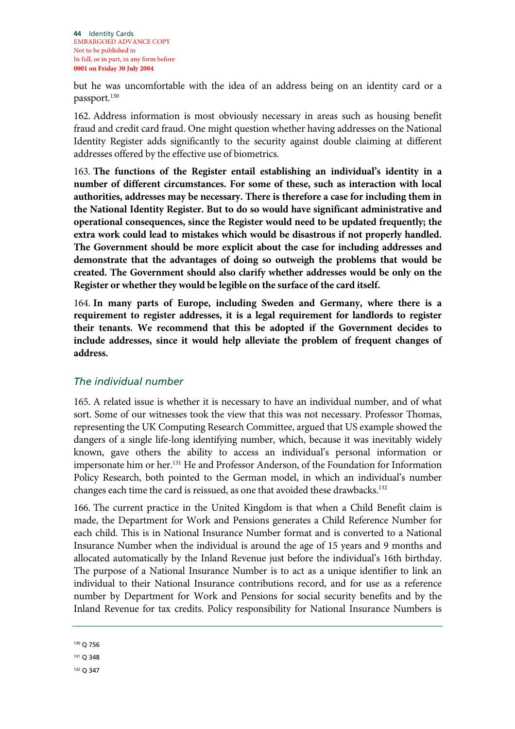but he was uncomfortable with the idea of an address being on an identity card or a passport.<sup>130</sup>

162. Address information is most obviously necessary in areas such as housing benefit fraud and credit card fraud. One might question whether having addresses on the National Identity Register adds significantly to the security against double claiming at different addresses offered by the effective use of biometrics.

163. **The functions of the Register entail establishing an individual's identity in a number of different circumstances. For some of these, such as interaction with local authorities, addresses may be necessary. There is therefore a case for including them in the National Identity Register. But to do so would have significant administrative and operational consequences, since the Register would need to be updated frequently; the extra work could lead to mistakes which would be disastrous if not properly handled. The Government should be more explicit about the case for including addresses and demonstrate that the advantages of doing so outweigh the problems that would be created. The Government should also clarify whether addresses would be only on the Register or whether they would be legible on the surface of the card itself.** 

164. **In many parts of Europe, including Sweden and Germany, where there is a requirement to register addresses, it is a legal requirement for landlords to register their tenants. We recommend that this be adopted if the Government decides to include addresses, since it would help alleviate the problem of frequent changes of address.** 

## *The individual number*

165. A related issue is whether it is necessary to have an individual number, and of what sort. Some of our witnesses took the view that this was not necessary. Professor Thomas, representing the UK Computing Research Committee, argued that US example showed the dangers of a single life-long identifying number, which, because it was inevitably widely known, gave others the ability to access an individual's personal information or impersonate him or her.131 He and Professor Anderson, of the Foundation for Information Policy Research, both pointed to the German model, in which an individual's number changes each time the card is reissued, as one that avoided these drawbacks.<sup>132</sup>

166. The current practice in the United Kingdom is that when a Child Benefit claim is made, the Department for Work and Pensions generates a Child Reference Number for each child. This is in National Insurance Number format and is converted to a National Insurance Number when the individual is around the age of 15 years and 9 months and allocated automatically by the Inland Revenue just before the individual's 16th birthday. The purpose of a National Insurance Number is to act as a unique identifier to link an individual to their National Insurance contributions record, and for use as a reference number by Department for Work and Pensions for social security benefits and by the Inland Revenue for tax credits. Policy responsibility for National Insurance Numbers is

```
132 Q 347
```
<sup>130</sup> Q 756

<sup>131</sup> Q 348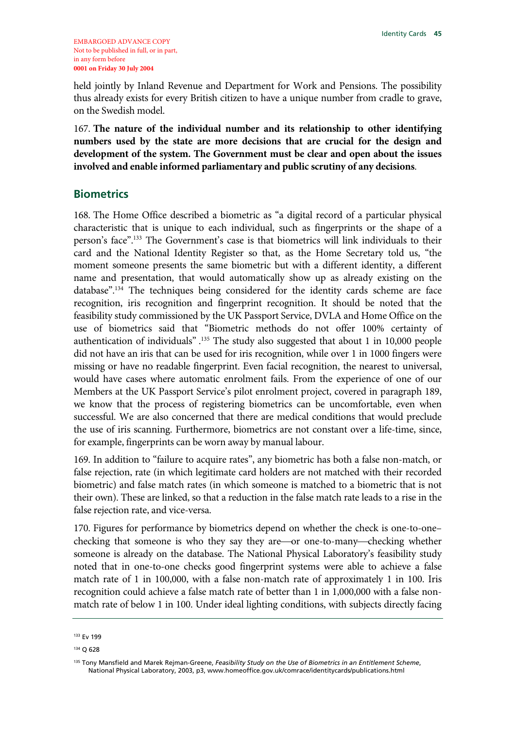held jointly by Inland Revenue and Department for Work and Pensions. The possibility thus already exists for every British citizen to have a unique number from cradle to grave, on the Swedish model.

167. **The nature of the individual number and its relationship to other identifying numbers used by the state are more decisions that are crucial for the design and development of the system. The Government must be clear and open about the issues involved and enable informed parliamentary and public scrutiny of any decisions**.

### **Biometrics**

168. The Home Office described a biometric as "a digital record of a particular physical characteristic that is unique to each individual, such as fingerprints or the shape of a person's face".133 The Government's case is that biometrics will link individuals to their card and the National Identity Register so that, as the Home Secretary told us, "the moment someone presents the same biometric but with a different identity, a different name and presentation, that would automatically show up as already existing on the database".134 The techniques being considered for the identity cards scheme are face recognition, iris recognition and fingerprint recognition. It should be noted that the feasibility study commissioned by the UK Passport Service, DVLA and Home Office on the use of biometrics said that "Biometric methods do not offer 100% certainty of authentication of individuals".<sup>135</sup> The study also suggested that about 1 in 10,000 people did not have an iris that can be used for iris recognition, while over 1 in 1000 fingers were missing or have no readable fingerprint. Even facial recognition, the nearest to universal, would have cases where automatic enrolment fails. From the experience of one of our Members at the UK Passport Service's pilot enrolment project, covered in paragraph 189, we know that the process of registering biometrics can be uncomfortable, even when successful. We are also concerned that there are medical conditions that would preclude the use of iris scanning. Furthermore, biometrics are not constant over a life-time, since, for example, fingerprints can be worn away by manual labour.

169. In addition to "failure to acquire rates", any biometric has both a false non-match, or false rejection, rate (in which legitimate card holders are not matched with their recorded biometric) and false match rates (in which someone is matched to a biometric that is not their own). These are linked, so that a reduction in the false match rate leads to a rise in the false rejection rate, and vice-versa.

170. Figures for performance by biometrics depend on whether the check is one-to-one– checking that someone is who they say they are—or one-to-many—checking whether someone is already on the database. The National Physical Laboratory's feasibility study noted that in one-to-one checks good fingerprint systems were able to achieve a false match rate of 1 in 100,000, with a false non-match rate of approximately 1 in 100. Iris recognition could achieve a false match rate of better than 1 in 1,000,000 with a false nonmatch rate of below 1 in 100. Under ideal lighting conditions, with subjects directly facing

<sup>133</sup> Ev 199

<sup>134</sup> Q 628

<sup>135</sup> Tony Mansfield and Marek Rejman-Greene, *Feasibility Study on the Use of Biometrics in an Entitlement Scheme*, National Physical Laboratory, 2003, p3, www.homeoffice.gov.uk/comrace/identitycards/publications.html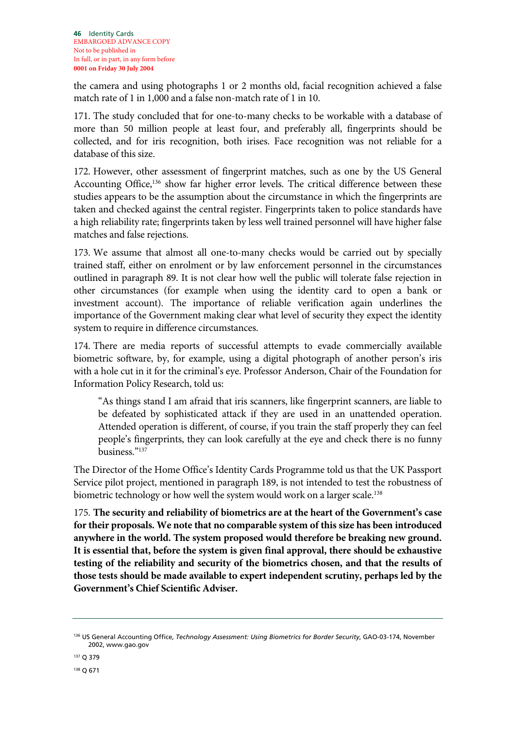the camera and using photographs 1 or 2 months old, facial recognition achieved a false match rate of 1 in 1,000 and a false non-match rate of 1 in 10.

171. The study concluded that for one-to-many checks to be workable with a database of more than 50 million people at least four, and preferably all, fingerprints should be collected, and for iris recognition, both irises. Face recognition was not reliable for a database of this size.

172. However, other assessment of fingerprint matches, such as one by the US General Accounting Office,<sup>136</sup> show far higher error levels. The critical difference between these studies appears to be the assumption about the circumstance in which the fingerprints are taken and checked against the central register. Fingerprints taken to police standards have a high reliability rate; fingerprints taken by less well trained personnel will have higher false matches and false rejections.

173. We assume that almost all one-to-many checks would be carried out by specially trained staff, either on enrolment or by law enforcement personnel in the circumstances outlined in paragraph 89. It is not clear how well the public will tolerate false rejection in other circumstances (for example when using the identity card to open a bank or investment account). The importance of reliable verification again underlines the importance of the Government making clear what level of security they expect the identity system to require in difference circumstances.

174. There are media reports of successful attempts to evade commercially available biometric software, by, for example, using a digital photograph of another person's iris with a hole cut in it for the criminal's eye. Professor Anderson, Chair of the Foundation for Information Policy Research, told us:

"As things stand I am afraid that iris scanners, like fingerprint scanners, are liable to be defeated by sophisticated attack if they are used in an unattended operation. Attended operation is different, of course, if you train the staff properly they can feel people's fingerprints, they can look carefully at the eye and check there is no funny business<sup>"137</sup>

The Director of the Home Office's Identity Cards Programme told us that the UK Passport Service pilot project, mentioned in paragraph 189, is not intended to test the robustness of biometric technology or how well the system would work on a larger scale.<sup>138</sup>

175. **The security and reliability of biometrics are at the heart of the Government's case for their proposals. We note that no comparable system of this size has been introduced anywhere in the world. The system proposed would therefore be breaking new ground. It is essential that, before the system is given final approval, there should be exhaustive testing of the reliability and security of the biometrics chosen, and that the results of those tests should be made available to expert independent scrutiny, perhaps led by the Government's Chief Scientific Adviser.**

<sup>136</sup> US General Accounting Office, *Technology Assessment: Using Biometrics for Border Security*, GAO-03-174, November 2002, www.gao.gov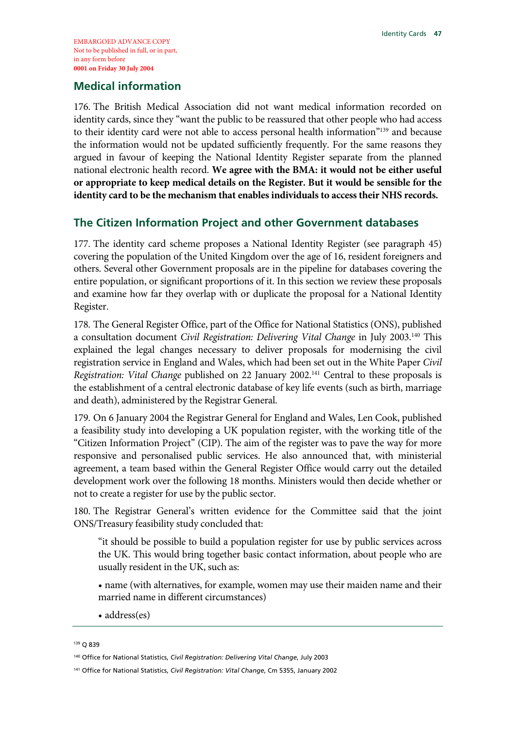### **Medical information**

176. The British Medical Association did not want medical information recorded on identity cards, since they "want the public to be reassured that other people who had access to their identity card were not able to access personal health information"139 and because the information would not be updated sufficiently frequently. For the same reasons they argued in favour of keeping the National Identity Register separate from the planned national electronic health record. **We agree with the BMA: it would not be either useful or appropriate to keep medical details on the Register. But it would be sensible for the identity card to be the mechanism that enables individuals to access their NHS records.**

## **The Citizen Information Project and other Government databases**

177. The identity card scheme proposes a National Identity Register (see paragraph 45) covering the population of the United Kingdom over the age of 16, resident foreigners and others. Several other Government proposals are in the pipeline for databases covering the entire population, or significant proportions of it. In this section we review these proposals and examine how far they overlap with or duplicate the proposal for a National Identity Register.

178. The General Register Office, part of the Office for National Statistics (ONS), published a consultation document *Civil Registration: Delivering Vital Change* in July 2003.140 This explained the legal changes necessary to deliver proposals for modernising the civil registration service in England and Wales, which had been set out in the White Paper *Civil Registration: Vital Change* published on 22 January 2002.141 Central to these proposals is the establishment of a central electronic database of key life events (such as birth, marriage and death), administered by the Registrar General.

179. On 6 January 2004 the Registrar General for England and Wales, Len Cook, published a feasibility study into developing a UK population register, with the working title of the "Citizen Information Project" (CIP). The aim of the register was to pave the way for more responsive and personalised public services. He also announced that, with ministerial agreement, a team based within the General Register Office would carry out the detailed development work over the following 18 months. Ministers would then decide whether or not to create a register for use by the public sector.

180. The Registrar General's written evidence for the Committee said that the joint ONS/Treasury feasibility study concluded that:

"it should be possible to build a population register for use by public services across the UK. This would bring together basic contact information, about people who are usually resident in the UK, such as:

• name (with alternatives, for example, women may use their maiden name and their married name in different circumstances)

• address(es)

<sup>139</sup> Q 839

<sup>140</sup> Office for National Statistics, *Civil Registration: Delivering Vital Change*, July 2003

<sup>141</sup> Office for National Statistics, *Civil Registration: Vital Change*, Cm 5355, January 2002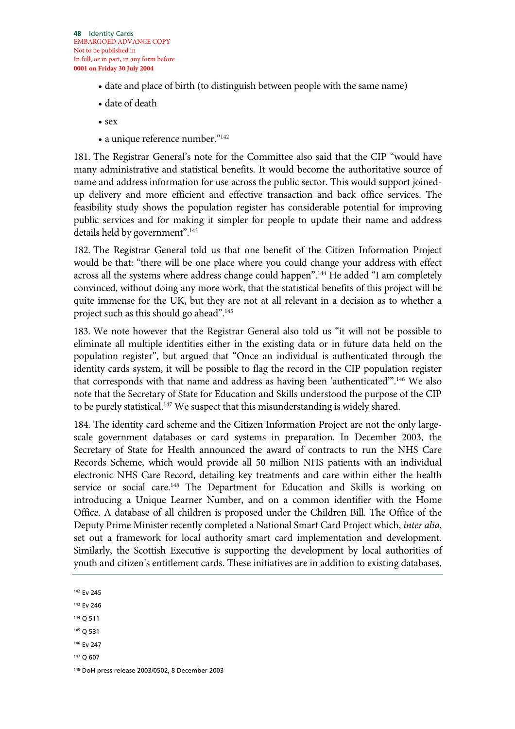**48** Identity Cards EMBARGOED ADVANCE COPY Not to be published in In full, or in part, in any form before **0001 on Friday 30 July 2004**

- date and place of birth (to distinguish between people with the same name)
- date of death
- sex
- a unique reference number."142

181. The Registrar General's note for the Committee also said that the CIP "would have many administrative and statistical benefits. It would become the authoritative source of name and address information for use across the public sector. This would support joinedup delivery and more efficient and effective transaction and back office services. The feasibility study shows the population register has considerable potential for improving public services and for making it simpler for people to update their name and address details held by government".<sup>143</sup>

182. The Registrar General told us that one benefit of the Citizen Information Project would be that: "there will be one place where you could change your address with effect across all the systems where address change could happen".<sup>144</sup> He added "I am completely convinced, without doing any more work, that the statistical benefits of this project will be quite immense for the UK, but they are not at all relevant in a decision as to whether a project such as this should go ahead".145

183. We note however that the Registrar General also told us "it will not be possible to eliminate all multiple identities either in the existing data or in future data held on the population register", but argued that "Once an individual is authenticated through the identity cards system, it will be possible to flag the record in the CIP population register that corresponds with that name and address as having been 'authenticated".<sup>146</sup> We also note that the Secretary of State for Education and Skills understood the purpose of the CIP to be purely statistical.<sup>147</sup> We suspect that this misunderstanding is widely shared.

184. The identity card scheme and the Citizen Information Project are not the only largescale government databases or card systems in preparation. In December 2003, the Secretary of State for Health announced the award of contracts to run the NHS Care Records Scheme, which would provide all 50 million NHS patients with an individual electronic NHS Care Record, detailing key treatments and care within either the health service or social care.<sup>148</sup> The Department for Education and Skills is working on introducing a Unique Learner Number, and on a common identifier with the Home Office. A database of all children is proposed under the Children Bill. The Office of the Deputy Prime Minister recently completed a National Smart Card Project which, *inter alia*, set out a framework for local authority smart card implementation and development. Similarly, the Scottish Executive is supporting the development by local authorities of youth and citizen's entitlement cards. These initiatives are in addition to existing databases,

142 Ev 245

- 143 Ev 246
- 144 Q 511
- 145 Q 531
- 146 Ev 247
- 147 Q 607

<sup>148</sup> DoH press release 2003/0502, 8 December 2003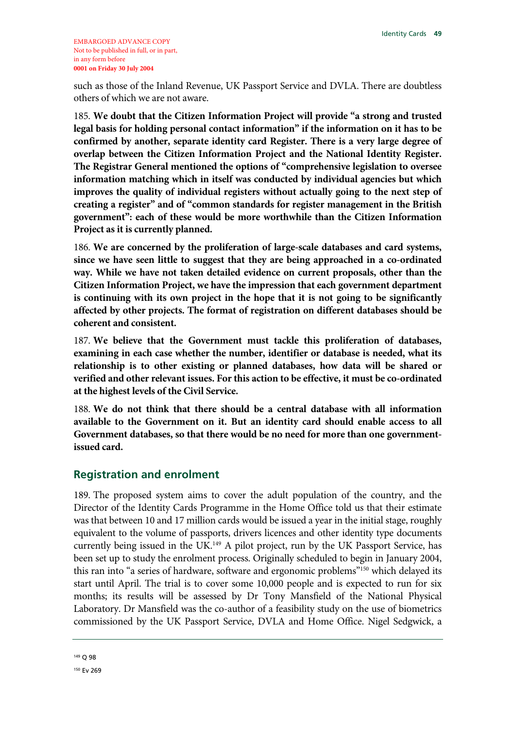such as those of the Inland Revenue, UK Passport Service and DVLA. There are doubtless others of which we are not aware.

185. **We doubt that the Citizen Information Project will provide "a strong and trusted legal basis for holding personal contact information" if the information on it has to be confirmed by another, separate identity card Register. There is a very large degree of overlap between the Citizen Information Project and the National Identity Register. The Registrar General mentioned the options of "comprehensive legislation to oversee information matching which in itself was conducted by individual agencies but which improves the quality of individual registers without actually going to the next step of creating a register" and of "common standards for register management in the British government": each of these would be more worthwhile than the Citizen Information Project as it is currently planned.** 

186. **We are concerned by the proliferation of large-scale databases and card systems, since we have seen little to suggest that they are being approached in a co-ordinated way. While we have not taken detailed evidence on current proposals, other than the Citizen Information Project, we have the impression that each government department is continuing with its own project in the hope that it is not going to be significantly affected by other projects. The format of registration on different databases should be coherent and consistent.**

187. **We believe that the Government must tackle this proliferation of databases, examining in each case whether the number, identifier or database is needed, what its relationship is to other existing or planned databases, how data will be shared or verified and other relevant issues. For this action to be effective, it must be co-ordinated at the highest levels of the Civil Service.**

188. **We do not think that there should be a central database with all information available to the Government on it. But an identity card should enable access to all Government databases, so that there would be no need for more than one governmentissued card.**

### **Registration and enrolment**

189. The proposed system aims to cover the adult population of the country, and the Director of the Identity Cards Programme in the Home Office told us that their estimate was that between 10 and 17 million cards would be issued a year in the initial stage, roughly equivalent to the volume of passports, drivers licences and other identity type documents currently being issued in the UK.<sup>149</sup> A pilot project, run by the UK Passport Service, has been set up to study the enrolment process. Originally scheduled to begin in January 2004, this ran into "a series of hardware, software and ergonomic problems"<sup>150</sup> which delayed its start until April. The trial is to cover some 10,000 people and is expected to run for six months; its results will be assessed by Dr Tony Mansfield of the National Physical Laboratory. Dr Mansfield was the co-author of a feasibility study on the use of biometrics commissioned by the UK Passport Service, DVLA and Home Office. Nigel Sedgwick, a

<sup>149</sup> Q 98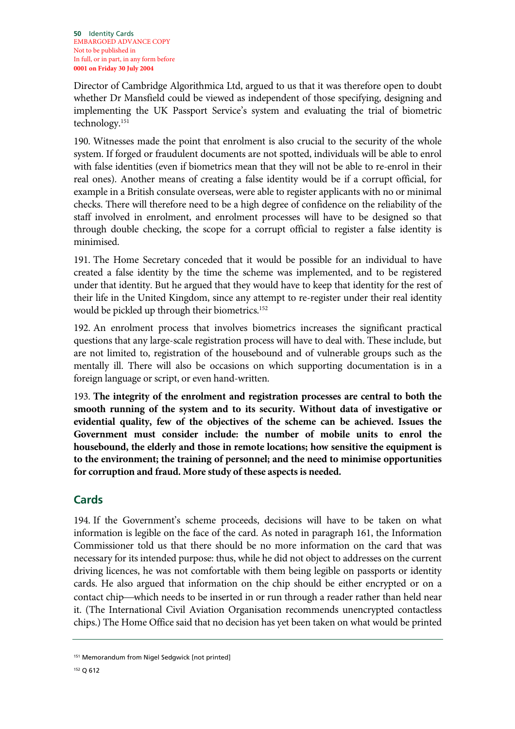Director of Cambridge Algorithmica Ltd, argued to us that it was therefore open to doubt whether Dr Mansfield could be viewed as independent of those specifying, designing and implementing the UK Passport Service's system and evaluating the trial of biometric technology.151

190. Witnesses made the point that enrolment is also crucial to the security of the whole system. If forged or fraudulent documents are not spotted, individuals will be able to enrol with false identities (even if biometrics mean that they will not be able to re-enrol in their real ones). Another means of creating a false identity would be if a corrupt official, for example in a British consulate overseas, were able to register applicants with no or minimal checks. There will therefore need to be a high degree of confidence on the reliability of the staff involved in enrolment, and enrolment processes will have to be designed so that through double checking, the scope for a corrupt official to register a false identity is minimised.

191. The Home Secretary conceded that it would be possible for an individual to have created a false identity by the time the scheme was implemented, and to be registered under that identity. But he argued that they would have to keep that identity for the rest of their life in the United Kingdom, since any attempt to re-register under their real identity would be pickled up through their biometrics.<sup>152</sup>

192. An enrolment process that involves biometrics increases the significant practical questions that any large-scale registration process will have to deal with. These include, but are not limited to, registration of the housebound and of vulnerable groups such as the mentally ill. There will also be occasions on which supporting documentation is in a foreign language or script, or even hand-written.

193. **The integrity of the enrolment and registration processes are central to both the smooth running of the system and to its security. Without data of investigative or evidential quality, few of the objectives of the scheme can be achieved. Issues the Government must consider include: the number of mobile units to enrol the housebound, the elderly and those in remote locations; how sensitive the equipment is to the environment; the training of personnel; and the need to minimise opportunities for corruption and fraud. More study of these aspects is needed.**

# **Cards**

194. If the Government's scheme proceeds, decisions will have to be taken on what information is legible on the face of the card. As noted in paragraph 161, the Information Commissioner told us that there should be no more information on the card that was necessary for its intended purpose: thus, while he did not object to addresses on the current driving licences, he was not comfortable with them being legible on passports or identity cards. He also argued that information on the chip should be either encrypted or on a contact chip—which needs to be inserted in or run through a reader rather than held near it. (The International Civil Aviation Organisation recommends unencrypted contactless chips.) The Home Office said that no decision has yet been taken on what would be printed

<sup>151</sup> Memorandum from Nigel Sedgwick [not printed]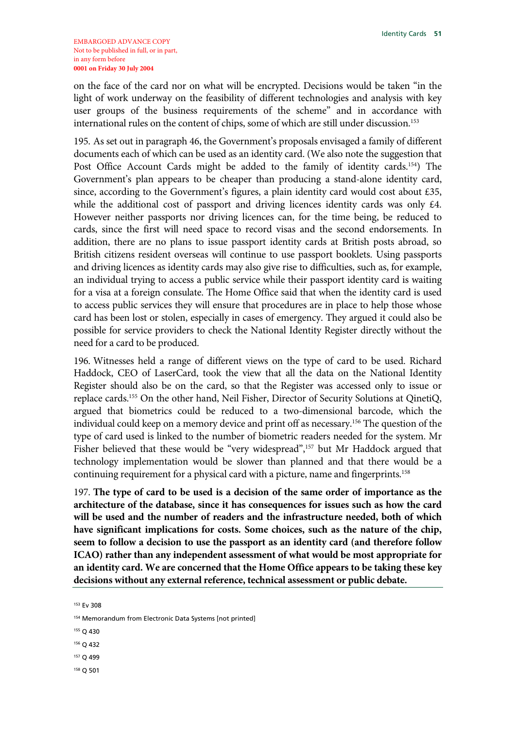on the face of the card nor on what will be encrypted. Decisions would be taken "in the light of work underway on the feasibility of different technologies and analysis with key user groups of the business requirements of the scheme" and in accordance with international rules on the content of chips, some of which are still under discussion.<sup>153</sup>

195. As set out in paragraph 46, the Government's proposals envisaged a family of different documents each of which can be used as an identity card. (We also note the suggestion that Post Office Account Cards might be added to the family of identity cards.<sup>154</sup>) The Government's plan appears to be cheaper than producing a stand-alone identity card, since, according to the Government's figures, a plain identity card would cost about £35, while the additional cost of passport and driving licences identity cards was only £4. However neither passports nor driving licences can, for the time being, be reduced to cards, since the first will need space to record visas and the second endorsements. In addition, there are no plans to issue passport identity cards at British posts abroad, so British citizens resident overseas will continue to use passport booklets. Using passports and driving licences as identity cards may also give rise to difficulties, such as, for example, an individual trying to access a public service while their passport identity card is waiting for a visa at a foreign consulate. The Home Office said that when the identity card is used to access public services they will ensure that procedures are in place to help those whose card has been lost or stolen, especially in cases of emergency. They argued it could also be possible for service providers to check the National Identity Register directly without the need for a card to be produced.

196. Witnesses held a range of different views on the type of card to be used. Richard Haddock, CEO of LaserCard, took the view that all the data on the National Identity Register should also be on the card, so that the Register was accessed only to issue or replace cards.155 On the other hand, Neil Fisher, Director of Security Solutions at QinetiQ, argued that biometrics could be reduced to a two-dimensional barcode, which the individual could keep on a memory device and print off as necessary.156 The question of the type of card used is linked to the number of biometric readers needed for the system. Mr Fisher believed that these would be "very widespread",<sup>157</sup> but Mr Haddock argued that technology implementation would be slower than planned and that there would be a continuing requirement for a physical card with a picture, name and fingerprints.<sup>158</sup>

197. **The type of card to be used is a decision of the same order of importance as the architecture of the database, since it has consequences for issues such as how the card will be used and the number of readers and the infrastructure needed, both of which have significant implications for costs. Some choices, such as the nature of the chip, seem to follow a decision to use the passport as an identity card (and therefore follow ICAO) rather than any independent assessment of what would be most appropriate for an identity card. We are concerned that the Home Office appears to be taking these key decisions without any external reference, technical assessment or public debate.** 

153 Ev 308

- 155 Q 430
- 156 Q 432
- 157 Q 499
- 158 Q 501

<sup>154</sup> Memorandum from Electronic Data Systems [not printed]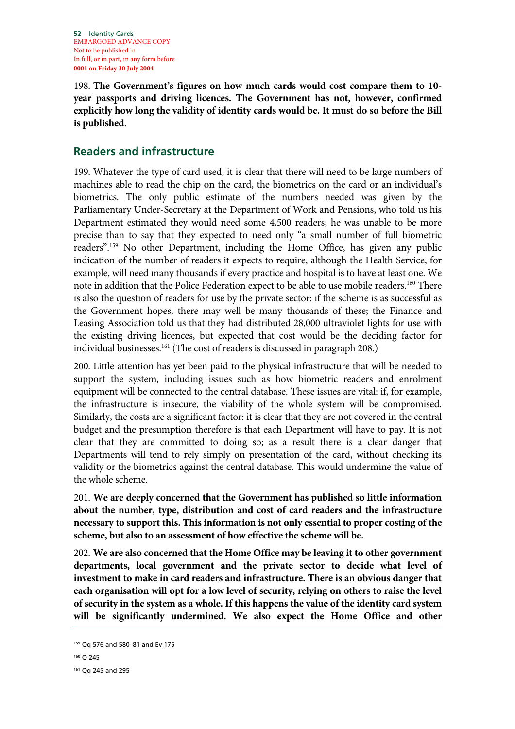**52** Identity Cards EMBARGOED ADVANCE COPY Not to be published in In full, or in part, in any form before **0001 on Friday 30 July 2004**

198. **The Government's figures on how much cards would cost compare them to 10 year passports and driving licences. The Government has not, however, confirmed explicitly how long the validity of identity cards would be. It must do so before the Bill is published**.

## **Readers and infrastructure**

199. Whatever the type of card used, it is clear that there will need to be large numbers of machines able to read the chip on the card, the biometrics on the card or an individual's biometrics. The only public estimate of the numbers needed was given by the Parliamentary Under-Secretary at the Department of Work and Pensions, who told us his Department estimated they would need some 4,500 readers; he was unable to be more precise than to say that they expected to need only "a small number of full biometric readers".159 No other Department, including the Home Office, has given any public indication of the number of readers it expects to require, although the Health Service, for example, will need many thousands if every practice and hospital is to have at least one. We note in addition that the Police Federation expect to be able to use mobile readers.<sup>160</sup> There is also the question of readers for use by the private sector: if the scheme is as successful as the Government hopes, there may well be many thousands of these; the Finance and Leasing Association told us that they had distributed 28,000 ultraviolet lights for use with the existing driving licences, but expected that cost would be the deciding factor for individual businesses.<sup>161</sup> (The cost of readers is discussed in paragraph 208.)

200. Little attention has yet been paid to the physical infrastructure that will be needed to support the system, including issues such as how biometric readers and enrolment equipment will be connected to the central database. These issues are vital: if, for example, the infrastructure is insecure, the viability of the whole system will be compromised. Similarly, the costs are a significant factor: it is clear that they are not covered in the central budget and the presumption therefore is that each Department will have to pay. It is not clear that they are committed to doing so; as a result there is a clear danger that Departments will tend to rely simply on presentation of the card, without checking its validity or the biometrics against the central database. This would undermine the value of the whole scheme.

201. **We are deeply concerned that the Government has published so little information about the number, type, distribution and cost of card readers and the infrastructure necessary to support this. This information is not only essential to proper costing of the scheme, but also to an assessment of how effective the scheme will be.**

202. **We are also concerned that the Home Office may be leaving it to other government departments, local government and the private sector to decide what level of investment to make in card readers and infrastructure. There is an obvious danger that each organisation will opt for a low level of security, relying on others to raise the level of security in the system as a whole. If this happens the value of the identity card system will be significantly undermined. We also expect the Home Office and other** 

<sup>159</sup> Qq 576 and 580–81 and Ev 175

<sup>160</sup> Q 245

<sup>161</sup> Qq 245 and 295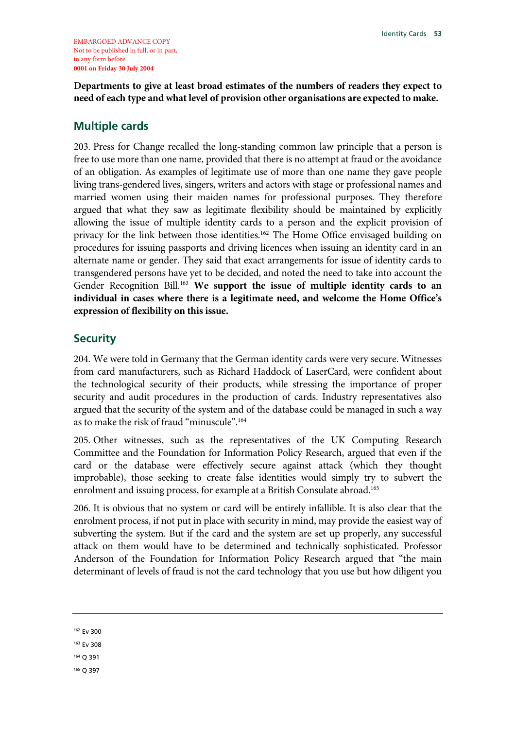**Departments to give at least broad estimates of the numbers of readers they expect to need of each type and what level of provision other organisations are expected to make.**

## **Multiple cards**

203. Press for Change recalled the long-standing common law principle that a person is free to use more than one name, provided that there is no attempt at fraud or the avoidance of an obligation. As examples of legitimate use of more than one name they gave people living trans-gendered lives, singers, writers and actors with stage or professional names and married women using their maiden names for professional purposes. They therefore argued that what they saw as legitimate flexibility should be maintained by explicitly allowing the issue of multiple identity cards to a person and the explicit provision of privacy for the link between those identities.<sup>162</sup> The Home Office envisaged building on procedures for issuing passports and driving licences when issuing an identity card in an alternate name or gender. They said that exact arrangements for issue of identity cards to transgendered persons have yet to be decided, and noted the need to take into account the Gender Recognition Bill.163 **We support the issue of multiple identity cards to an individual in cases where there is a legitimate need, and welcome the Home Office's expression of flexibility on this issue.**

## **Security**

204. We were told in Germany that the German identity cards were very secure. Witnesses from card manufacturers, such as Richard Haddock of LaserCard, were confident about the technological security of their products, while stressing the importance of proper security and audit procedures in the production of cards. Industry representatives also argued that the security of the system and of the database could be managed in such a way as to make the risk of fraud "minuscule".164

205. Other witnesses, such as the representatives of the UK Computing Research Committee and the Foundation for Information Policy Research, argued that even if the card or the database were effectively secure against attack (which they thought improbable), those seeking to create false identities would simply try to subvert the enrolment and issuing process, for example at a British Consulate abroad.<sup>165</sup>

206. It is obvious that no system or card will be entirely infallible. It is also clear that the enrolment process, if not put in place with security in mind, may provide the easiest way of subverting the system. But if the card and the system are set up properly, any successful attack on them would have to be determined and technically sophisticated. Professor Anderson of the Foundation for Information Policy Research argued that "the main determinant of levels of fraud is not the card technology that you use but how diligent you

162 Ev 300

163 Ev 308

164 Q 391

165 Q 397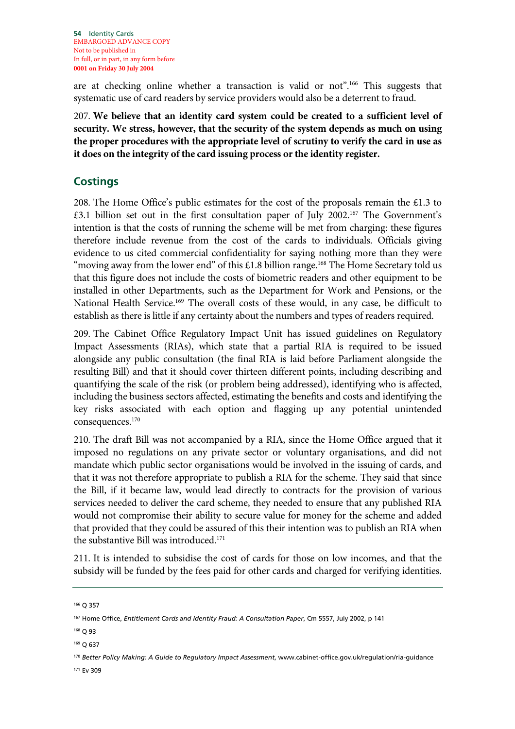**54** Identity Cards EMBARGOED ADVANCE COPY Not to be published in In full, or in part, in any form before **0001 on Friday 30 July 2004**

are at checking online whether a transaction is valid or not".166 This suggests that systematic use of card readers by service providers would also be a deterrent to fraud.

207. **We believe that an identity card system could be created to a sufficient level of security. We stress, however, that the security of the system depends as much on using the proper procedures with the appropriate level of scrutiny to verify the card in use as it does on the integrity of the card issuing process or the identity register.**

## **Costings**

208. The Home Office's public estimates for the cost of the proposals remain the £1.3 to £3.1 billion set out in the first consultation paper of July 2002.167 The Government's intention is that the costs of running the scheme will be met from charging: these figures therefore include revenue from the cost of the cards to individuals. Officials giving evidence to us cited commercial confidentiality for saying nothing more than they were "moving away from the lower end" of this  $£1.8$  billion range.<sup>168</sup> The Home Secretary told us that this figure does not include the costs of biometric readers and other equipment to be installed in other Departments, such as the Department for Work and Pensions, or the National Health Service.<sup>169</sup> The overall costs of these would, in any case, be difficult to establish as there is little if any certainty about the numbers and types of readers required.

209. The Cabinet Office Regulatory Impact Unit has issued guidelines on Regulatory Impact Assessments (RIAs), which state that a partial RIA is required to be issued alongside any public consultation (the final RIA is laid before Parliament alongside the resulting Bill) and that it should cover thirteen different points, including describing and quantifying the scale of the risk (or problem being addressed), identifying who is affected, including the business sectors affected, estimating the benefits and costs and identifying the key risks associated with each option and flagging up any potential unintended consequences.170

210. The draft Bill was not accompanied by a RIA, since the Home Office argued that it imposed no regulations on any private sector or voluntary organisations, and did not mandate which public sector organisations would be involved in the issuing of cards, and that it was not therefore appropriate to publish a RIA for the scheme. They said that since the Bill, if it became law, would lead directly to contracts for the provision of various services needed to deliver the card scheme, they needed to ensure that any published RIA would not compromise their ability to secure value for money for the scheme and added that provided that they could be assured of this their intention was to publish an RIA when the substantive Bill was introduced.<sup>171</sup>

211. It is intended to subsidise the cost of cards for those on low incomes, and that the subsidy will be funded by the fees paid for other cards and charged for verifying identities.

<sup>166</sup> Q 357

<sup>167</sup> Home Office, *Entitlement Cards and Identity Fraud: A Consultation Paper*, Cm 5557, July 2002, p 141

<sup>168</sup> Q 93

<sup>169</sup> Q 637

<sup>170</sup> *Better Policy Making: A Guide to Regulatory Impact Assessment*, www.cabinet-office.gov.uk/regulation/ria-guidance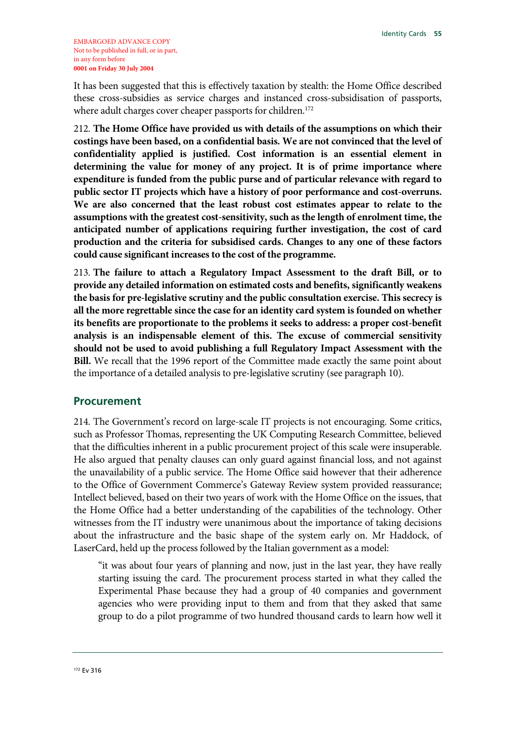It has been suggested that this is effectively taxation by stealth: the Home Office described these cross-subsidies as service charges and instanced cross-subsidisation of passports, where adult charges cover cheaper passports for children.<sup>172</sup>

212. **The Home Office have provided us with details of the assumptions on which their costings have been based, on a confidential basis. We are not convinced that the level of confidentiality applied is justified. Cost information is an essential element in determining the value for money of any project. It is of prime importance where expenditure is funded from the public purse and of particular relevance with regard to public sector IT projects which have a history of poor performance and cost-overruns. We are also concerned that the least robust cost estimates appear to relate to the assumptions with the greatest cost-sensitivity, such as the length of enrolment time, the anticipated number of applications requiring further investigation, the cost of card production and the criteria for subsidised cards. Changes to any one of these factors could cause significant increases to the cost of the programme.**

213. **The failure to attach a Regulatory Impact Assessment to the draft Bill, or to provide any detailed information on estimated costs and benefits, significantly weakens the basis for pre-legislative scrutiny and the public consultation exercise. This secrecy is all the more regrettable since the case for an identity card system is founded on whether its benefits are proportionate to the problems it seeks to address: a proper cost-benefit analysis is an indispensable element of this. The excuse of commercial sensitivity should not be used to avoid publishing a full Regulatory Impact Assessment with the Bill.** We recall that the 1996 report of the Committee made exactly the same point about the importance of a detailed analysis to pre-legislative scrutiny (see paragraph 10).

### **Procurement**

214. The Government's record on large-scale IT projects is not encouraging. Some critics, such as Professor Thomas, representing the UK Computing Research Committee, believed that the difficulties inherent in a public procurement project of this scale were insuperable. He also argued that penalty clauses can only guard against financial loss, and not against the unavailability of a public service. The Home Office said however that their adherence to the Office of Government Commerce's Gateway Review system provided reassurance; Intellect believed, based on their two years of work with the Home Office on the issues, that the Home Office had a better understanding of the capabilities of the technology. Other witnesses from the IT industry were unanimous about the importance of taking decisions about the infrastructure and the basic shape of the system early on. Mr Haddock, of LaserCard, held up the process followed by the Italian government as a model:

"it was about four years of planning and now, just in the last year, they have really starting issuing the card. The procurement process started in what they called the Experimental Phase because they had a group of 40 companies and government agencies who were providing input to them and from that they asked that same group to do a pilot programme of two hundred thousand cards to learn how well it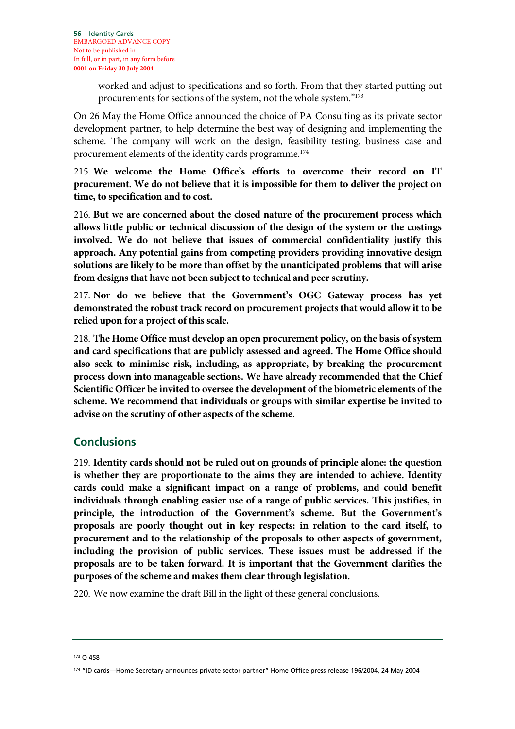worked and adjust to specifications and so forth. From that they started putting out procurements for sections of the system, not the whole system."173

On 26 May the Home Office announced the choice of PA Consulting as its private sector development partner, to help determine the best way of designing and implementing the scheme. The company will work on the design, feasibility testing, business case and procurement elements of the identity cards programme.174

215. **We welcome the Home Office's efforts to overcome their record on IT procurement. We do not believe that it is impossible for them to deliver the project on time, to specification and to cost.**

216. **But we are concerned about the closed nature of the procurement process which allows little public or technical discussion of the design of the system or the costings involved. We do not believe that issues of commercial confidentiality justify this approach. Any potential gains from competing providers providing innovative design solutions are likely to be more than offset by the unanticipated problems that will arise from designs that have not been subject to technical and peer scrutiny.**

217. **Nor do we believe that the Government's OGC Gateway process has yet demonstrated the robust track record on procurement projects that would allow it to be relied upon for a project of this scale.**

218. **The Home Office must develop an open procurement policy, on the basis of system and card specifications that are publicly assessed and agreed. The Home Office should also seek to minimise risk, including, as appropriate, by breaking the procurement process down into manageable sections. We have already recommended that the Chief Scientific Officer be invited to oversee the development of the biometric elements of the scheme. We recommend that individuals or groups with similar expertise be invited to advise on the scrutiny of other aspects of the scheme.**

## **Conclusions**

219. **Identity cards should not be ruled out on grounds of principle alone: the question is whether they are proportionate to the aims they are intended to achieve. Identity cards could make a significant impact on a range of problems, and could benefit individuals through enabling easier use of a range of public services. This justifies, in principle, the introduction of the Government's scheme. But the Government's proposals are poorly thought out in key respects: in relation to the card itself, to procurement and to the relationship of the proposals to other aspects of government, including the provision of public services. These issues must be addressed if the proposals are to be taken forward. It is important that the Government clarifies the purposes of the scheme and makes them clear through legislation.**

220. We now examine the draft Bill in the light of these general conclusions.

173 Q 458

<sup>174 &</sup>quot;ID cards—Home Secretary announces private sector partner" Home Office press release 196/2004, 24 May 2004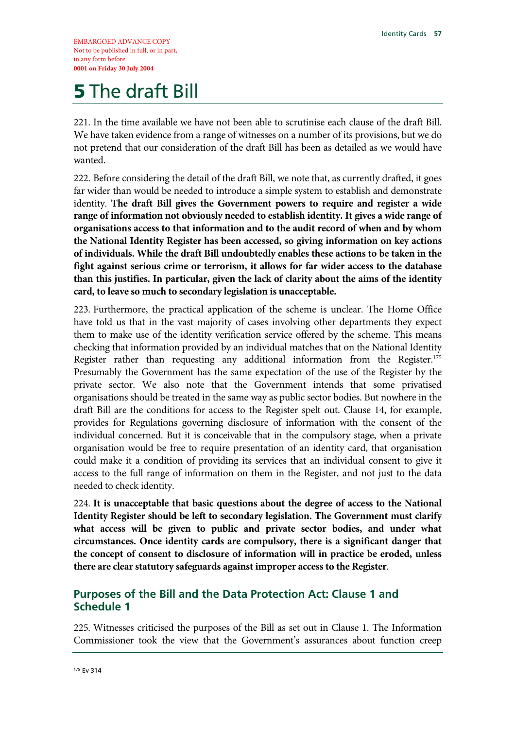EMBARGOED ADVANCE COPY Not to be published in full, or in part, in any form before **0001 on Friday 30 July 2004** 

# **5 The draft Bill**

221. In the time available we have not been able to scrutinise each clause of the draft Bill. We have taken evidence from a range of witnesses on a number of its provisions, but we do not pretend that our consideration of the draft Bill has been as detailed as we would have wanted.

222. Before considering the detail of the draft Bill, we note that, as currently drafted, it goes far wider than would be needed to introduce a simple system to establish and demonstrate identity. **The draft Bill gives the Government powers to require and register a wide range of information not obviously needed to establish identity. It gives a wide range of organisations access to that information and to the audit record of when and by whom the National Identity Register has been accessed, so giving information on key actions of individuals. While the draft Bill undoubtedly enables these actions to be taken in the fight against serious crime or terrorism, it allows for far wider access to the database than this justifies. In particular, given the lack of clarity about the aims of the identity card, to leave so much to secondary legislation is unacceptable.**

223. Furthermore, the practical application of the scheme is unclear. The Home Office have told us that in the vast majority of cases involving other departments they expect them to make use of the identity verification service offered by the scheme. This means checking that information provided by an individual matches that on the National Identity Register rather than requesting any additional information from the Register.<sup>175</sup> Presumably the Government has the same expectation of the use of the Register by the private sector. We also note that the Government intends that some privatised organisations should be treated in the same way as public sector bodies. But nowhere in the draft Bill are the conditions for access to the Register spelt out. Clause 14, for example, provides for Regulations governing disclosure of information with the consent of the individual concerned. But it is conceivable that in the compulsory stage, when a private organisation would be free to require presentation of an identity card, that organisation could make it a condition of providing its services that an individual consent to give it access to the full range of information on them in the Register, and not just to the data needed to check identity.

224. **It is unacceptable that basic questions about the degree of access to the National Identity Register should be left to secondary legislation. The Government must clarify what access will be given to public and private sector bodies, and under what circumstances. Once identity cards are compulsory, there is a significant danger that the concept of consent to disclosure of information will in practice be eroded, unless there are clear statutory safeguards against improper access to the Register**.

## **Purposes of the Bill and the Data Protection Act: Clause 1 and Schedule 1**

225. Witnesses criticised the purposes of the Bill as set out in Clause 1. The Information Commissioner took the view that the Government's assurances about function creep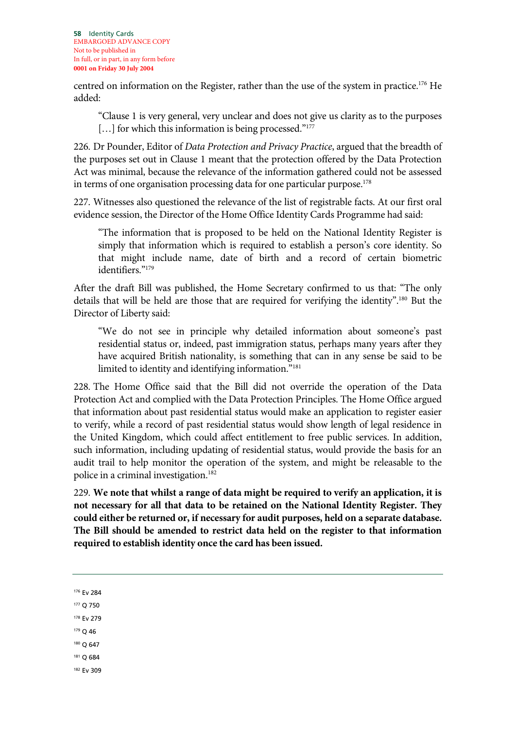**58** Identity Cards EMBARGOED ADVANCE COPY Not to be published in In full, or in part, in any form before **0001 on Friday 30 July 2004**

centred on information on the Register, rather than the use of the system in practice.176 He added:

"Clause 1 is very general, very unclear and does not give us clarity as to the purposes [...] for which this information is being processed."<sup>177</sup>

226. Dr Pounder, Editor of *Data Protection and Privacy Practice*, argued that the breadth of the purposes set out in Clause 1 meant that the protection offered by the Data Protection Act was minimal, because the relevance of the information gathered could not be assessed in terms of one organisation processing data for one particular purpose.<sup>178</sup>

227. Witnesses also questioned the relevance of the list of registrable facts. At our first oral evidence session, the Director of the Home Office Identity Cards Programme had said:

"The information that is proposed to be held on the National Identity Register is simply that information which is required to establish a person's core identity. So that might include name, date of birth and a record of certain biometric identifiers."<sup>179</sup>

After the draft Bill was published, the Home Secretary confirmed to us that: "The only details that will be held are those that are required for verifying the identity".180 But the Director of Liberty said:

"We do not see in principle why detailed information about someone's past residential status or, indeed, past immigration status, perhaps many years after they have acquired British nationality, is something that can in any sense be said to be limited to identity and identifying information."181

228. The Home Office said that the Bill did not override the operation of the Data Protection Act and complied with the Data Protection Principles. The Home Office argued that information about past residential status would make an application to register easier to verify, while a record of past residential status would show length of legal residence in the United Kingdom, which could affect entitlement to free public services. In addition, such information, including updating of residential status, would provide the basis for an audit trail to help monitor the operation of the system, and might be releasable to the police in a criminal investigation.182

229. **We note that whilst a range of data might be required to verify an application, it is not necessary for all that data to be retained on the National Identity Register. They could either be returned or, if necessary for audit purposes, held on a separate database. The Bill should be amended to restrict data held on the register to that information required to establish identity once the card has been issued.**

176 Ev 284

177 Q 750

178 Ev 279

179 Q 46

180 Q 647

181 Q 684

182 Ev 309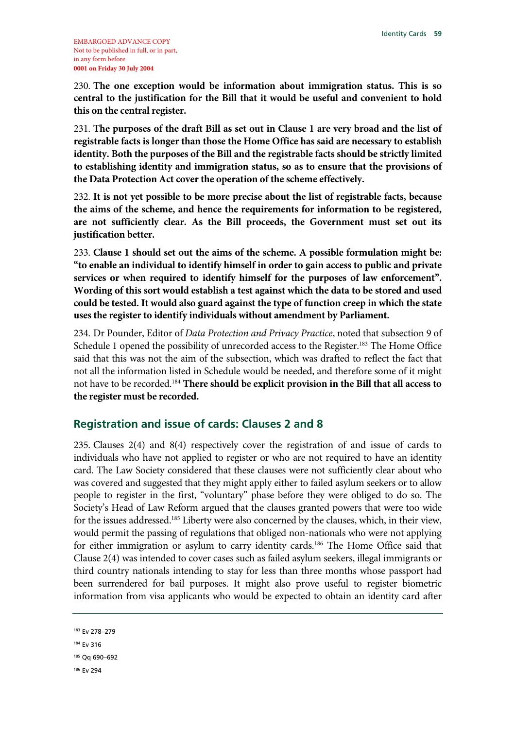230. **The one exception would be information about immigration status. This is so central to the justification for the Bill that it would be useful and convenient to hold this on the central register.**

231. **The purposes of the draft Bill as set out in Clause 1 are very broad and the list of registrable facts is longer than those the Home Office has said are necessary to establish identity. Both the purposes of the Bill and the registrable facts should be strictly limited to establishing identity and immigration status, so as to ensure that the provisions of the Data Protection Act cover the operation of the scheme effectively.** 

232. **It is not yet possible to be more precise about the list of registrable facts, because the aims of the scheme, and hence the requirements for information to be registered, are not sufficiently clear. As the Bill proceeds, the Government must set out its justification better.** 

233. **Clause 1 should set out the aims of the scheme. A possible formulation might be: "to enable an individual to identify himself in order to gain access to public and private services or when required to identify himself for the purposes of law enforcement". Wording of this sort would establish a test against which the data to be stored and used could be tested. It would also guard against the type of function creep in which the state uses the register to identify individuals without amendment by Parliament.** 

234. Dr Pounder, Editor of *Data Protection and Privacy Practice*, noted that subsection 9 of Schedule 1 opened the possibility of unrecorded access to the Register.<sup>183</sup> The Home Office said that this was not the aim of the subsection, which was drafted to reflect the fact that not all the information listed in Schedule would be needed, and therefore some of it might not have to be recorded.184 **There should be explicit provision in the Bill that all access to the register must be recorded.**

## **Registration and issue of cards: Clauses 2 and 8**

235. Clauses 2(4) and 8(4) respectively cover the registration of and issue of cards to individuals who have not applied to register or who are not required to have an identity card. The Law Society considered that these clauses were not sufficiently clear about who was covered and suggested that they might apply either to failed asylum seekers or to allow people to register in the first, "voluntary" phase before they were obliged to do so. The Society's Head of Law Reform argued that the clauses granted powers that were too wide for the issues addressed.<sup>185</sup> Liberty were also concerned by the clauses, which, in their view, would permit the passing of regulations that obliged non-nationals who were not applying for either immigration or asylum to carry identity cards.<sup>186</sup> The Home Office said that Clause 2(4) was intended to cover cases such as failed asylum seekers, illegal immigrants or third country nationals intending to stay for less than three months whose passport had been surrendered for bail purposes. It might also prove useful to register biometric information from visa applicants who would be expected to obtain an identity card after

183 Ev 278–279 184 Ev 316 185 Qq 690–692 186 Ev 294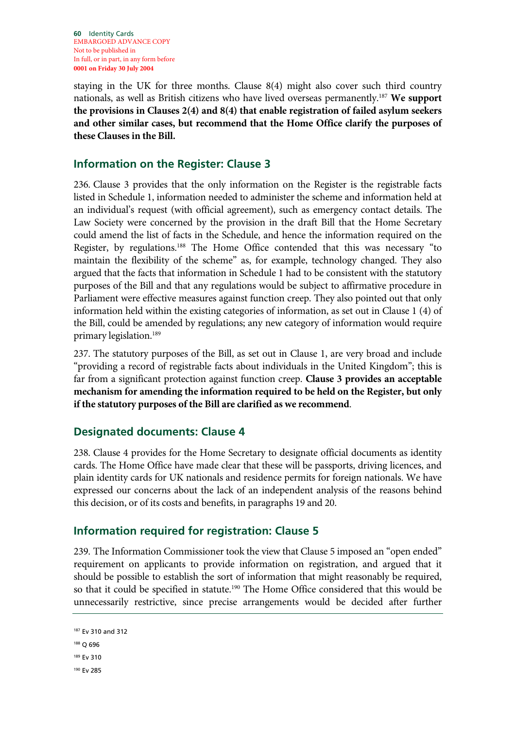**60** Identity Cards EMBARGOED ADVANCE COPY Not to be published in In full, or in part, in any form before **0001 on Friday 30 July 2004**

staying in the UK for three months. Clause 8(4) might also cover such third country nationals, as well as British citizens who have lived overseas permanently.187 **We support the provisions in Clauses 2(4) and 8(4) that enable registration of failed asylum seekers and other similar cases, but recommend that the Home Office clarify the purposes of these Clauses in the Bill.**

## **Information on the Register: Clause 3**

236. Clause 3 provides that the only information on the Register is the registrable facts listed in Schedule 1, information needed to administer the scheme and information held at an individual's request (with official agreement), such as emergency contact details. The Law Society were concerned by the provision in the draft Bill that the Home Secretary could amend the list of facts in the Schedule, and hence the information required on the Register, by regulations.188 The Home Office contended that this was necessary "to maintain the flexibility of the scheme" as, for example, technology changed. They also argued that the facts that information in Schedule 1 had to be consistent with the statutory purposes of the Bill and that any regulations would be subject to affirmative procedure in Parliament were effective measures against function creep. They also pointed out that only information held within the existing categories of information, as set out in Clause 1 (4) of the Bill, could be amended by regulations; any new category of information would require primary legislation.<sup>189</sup>

237. The statutory purposes of the Bill, as set out in Clause 1, are very broad and include "providing a record of registrable facts about individuals in the United Kingdom"; this is far from a significant protection against function creep. **Clause 3 provides an acceptable mechanism for amending the information required to be held on the Register, but only if the statutory purposes of the Bill are clarified as we recommend**.

## **Designated documents: Clause 4**

238. Clause 4 provides for the Home Secretary to designate official documents as identity cards. The Home Office have made clear that these will be passports, driving licences, and plain identity cards for UK nationals and residence permits for foreign nationals. We have expressed our concerns about the lack of an independent analysis of the reasons behind this decision, or of its costs and benefits, in paragraphs 19 and 20.

## **Information required for registration: Clause 5**

239. The Information Commissioner took the view that Clause 5 imposed an "open ended" requirement on applicants to provide information on registration, and argued that it should be possible to establish the sort of information that might reasonably be required, so that it could be specified in statute.<sup>190</sup> The Home Office considered that this would be unnecessarily restrictive, since precise arrangements would be decided after further

```
187 Ev 310 and 312
```
188 Q 696

189 Ev 310

190 Ev 285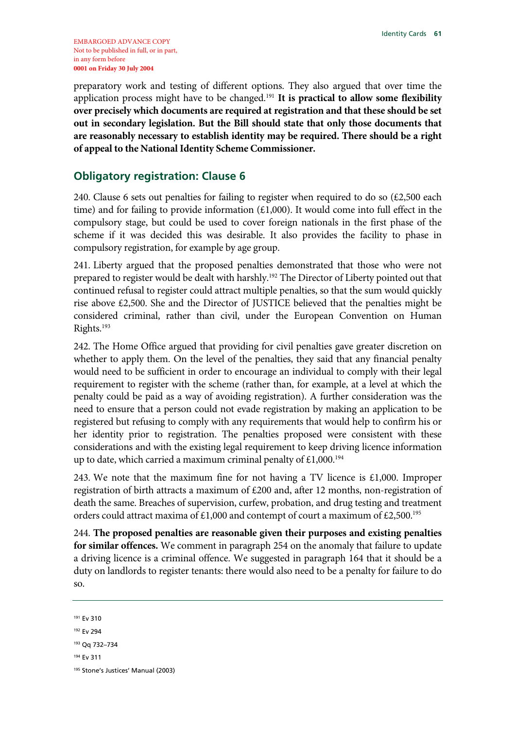preparatory work and testing of different options. They also argued that over time the application process might have to be changed.191 **It is practical to allow some flexibility over precisely which documents are required at registration and that these should be set out in secondary legislation. But the Bill should state that only those documents that are reasonably necessary to establish identity may be required. There should be a right of appeal to the National Identity Scheme Commissioner.**

### **Obligatory registration: Clause 6**

240. Clause 6 sets out penalties for failing to register when required to do so  $(\text{\textsterling}2,500$  each time) and for failing to provide information (£1,000). It would come into full effect in the compulsory stage, but could be used to cover foreign nationals in the first phase of the scheme if it was decided this was desirable. It also provides the facility to phase in compulsory registration, for example by age group.

241. Liberty argued that the proposed penalties demonstrated that those who were not prepared to register would be dealt with harshly.<sup>192</sup> The Director of Liberty pointed out that continued refusal to register could attract multiple penalties, so that the sum would quickly rise above £2,500. She and the Director of JUSTICE believed that the penalties might be considered criminal, rather than civil, under the European Convention on Human Rights.193

242. The Home Office argued that providing for civil penalties gave greater discretion on whether to apply them. On the level of the penalties, they said that any financial penalty would need to be sufficient in order to encourage an individual to comply with their legal requirement to register with the scheme (rather than, for example, at a level at which the penalty could be paid as a way of avoiding registration). A further consideration was the need to ensure that a person could not evade registration by making an application to be registered but refusing to comply with any requirements that would help to confirm his or her identity prior to registration. The penalties proposed were consistent with these considerations and with the existing legal requirement to keep driving licence information up to date, which carried a maximum criminal penalty of  $£1,000.^{194}$ 

243. We note that the maximum fine for not having a TV licence is  $£1,000$ . Improper registration of birth attracts a maximum of £200 and, after 12 months, non-registration of death the same. Breaches of supervision, curfew, probation, and drug testing and treatment orders could attract maxima of £1,000 and contempt of court a maximum of £2,500.<sup>195</sup>

244. **The proposed penalties are reasonable given their purposes and existing penalties for similar offences.** We comment in paragraph 254 on the anomaly that failure to update a driving licence is a criminal offence. We suggested in paragraph 164 that it should be a duty on landlords to register tenants: there would also need to be a penalty for failure to do so.

191 Ev 310 192 Ev 294 193 Qq 732–734 194 Ev 311 195 Stone's Justices' Manual (2003)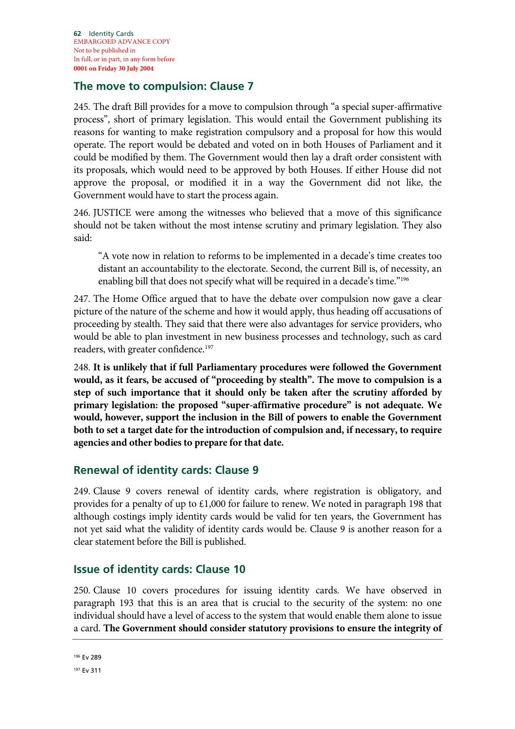## **The move to compulsion: Clause 7**

245. The draft Bill provides for a move to compulsion through "a special super-affirmative process", short of primary legislation. This would entail the Government publishing its reasons for wanting to make registration compulsory and a proposal for how this would operate. The report would be debated and voted on in both Houses of Parliament and it could be modified by them. The Government would then lay a draft order consistent with its proposals, which would need to be approved by both Houses. If either House did not approve the proposal, or modified it in a way the Government did not like, the Government would have to start the process again.

246. JUSTICE were among the witnesses who believed that a move of this significance should not be taken without the most intense scrutiny and primary legislation. They also said:

"A vote now in relation to reforms to be implemented in a decade's time creates too distant an accountability to the electorate. Second, the current Bill is, of necessity, an enabling bill that does not specify what will be required in a decade's time."196

247. The Home Office argued that to have the debate over compulsion now gave a clear picture of the nature of the scheme and how it would apply, thus heading off accusations of proceeding by stealth. They said that there were also advantages for service providers, who would be able to plan investment in new business processes and technology, such as card readers, with greater confidence.197

248. **It is unlikely that if full Parliamentary procedures were followed the Government would, as it fears, be accused of "proceeding by stealth". The move to compulsion is a step of such importance that it should only be taken after the scrutiny afforded by primary legislation: the proposed "super-affirmative procedure" is not adequate. We would, however, support the inclusion in the Bill of powers to enable the Government both to set a target date for the introduction of compulsion and, if necessary, to require agencies and other bodies to prepare for that date.** 

## **Renewal of identity cards: Clause 9**

249. Clause 9 covers renewal of identity cards, where registration is obligatory, and provides for a penalty of up to £1,000 for failure to renew. We noted in paragraph 198 that although costings imply identity cards would be valid for ten years, the Government has not yet said what the validity of identity cards would be. Clause 9 is another reason for a clear statement before the Bill is published.

## **Issue of identity cards: Clause 10**

250. Clause 10 covers procedures for issuing identity cards. We have observed in paragraph 193 that this is an area that is crucial to the security of the system: no one individual should have a level of access to the system that would enable them alone to issue a card. **The Government should consider statutory provisions to ensure the integrity of**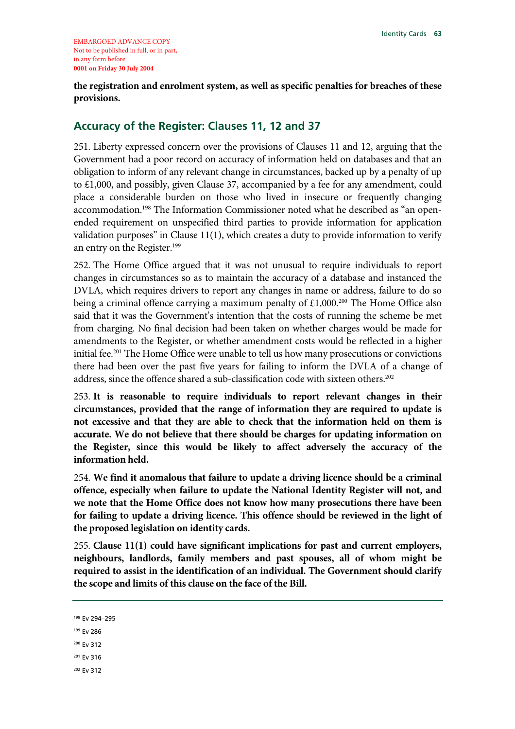**the registration and enrolment system, as well as specific penalties for breaches of these provisions.**

## **Accuracy of the Register: Clauses 11, 12 and 37**

251. Liberty expressed concern over the provisions of Clauses 11 and 12, arguing that the Government had a poor record on accuracy of information held on databases and that an obligation to inform of any relevant change in circumstances, backed up by a penalty of up to £1,000, and possibly, given Clause 37, accompanied by a fee for any amendment, could place a considerable burden on those who lived in insecure or frequently changing accommodation.198 The Information Commissioner noted what he described as "an openended requirement on unspecified third parties to provide information for application validation purposes" in Clause  $11(1)$ , which creates a duty to provide information to verify an entry on the Register.<sup>199</sup>

252. The Home Office argued that it was not unusual to require individuals to report changes in circumstances so as to maintain the accuracy of a database and instanced the DVLA, which requires drivers to report any changes in name or address, failure to do so being a criminal offence carrying a maximum penalty of  $£1,000.^{200}$  The Home Office also said that it was the Government's intention that the costs of running the scheme be met from charging. No final decision had been taken on whether charges would be made for amendments to the Register, or whether amendment costs would be reflected in a higher initial fee.<sup>201</sup> The Home Office were unable to tell us how many prosecutions or convictions there had been over the past five years for failing to inform the DVLA of a change of address, since the offence shared a sub-classification code with sixteen others.<sup>202</sup>

253. **It is reasonable to require individuals to report relevant changes in their circumstances, provided that the range of information they are required to update is not excessive and that they are able to check that the information held on them is accurate. We do not believe that there should be charges for updating information on the Register, since this would be likely to affect adversely the accuracy of the information held.**

254. **We find it anomalous that failure to update a driving licence should be a criminal offence, especially when failure to update the National Identity Register will not, and we note that the Home Office does not know how many prosecutions there have been for failing to update a driving licence. This offence should be reviewed in the light of the proposed legislation on identity cards.**

255. **Clause 11(1) could have significant implications for past and current employers, neighbours, landlords, family members and past spouses, all of whom might be required to assist in the identification of an individual. The Government should clarify the scope and limits of this clause on the face of the Bill.**

- 200 Ev 312
- 201 Ev 316
- 202 Ev 312

<sup>198</sup> Ev 294–295

<sup>199</sup> Ev 286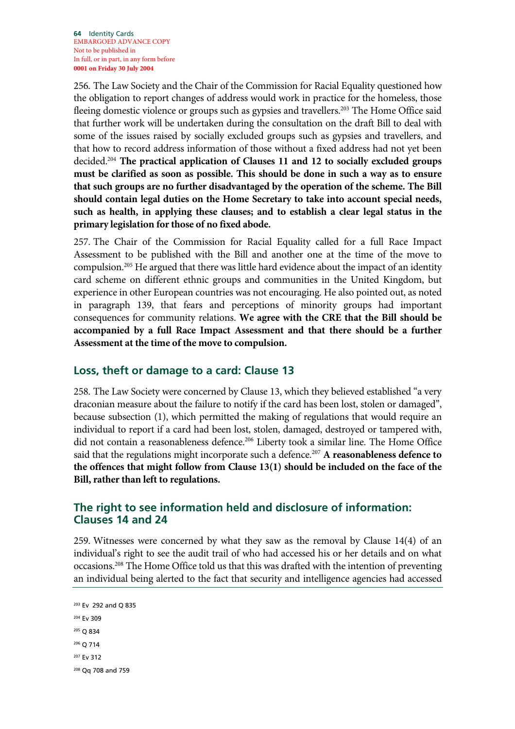256. The Law Society and the Chair of the Commission for Racial Equality questioned how the obligation to report changes of address would work in practice for the homeless, those fleeing domestic violence or groups such as gypsies and travellers.<sup>203</sup> The Home Office said that further work will be undertaken during the consultation on the draft Bill to deal with some of the issues raised by socially excluded groups such as gypsies and travellers, and that how to record address information of those without a fixed address had not yet been decided.204 **The practical application of Clauses 11 and 12 to socially excluded groups must be clarified as soon as possible. This should be done in such a way as to ensure that such groups are no further disadvantaged by the operation of the scheme. The Bill should contain legal duties on the Home Secretary to take into account special needs, such as health, in applying these clauses; and to establish a clear legal status in the primary legislation for those of no fixed abode.**

257. The Chair of the Commission for Racial Equality called for a full Race Impact Assessment to be published with the Bill and another one at the time of the move to compulsion.<sup>205</sup> He argued that there was little hard evidence about the impact of an identity card scheme on different ethnic groups and communities in the United Kingdom, but experience in other European countries was not encouraging. He also pointed out, as noted in paragraph 139, that fears and perceptions of minority groups had important consequences for community relations. **We agree with the CRE that the Bill should be accompanied by a full Race Impact Assessment and that there should be a further Assessment at the time of the move to compulsion.**

## **Loss, theft or damage to a card: Clause 13**

258. The Law Society were concerned by Clause 13, which they believed established "a very draconian measure about the failure to notify if the card has been lost, stolen or damaged", because subsection (1), which permitted the making of regulations that would require an individual to report if a card had been lost, stolen, damaged, destroyed or tampered with, did not contain a reasonableness defence.<sup>206</sup> Liberty took a similar line. The Home Office said that the regulations might incorporate such a defence.207 **A reasonableness defence to the offences that might follow from Clause 13(1) should be included on the face of the Bill, rather than left to regulations.**

## **The right to see information held and disclosure of information: Clauses 14 and 24**

259. Witnesses were concerned by what they saw as the removal by Clause 14(4) of an individual's right to see the audit trail of who had accessed his or her details and on what occasions.<sup>208</sup> The Home Office told us that this was drafted with the intention of preventing an individual being alerted to the fact that security and intelligence agencies had accessed

```
203 Ev 292 and Q 835 
204 Ev 309 
205 Q 834 
206 Q 714 
207 Ev 312 
208 Qq 708 and 759
```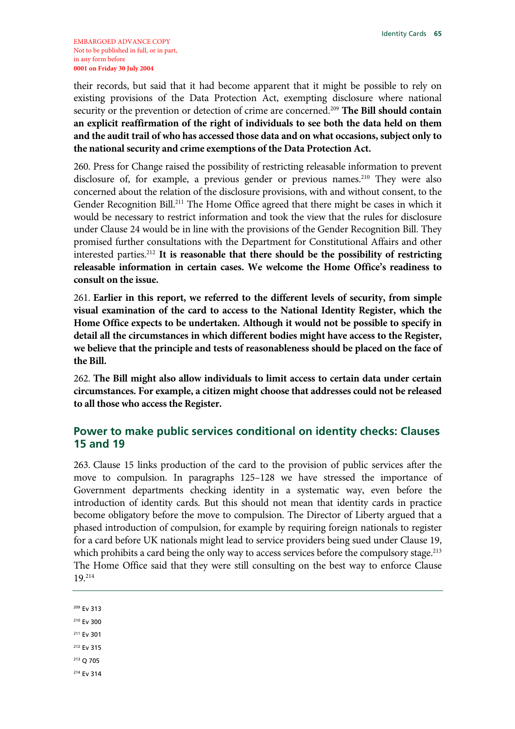their records, but said that it had become apparent that it might be possible to rely on existing provisions of the Data Protection Act, exempting disclosure where national security or the prevention or detection of crime are concerned.209 **The Bill should contain an explicit reaffirmation of the right of individuals to see both the data held on them and the audit trail of who has accessed those data and on what occasions, subject only to the national security and crime exemptions of the Data Protection Act.**

260. Press for Change raised the possibility of restricting releasable information to prevent disclosure of, for example, a previous gender or previous names.<sup>210</sup> They were also concerned about the relation of the disclosure provisions, with and without consent, to the Gender Recognition Bill.<sup>211</sup> The Home Office agreed that there might be cases in which it would be necessary to restrict information and took the view that the rules for disclosure under Clause 24 would be in line with the provisions of the Gender Recognition Bill. They promised further consultations with the Department for Constitutional Affairs and other interested parties.212 **It is reasonable that there should be the possibility of restricting releasable information in certain cases. We welcome the Home Office's readiness to consult on the issue.**

261. **Earlier in this report, we referred to the different levels of security, from simple visual examination of the card to access to the National Identity Register, which the Home Office expects to be undertaken. Although it would not be possible to specify in detail all the circumstances in which different bodies might have access to the Register, we believe that the principle and tests of reasonableness should be placed on the face of the Bill.**

262. **The Bill might also allow individuals to limit access to certain data under certain circumstances. For example, a citizen might choose that addresses could not be released to all those who access the Register.**

## **Power to make public services conditional on identity checks: Clauses 15 and 19**

263. Clause 15 links production of the card to the provision of public services after the move to compulsion. In paragraphs 125–128 we have stressed the importance of Government departments checking identity in a systematic way, even before the introduction of identity cards. But this should not mean that identity cards in practice become obligatory before the move to compulsion. The Director of Liberty argued that a phased introduction of compulsion, for example by requiring foreign nationals to register for a card before UK nationals might lead to service providers being sued under Clause 19, which prohibits a card being the only way to access services before the compulsory stage.<sup>213</sup> The Home Office said that they were still consulting on the best way to enforce Clause 19.214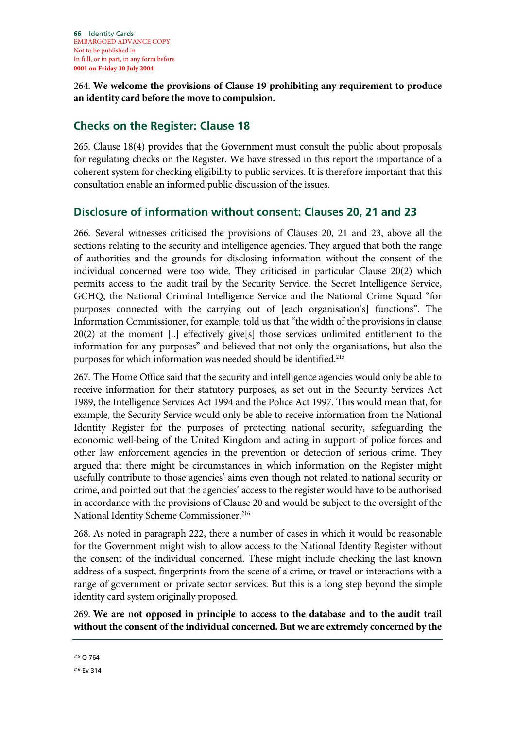264. **We welcome the provisions of Clause 19 prohibiting any requirement to produce an identity card before the move to compulsion.**

## **Checks on the Register: Clause 18**

265. Clause 18(4) provides that the Government must consult the public about proposals for regulating checks on the Register. We have stressed in this report the importance of a coherent system for checking eligibility to public services. It is therefore important that this consultation enable an informed public discussion of the issues.

## **Disclosure of information without consent: Clauses 20, 21 and 23**

266. Several witnesses criticised the provisions of Clauses 20, 21 and 23, above all the sections relating to the security and intelligence agencies. They argued that both the range of authorities and the grounds for disclosing information without the consent of the individual concerned were too wide. They criticised in particular Clause 20(2) which permits access to the audit trail by the Security Service, the Secret Intelligence Service, GCHQ, the National Criminal Intelligence Service and the National Crime Squad "for purposes connected with the carrying out of [each organisation's] functions". The Information Commissioner, for example, told us that "the width of the provisions in clause 20(2) at the moment [..] effectively give[s] those services unlimited entitlement to the information for any purposes" and believed that not only the organisations, but also the purposes for which information was needed should be identified.<sup>215</sup>

267. The Home Office said that the security and intelligence agencies would only be able to receive information for their statutory purposes, as set out in the Security Services Act 1989, the Intelligence Services Act 1994 and the Police Act 1997. This would mean that, for example, the Security Service would only be able to receive information from the National Identity Register for the purposes of protecting national security, safeguarding the economic well-being of the United Kingdom and acting in support of police forces and other law enforcement agencies in the prevention or detection of serious crime. They argued that there might be circumstances in which information on the Register might usefully contribute to those agencies' aims even though not related to national security or crime, and pointed out that the agencies' access to the register would have to be authorised in accordance with the provisions of Clause 20 and would be subject to the oversight of the National Identity Scheme Commissioner.<sup>216</sup>

268. As noted in paragraph 222, there a number of cases in which it would be reasonable for the Government might wish to allow access to the National Identity Register without the consent of the individual concerned. These might include checking the last known address of a suspect, fingerprints from the scene of a crime, or travel or interactions with a range of government or private sector services. But this is a long step beyond the simple identity card system originally proposed.

269. **We are not opposed in principle to access to the database and to the audit trail without the consent of the individual concerned. But we are extremely concerned by the** 

<sup>215</sup> Q 764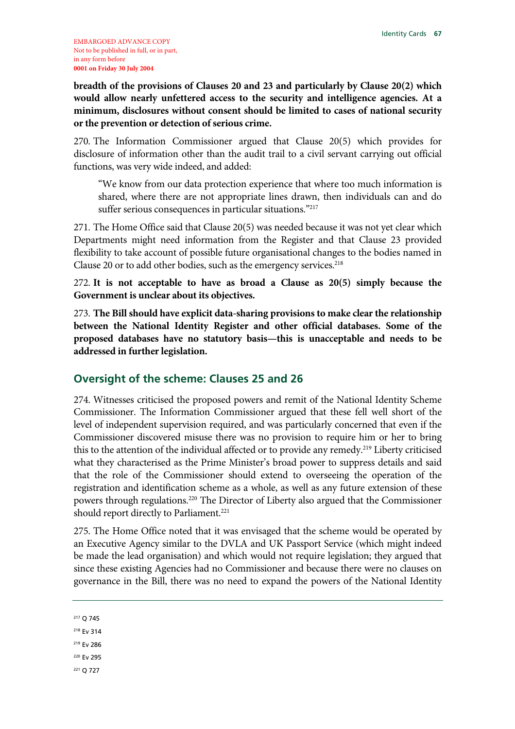**breadth of the provisions of Clauses 20 and 23 and particularly by Clause 20(2) which would allow nearly unfettered access to the security and intelligence agencies. At a minimum, disclosures without consent should be limited to cases of national security or the prevention or detection of serious crime.** 

270. The Information Commissioner argued that Clause 20(5) which provides for disclosure of information other than the audit trail to a civil servant carrying out official functions, was very wide indeed, and added:

"We know from our data protection experience that where too much information is shared, where there are not appropriate lines drawn, then individuals can and do suffer serious consequences in particular situations."<sup>217</sup>

271. The Home Office said that Clause 20(5) was needed because it was not yet clear which Departments might need information from the Register and that Clause 23 provided flexibility to take account of possible future organisational changes to the bodies named in Clause 20 or to add other bodies, such as the emergency services.<sup>218</sup>

272. **It is not acceptable to have as broad a Clause as 20(5) simply because the Government is unclear about its objectives.**

273. **The Bill should have explicit data-sharing provisions to make clear the relationship between the National Identity Register and other official databases. Some of the proposed databases have no statutory basis—this is unacceptable and needs to be addressed in further legislation.**

## **Oversight of the scheme: Clauses 25 and 26**

274. Witnesses criticised the proposed powers and remit of the National Identity Scheme Commissioner. The Information Commissioner argued that these fell well short of the level of independent supervision required, and was particularly concerned that even if the Commissioner discovered misuse there was no provision to require him or her to bring this to the attention of the individual affected or to provide any remedy.219 Liberty criticised what they characterised as the Prime Minister's broad power to suppress details and said that the role of the Commissioner should extend to overseeing the operation of the registration and identification scheme as a whole, as well as any future extension of these powers through regulations.220 The Director of Liberty also argued that the Commissioner should report directly to Parliament.<sup>221</sup>

275. The Home Office noted that it was envisaged that the scheme would be operated by an Executive Agency similar to the DVLA and UK Passport Service (which might indeed be made the lead organisation) and which would not require legislation; they argued that since these existing Agencies had no Commissioner and because there were no clauses on governance in the Bill, there was no need to expand the powers of the National Identity

```
221 Q 727
```
<sup>217</sup> Q 745

<sup>218</sup> Ev 314

<sup>219</sup> Ev 286

<sup>220</sup> Ev 295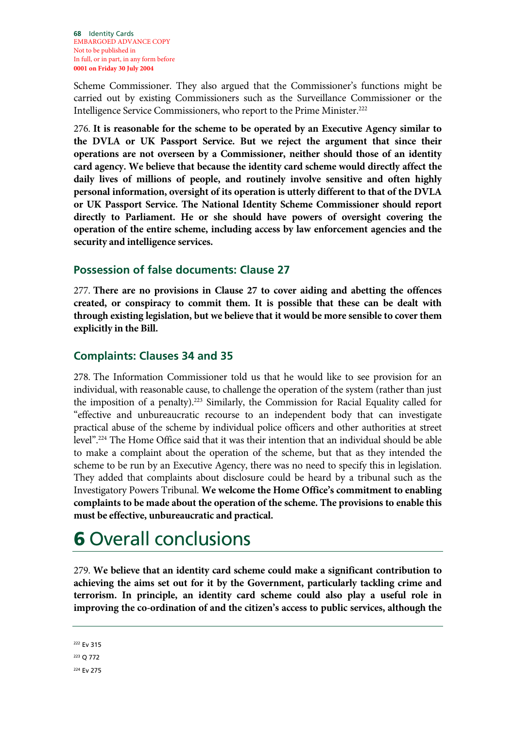Scheme Commissioner. They also argued that the Commissioner's functions might be carried out by existing Commissioners such as the Surveillance Commissioner or the Intelligence Service Commissioners, who report to the Prime Minister.222

276. **It is reasonable for the scheme to be operated by an Executive Agency similar to the DVLA or UK Passport Service. But we reject the argument that since their operations are not overseen by a Commissioner, neither should those of an identity card agency. We believe that because the identity card scheme would directly affect the daily lives of millions of people, and routinely involve sensitive and often highly personal information, oversight of its operation is utterly different to that of the DVLA or UK Passport Service. The National Identity Scheme Commissioner should report directly to Parliament. He or she should have powers of oversight covering the operation of the entire scheme, including access by law enforcement agencies and the security and intelligence services.**

## **Possession of false documents: Clause 27**

277. **There are no provisions in Clause 27 to cover aiding and abetting the offences created, or conspiracy to commit them. It is possible that these can be dealt with through existing legislation, but we believe that it would be more sensible to cover them explicitly in the Bill.**

## **Complaints: Clauses 34 and 35**

278. The Information Commissioner told us that he would like to see provision for an individual, with reasonable cause, to challenge the operation of the system (rather than just the imposition of a penalty).223 Similarly, the Commission for Racial Equality called for "effective and unbureaucratic recourse to an independent body that can investigate practical abuse of the scheme by individual police officers and other authorities at street level".224 The Home Office said that it was their intention that an individual should be able to make a complaint about the operation of the scheme, but that as they intended the scheme to be run by an Executive Agency, there was no need to specify this in legislation. They added that complaints about disclosure could be heard by a tribunal such as the Investigatory Powers Tribunal. **We welcome the Home Office's commitment to enabling complaints to be made about the operation of the scheme. The provisions to enable this must be effective, unbureaucratic and practical.**

# 6 Overall conclusions

279. **We believe that an identity card scheme could make a significant contribution to achieving the aims set out for it by the Government, particularly tackling crime and terrorism. In principle, an identity card scheme could also play a useful role in improving the co-ordination of and the citizen's access to public services, although the**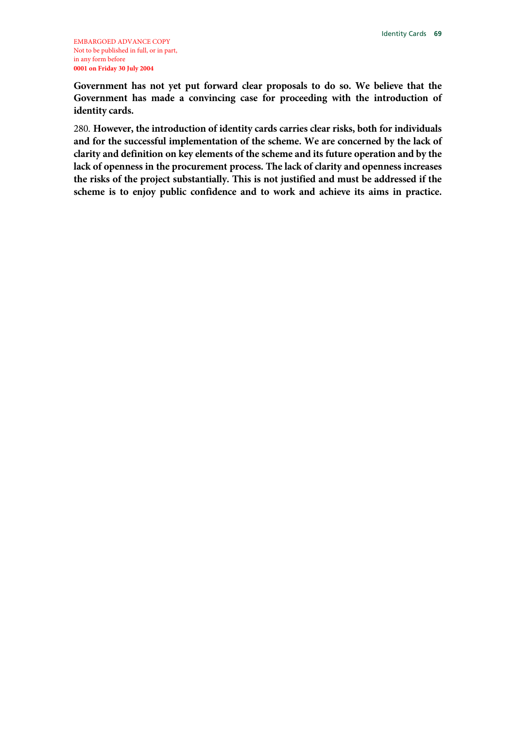**Government has not yet put forward clear proposals to do so. We believe that the Government has made a convincing case for proceeding with the introduction of identity cards.**

280. **However, the introduction of identity cards carries clear risks, both for individuals and for the successful implementation of the scheme. We are concerned by the lack of clarity and definition on key elements of the scheme and its future operation and by the lack of openness in the procurement process. The lack of clarity and openness increases the risks of the project substantially. This is not justified and must be addressed if the scheme is to enjoy public confidence and to work and achieve its aims in practice.**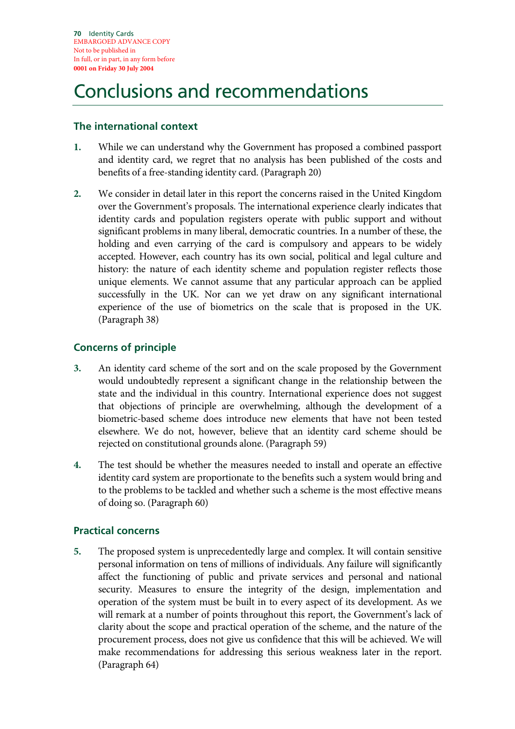# Conclusions and recommendations

## **The international context**

- **1.** While we can understand why the Government has proposed a combined passport and identity card, we regret that no analysis has been published of the costs and benefits of a free-standing identity card. (Paragraph 20)
- **2.** We consider in detail later in this report the concerns raised in the United Kingdom over the Government's proposals. The international experience clearly indicates that identity cards and population registers operate with public support and without significant problems in many liberal, democratic countries. In a number of these, the holding and even carrying of the card is compulsory and appears to be widely accepted. However, each country has its own social, political and legal culture and history: the nature of each identity scheme and population register reflects those unique elements. We cannot assume that any particular approach can be applied successfully in the UK. Nor can we yet draw on any significant international experience of the use of biometrics on the scale that is proposed in the UK. (Paragraph 38)

# **Concerns of principle**

- **3.** An identity card scheme of the sort and on the scale proposed by the Government would undoubtedly represent a significant change in the relationship between the state and the individual in this country. International experience does not suggest that objections of principle are overwhelming, although the development of a biometric-based scheme does introduce new elements that have not been tested elsewhere. We do not, however, believe that an identity card scheme should be rejected on constitutional grounds alone. (Paragraph 59)
- **4.** The test should be whether the measures needed to install and operate an effective identity card system are proportionate to the benefits such a system would bring and to the problems to be tackled and whether such a scheme is the most effective means of doing so. (Paragraph 60)

# **Practical concerns**

**5.** The proposed system is unprecedentedly large and complex. It will contain sensitive personal information on tens of millions of individuals. Any failure will significantly affect the functioning of public and private services and personal and national security. Measures to ensure the integrity of the design, implementation and operation of the system must be built in to every aspect of its development. As we will remark at a number of points throughout this report, the Government's lack of clarity about the scope and practical operation of the scheme, and the nature of the procurement process, does not give us confidence that this will be achieved. We will make recommendations for addressing this serious weakness later in the report. (Paragraph 64)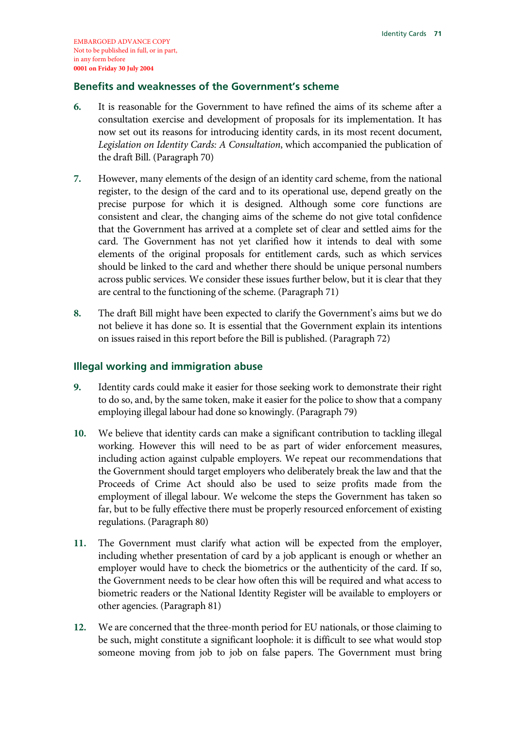## **Benefits and weaknesses of the Government's scheme**

- **6.** It is reasonable for the Government to have refined the aims of its scheme after a consultation exercise and development of proposals for its implementation. It has now set out its reasons for introducing identity cards, in its most recent document, *Legislation on Identity Cards: A Consultation*, which accompanied the publication of the draft Bill. (Paragraph 70)
- **7.** However, many elements of the design of an identity card scheme, from the national register, to the design of the card and to its operational use, depend greatly on the precise purpose for which it is designed. Although some core functions are consistent and clear, the changing aims of the scheme do not give total confidence that the Government has arrived at a complete set of clear and settled aims for the card. The Government has not yet clarified how it intends to deal with some elements of the original proposals for entitlement cards, such as which services should be linked to the card and whether there should be unique personal numbers across public services. We consider these issues further below, but it is clear that they are central to the functioning of the scheme. (Paragraph 71)
- **8.** The draft Bill might have been expected to clarify the Government's aims but we do not believe it has done so. It is essential that the Government explain its intentions on issues raised in this report before the Bill is published. (Paragraph 72)

## **Illegal working and immigration abuse**

- **9.** Identity cards could make it easier for those seeking work to demonstrate their right to do so, and, by the same token, make it easier for the police to show that a company employing illegal labour had done so knowingly. (Paragraph 79)
- **10.** We believe that identity cards can make a significant contribution to tackling illegal working. However this will need to be as part of wider enforcement measures, including action against culpable employers. We repeat our recommendations that the Government should target employers who deliberately break the law and that the Proceeds of Crime Act should also be used to seize profits made from the employment of illegal labour. We welcome the steps the Government has taken so far, but to be fully effective there must be properly resourced enforcement of existing regulations. (Paragraph 80)
- **11.** The Government must clarify what action will be expected from the employer, including whether presentation of card by a job applicant is enough or whether an employer would have to check the biometrics or the authenticity of the card. If so, the Government needs to be clear how often this will be required and what access to biometric readers or the National Identity Register will be available to employers or other agencies. (Paragraph 81)
- **12.** We are concerned that the three-month period for EU nationals, or those claiming to be such, might constitute a significant loophole: it is difficult to see what would stop someone moving from job to job on false papers. The Government must bring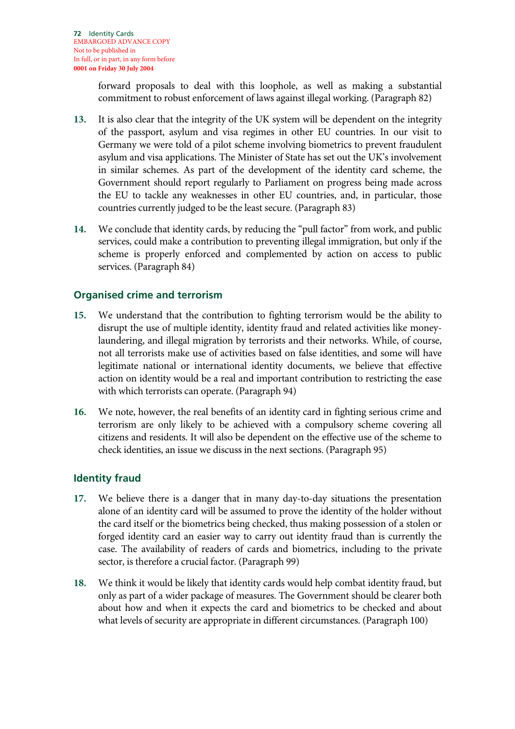forward proposals to deal with this loophole, as well as making a substantial commitment to robust enforcement of laws against illegal working. (Paragraph 82)

- **13.** It is also clear that the integrity of the UK system will be dependent on the integrity of the passport, asylum and visa regimes in other EU countries. In our visit to Germany we were told of a pilot scheme involving biometrics to prevent fraudulent asylum and visa applications. The Minister of State has set out the UK's involvement in similar schemes. As part of the development of the identity card scheme, the Government should report regularly to Parliament on progress being made across the EU to tackle any weaknesses in other EU countries, and, in particular, those countries currently judged to be the least secure. (Paragraph 83)
- **14.** We conclude that identity cards, by reducing the "pull factor" from work, and public services, could make a contribution to preventing illegal immigration, but only if the scheme is properly enforced and complemented by action on access to public services. (Paragraph 84)

# **Organised crime and terrorism**

- **15.** We understand that the contribution to fighting terrorism would be the ability to disrupt the use of multiple identity, identity fraud and related activities like moneylaundering, and illegal migration by terrorists and their networks. While, of course, not all terrorists make use of activities based on false identities, and some will have legitimate national or international identity documents, we believe that effective action on identity would be a real and important contribution to restricting the ease with which terrorists can operate. (Paragraph 94)
- **16.** We note, however, the real benefits of an identity card in fighting serious crime and terrorism are only likely to be achieved with a compulsory scheme covering all citizens and residents. It will also be dependent on the effective use of the scheme to check identities, an issue we discuss in the next sections. (Paragraph 95)

# **Identity fraud**

- **17.** We believe there is a danger that in many day-to-day situations the presentation alone of an identity card will be assumed to prove the identity of the holder without the card itself or the biometrics being checked, thus making possession of a stolen or forged identity card an easier way to carry out identity fraud than is currently the case. The availability of readers of cards and biometrics, including to the private sector, is therefore a crucial factor. (Paragraph 99)
- **18.** We think it would be likely that identity cards would help combat identity fraud, but only as part of a wider package of measures. The Government should be clearer both about how and when it expects the card and biometrics to be checked and about what levels of security are appropriate in different circumstances. (Paragraph 100)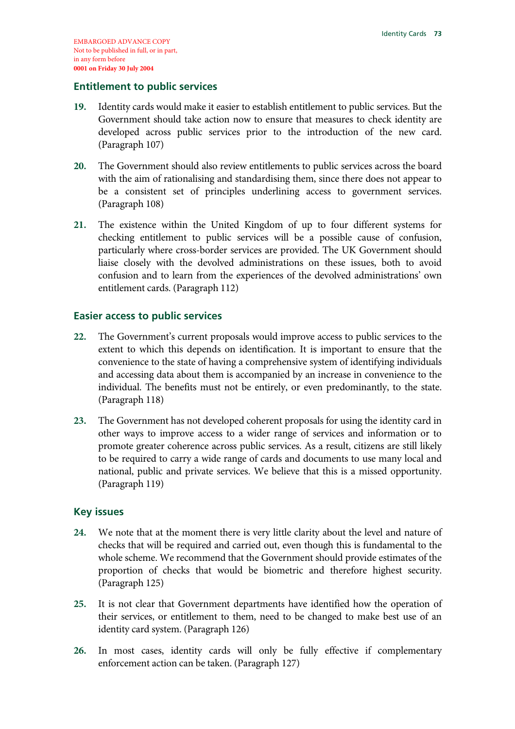### **Entitlement to public services**

- **19.** Identity cards would make it easier to establish entitlement to public services. But the Government should take action now to ensure that measures to check identity are developed across public services prior to the introduction of the new card. (Paragraph 107)
- **20.** The Government should also review entitlements to public services across the board with the aim of rationalising and standardising them, since there does not appear to be a consistent set of principles underlining access to government services. (Paragraph 108)
- **21.** The existence within the United Kingdom of up to four different systems for checking entitlement to public services will be a possible cause of confusion, particularly where cross-border services are provided. The UK Government should liaise closely with the devolved administrations on these issues, both to avoid confusion and to learn from the experiences of the devolved administrations' own entitlement cards. (Paragraph 112)

## **Easier access to public services**

- **22.** The Government's current proposals would improve access to public services to the extent to which this depends on identification. It is important to ensure that the convenience to the state of having a comprehensive system of identifying individuals and accessing data about them is accompanied by an increase in convenience to the individual. The benefits must not be entirely, or even predominantly, to the state. (Paragraph 118)
- **23.** The Government has not developed coherent proposals for using the identity card in other ways to improve access to a wider range of services and information or to promote greater coherence across public services. As a result, citizens are still likely to be required to carry a wide range of cards and documents to use many local and national, public and private services. We believe that this is a missed opportunity. (Paragraph 119)

## **Key issues**

- **24.** We note that at the moment there is very little clarity about the level and nature of checks that will be required and carried out, even though this is fundamental to the whole scheme. We recommend that the Government should provide estimates of the proportion of checks that would be biometric and therefore highest security. (Paragraph 125)
- **25.** It is not clear that Government departments have identified how the operation of their services, or entitlement to them, need to be changed to make best use of an identity card system. (Paragraph 126)
- **26.** In most cases, identity cards will only be fully effective if complementary enforcement action can be taken. (Paragraph 127)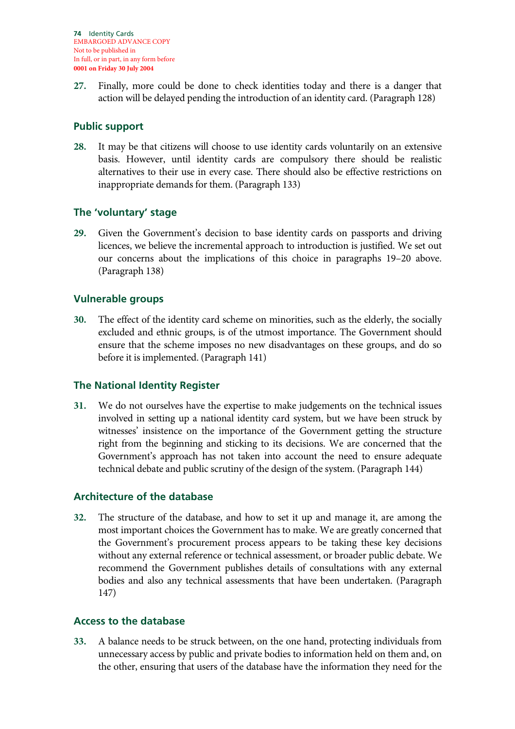**27.** Finally, more could be done to check identities today and there is a danger that action will be delayed pending the introduction of an identity card. (Paragraph 128)

## **Public support**

**28.** It may be that citizens will choose to use identity cards voluntarily on an extensive basis. However, until identity cards are compulsory there should be realistic alternatives to their use in every case. There should also be effective restrictions on inappropriate demands for them. (Paragraph 133)

## **The 'voluntary' stage**

**29.** Given the Government's decision to base identity cards on passports and driving licences, we believe the incremental approach to introduction is justified. We set out our concerns about the implications of this choice in paragraphs 19–20 above. (Paragraph 138)

## **Vulnerable groups**

**30.** The effect of the identity card scheme on minorities, such as the elderly, the socially excluded and ethnic groups, is of the utmost importance. The Government should ensure that the scheme imposes no new disadvantages on these groups, and do so before it is implemented. (Paragraph 141)

## **The National Identity Register**

**31.** We do not ourselves have the expertise to make judgements on the technical issues involved in setting up a national identity card system, but we have been struck by witnesses' insistence on the importance of the Government getting the structure right from the beginning and sticking to its decisions. We are concerned that the Government's approach has not taken into account the need to ensure adequate technical debate and public scrutiny of the design of the system. (Paragraph 144)

## **Architecture of the database**

**32.** The structure of the database, and how to set it up and manage it, are among the most important choices the Government has to make. We are greatly concerned that the Government's procurement process appears to be taking these key decisions without any external reference or technical assessment, or broader public debate. We recommend the Government publishes details of consultations with any external bodies and also any technical assessments that have been undertaken. (Paragraph 147)

## **Access to the database**

**33.** A balance needs to be struck between, on the one hand, protecting individuals from unnecessary access by public and private bodies to information held on them and, on the other, ensuring that users of the database have the information they need for the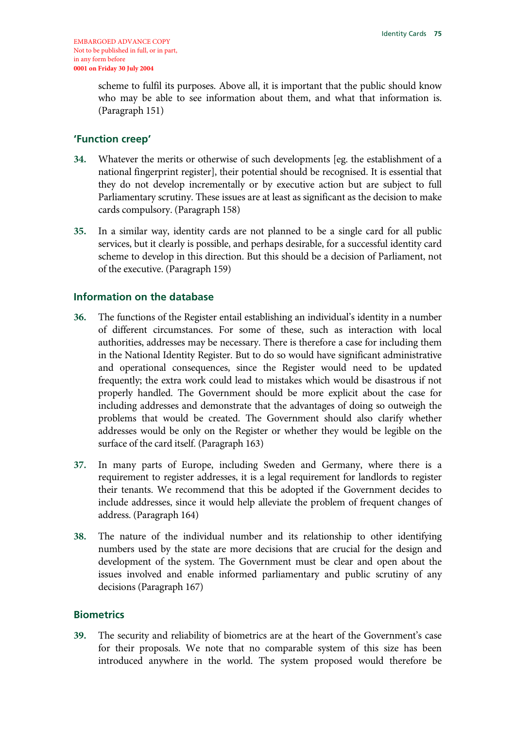scheme to fulfil its purposes. Above all, it is important that the public should know who may be able to see information about them, and what that information is. (Paragraph 151)

### **'Function creep'**

- **34.** Whatever the merits or otherwise of such developments [eg. the establishment of a national fingerprint register], their potential should be recognised. It is essential that they do not develop incrementally or by executive action but are subject to full Parliamentary scrutiny. These issues are at least as significant as the decision to make cards compulsory. (Paragraph 158)
- **35.** In a similar way, identity cards are not planned to be a single card for all public services, but it clearly is possible, and perhaps desirable, for a successful identity card scheme to develop in this direction. But this should be a decision of Parliament, not of the executive. (Paragraph 159)

### **Information on the database**

- **36.** The functions of the Register entail establishing an individual's identity in a number of different circumstances. For some of these, such as interaction with local authorities, addresses may be necessary. There is therefore a case for including them in the National Identity Register. But to do so would have significant administrative and operational consequences, since the Register would need to be updated frequently; the extra work could lead to mistakes which would be disastrous if not properly handled. The Government should be more explicit about the case for including addresses and demonstrate that the advantages of doing so outweigh the problems that would be created. The Government should also clarify whether addresses would be only on the Register or whether they would be legible on the surface of the card itself. (Paragraph 163)
- **37.** In many parts of Europe, including Sweden and Germany, where there is a requirement to register addresses, it is a legal requirement for landlords to register their tenants. We recommend that this be adopted if the Government decides to include addresses, since it would help alleviate the problem of frequent changes of address. (Paragraph 164)
- **38.** The nature of the individual number and its relationship to other identifying numbers used by the state are more decisions that are crucial for the design and development of the system. The Government must be clear and open about the issues involved and enable informed parliamentary and public scrutiny of any decisions (Paragraph 167)

## **Biometrics**

**39.** The security and reliability of biometrics are at the heart of the Government's case for their proposals. We note that no comparable system of this size has been introduced anywhere in the world. The system proposed would therefore be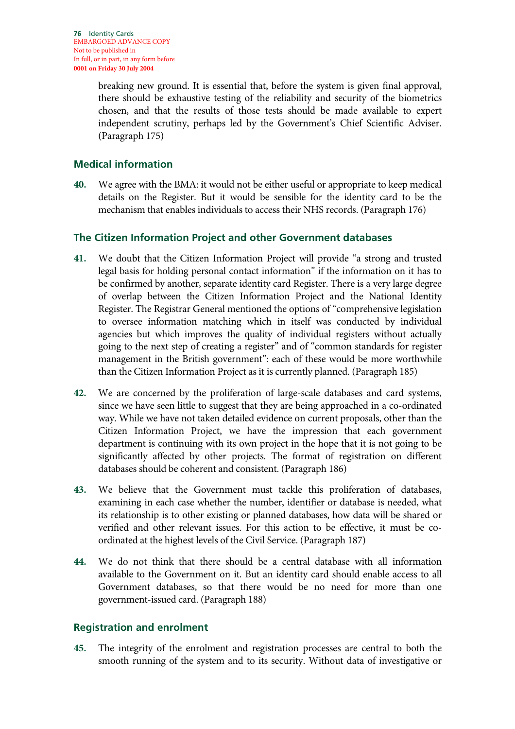breaking new ground. It is essential that, before the system is given final approval, there should be exhaustive testing of the reliability and security of the biometrics chosen, and that the results of those tests should be made available to expert independent scrutiny, perhaps led by the Government's Chief Scientific Adviser. (Paragraph 175)

## **Medical information**

**40.** We agree with the BMA: it would not be either useful or appropriate to keep medical details on the Register. But it would be sensible for the identity card to be the mechanism that enables individuals to access their NHS records. (Paragraph 176)

## **The Citizen Information Project and other Government databases**

- **41.** We doubt that the Citizen Information Project will provide "a strong and trusted legal basis for holding personal contact information" if the information on it has to be confirmed by another, separate identity card Register. There is a very large degree of overlap between the Citizen Information Project and the National Identity Register. The Registrar General mentioned the options of "comprehensive legislation to oversee information matching which in itself was conducted by individual agencies but which improves the quality of individual registers without actually going to the next step of creating a register" and of "common standards for register management in the British government": each of these would be more worthwhile than the Citizen Information Project as it is currently planned. (Paragraph 185)
- **42.** We are concerned by the proliferation of large-scale databases and card systems, since we have seen little to suggest that they are being approached in a co-ordinated way. While we have not taken detailed evidence on current proposals, other than the Citizen Information Project, we have the impression that each government department is continuing with its own project in the hope that it is not going to be significantly affected by other projects. The format of registration on different databases should be coherent and consistent. (Paragraph 186)
- **43.** We believe that the Government must tackle this proliferation of databases, examining in each case whether the number, identifier or database is needed, what its relationship is to other existing or planned databases, how data will be shared or verified and other relevant issues. For this action to be effective, it must be coordinated at the highest levels of the Civil Service. (Paragraph 187)
- **44.** We do not think that there should be a central database with all information available to the Government on it. But an identity card should enable access to all Government databases, so that there would be no need for more than one government-issued card. (Paragraph 188)

## **Registration and enrolment**

**45.** The integrity of the enrolment and registration processes are central to both the smooth running of the system and to its security. Without data of investigative or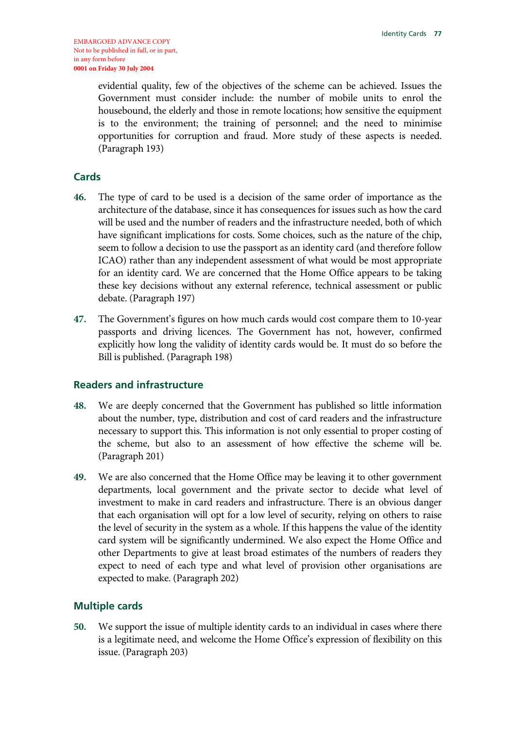evidential quality, few of the objectives of the scheme can be achieved. Issues the Government must consider include: the number of mobile units to enrol the housebound, the elderly and those in remote locations; how sensitive the equipment is to the environment; the training of personnel; and the need to minimise opportunities for corruption and fraud. More study of these aspects is needed. (Paragraph 193)

### **Cards**

- **46.** The type of card to be used is a decision of the same order of importance as the architecture of the database, since it has consequences for issues such as how the card will be used and the number of readers and the infrastructure needed, both of which have significant implications for costs. Some choices, such as the nature of the chip, seem to follow a decision to use the passport as an identity card (and therefore follow ICAO) rather than any independent assessment of what would be most appropriate for an identity card. We are concerned that the Home Office appears to be taking these key decisions without any external reference, technical assessment or public debate. (Paragraph 197)
- **47.** The Government's figures on how much cards would cost compare them to 10-year passports and driving licences. The Government has not, however, confirmed explicitly how long the validity of identity cards would be. It must do so before the Bill is published. (Paragraph 198)

### **Readers and infrastructure**

- **48.** We are deeply concerned that the Government has published so little information about the number, type, distribution and cost of card readers and the infrastructure necessary to support this. This information is not only essential to proper costing of the scheme, but also to an assessment of how effective the scheme will be. (Paragraph 201)
- **49.** We are also concerned that the Home Office may be leaving it to other government departments, local government and the private sector to decide what level of investment to make in card readers and infrastructure. There is an obvious danger that each organisation will opt for a low level of security, relying on others to raise the level of security in the system as a whole. If this happens the value of the identity card system will be significantly undermined. We also expect the Home Office and other Departments to give at least broad estimates of the numbers of readers they expect to need of each type and what level of provision other organisations are expected to make. (Paragraph 202)

### **Multiple cards**

**50.** We support the issue of multiple identity cards to an individual in cases where there is a legitimate need, and welcome the Home Office's expression of flexibility on this issue. (Paragraph 203)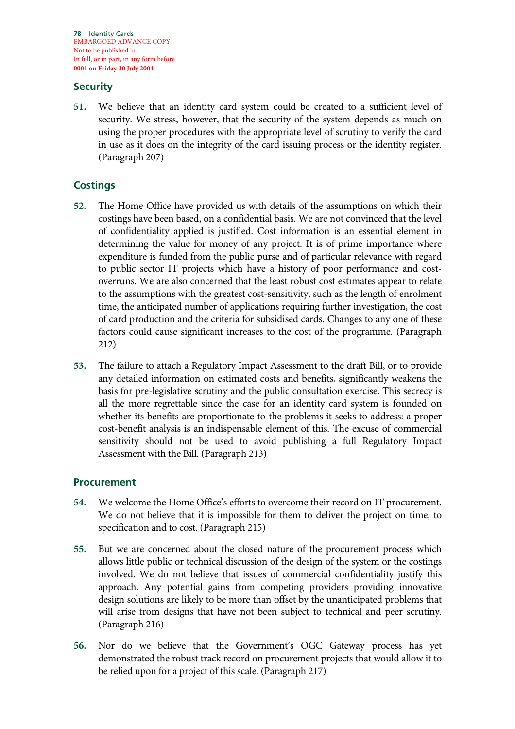**78** Identity Cards EMBARGOED ADVANCE COPY Not to be published in In full, or in part, in any form before **0001 on Friday 30 July 2004**

## **Security**

**51.** We believe that an identity card system could be created to a sufficient level of security. We stress, however, that the security of the system depends as much on using the proper procedures with the appropriate level of scrutiny to verify the card in use as it does on the integrity of the card issuing process or the identity register. (Paragraph 207)

## **Costings**

- **52.** The Home Office have provided us with details of the assumptions on which their costings have been based, on a confidential basis. We are not convinced that the level of confidentiality applied is justified. Cost information is an essential element in determining the value for money of any project. It is of prime importance where expenditure is funded from the public purse and of particular relevance with regard to public sector IT projects which have a history of poor performance and costoverruns. We are also concerned that the least robust cost estimates appear to relate to the assumptions with the greatest cost-sensitivity, such as the length of enrolment time, the anticipated number of applications requiring further investigation, the cost of card production and the criteria for subsidised cards. Changes to any one of these factors could cause significant increases to the cost of the programme. (Paragraph 212)
- **53.** The failure to attach a Regulatory Impact Assessment to the draft Bill, or to provide any detailed information on estimated costs and benefits, significantly weakens the basis for pre-legislative scrutiny and the public consultation exercise. This secrecy is all the more regrettable since the case for an identity card system is founded on whether its benefits are proportionate to the problems it seeks to address: a proper cost-benefit analysis is an indispensable element of this. The excuse of commercial sensitivity should not be used to avoid publishing a full Regulatory Impact Assessment with the Bill. (Paragraph 213)

## **Procurement**

- **54.** We welcome the Home Office's efforts to overcome their record on IT procurement. We do not believe that it is impossible for them to deliver the project on time, to specification and to cost. (Paragraph 215)
- **55.** But we are concerned about the closed nature of the procurement process which allows little public or technical discussion of the design of the system or the costings involved. We do not believe that issues of commercial confidentiality justify this approach. Any potential gains from competing providers providing innovative design solutions are likely to be more than offset by the unanticipated problems that will arise from designs that have not been subject to technical and peer scrutiny. (Paragraph 216)
- **56.** Nor do we believe that the Government's OGC Gateway process has yet demonstrated the robust track record on procurement projects that would allow it to be relied upon for a project of this scale. (Paragraph 217)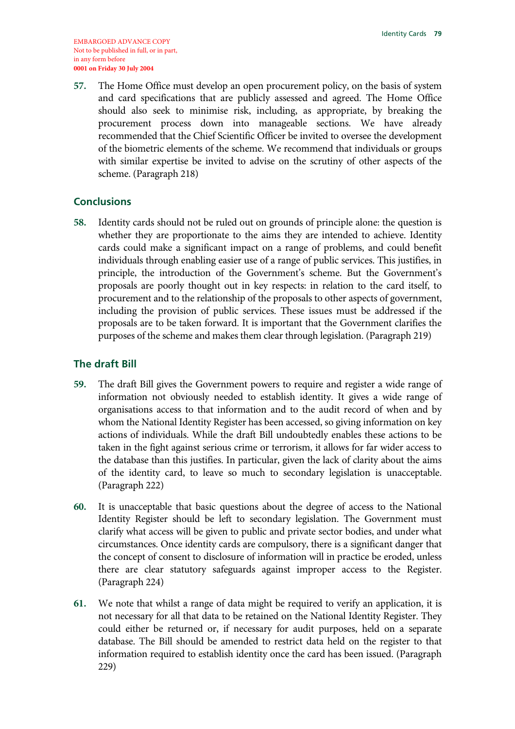**57.** The Home Office must develop an open procurement policy, on the basis of system and card specifications that are publicly assessed and agreed. The Home Office should also seek to minimise risk, including, as appropriate, by breaking the procurement process down into manageable sections. We have already recommended that the Chief Scientific Officer be invited to oversee the development of the biometric elements of the scheme. We recommend that individuals or groups with similar expertise be invited to advise on the scrutiny of other aspects of the scheme. (Paragraph 218)

## **Conclusions**

**58.** Identity cards should not be ruled out on grounds of principle alone: the question is whether they are proportionate to the aims they are intended to achieve. Identity cards could make a significant impact on a range of problems, and could benefit individuals through enabling easier use of a range of public services. This justifies, in principle, the introduction of the Government's scheme. But the Government's proposals are poorly thought out in key respects: in relation to the card itself, to procurement and to the relationship of the proposals to other aspects of government, including the provision of public services. These issues must be addressed if the proposals are to be taken forward. It is important that the Government clarifies the purposes of the scheme and makes them clear through legislation. (Paragraph 219)

## **The draft Bill**

- **59.** The draft Bill gives the Government powers to require and register a wide range of information not obviously needed to establish identity. It gives a wide range of organisations access to that information and to the audit record of when and by whom the National Identity Register has been accessed, so giving information on key actions of individuals. While the draft Bill undoubtedly enables these actions to be taken in the fight against serious crime or terrorism, it allows for far wider access to the database than this justifies. In particular, given the lack of clarity about the aims of the identity card, to leave so much to secondary legislation is unacceptable. (Paragraph 222)
- **60.** It is unacceptable that basic questions about the degree of access to the National Identity Register should be left to secondary legislation. The Government must clarify what access will be given to public and private sector bodies, and under what circumstances. Once identity cards are compulsory, there is a significant danger that the concept of consent to disclosure of information will in practice be eroded, unless there are clear statutory safeguards against improper access to the Register. (Paragraph 224)
- **61.** We note that whilst a range of data might be required to verify an application, it is not necessary for all that data to be retained on the National Identity Register. They could either be returned or, if necessary for audit purposes, held on a separate database. The Bill should be amended to restrict data held on the register to that information required to establish identity once the card has been issued. (Paragraph 229)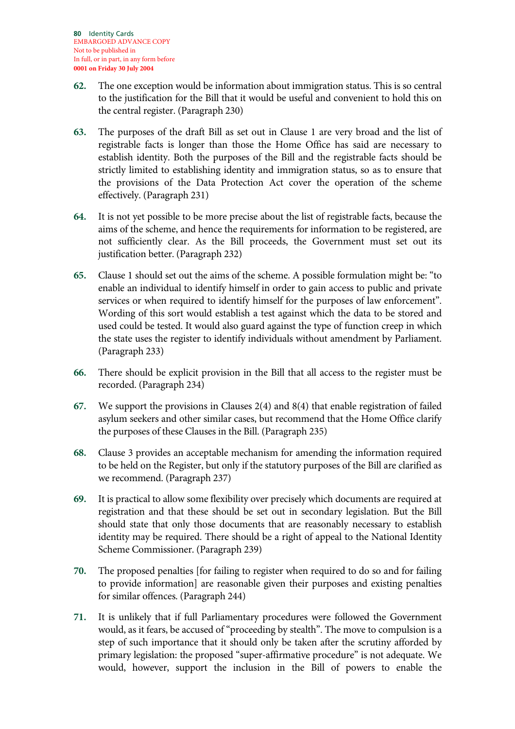- **62.** The one exception would be information about immigration status. This is so central to the justification for the Bill that it would be useful and convenient to hold this on the central register. (Paragraph 230)
- **63.** The purposes of the draft Bill as set out in Clause 1 are very broad and the list of registrable facts is longer than those the Home Office has said are necessary to establish identity. Both the purposes of the Bill and the registrable facts should be strictly limited to establishing identity and immigration status, so as to ensure that the provisions of the Data Protection Act cover the operation of the scheme effectively. (Paragraph 231)
- **64.** It is not yet possible to be more precise about the list of registrable facts, because the aims of the scheme, and hence the requirements for information to be registered, are not sufficiently clear. As the Bill proceeds, the Government must set out its justification better. (Paragraph 232)
- **65.** Clause 1 should set out the aims of the scheme. A possible formulation might be: "to enable an individual to identify himself in order to gain access to public and private services or when required to identify himself for the purposes of law enforcement". Wording of this sort would establish a test against which the data to be stored and used could be tested. It would also guard against the type of function creep in which the state uses the register to identify individuals without amendment by Parliament. (Paragraph 233)
- **66.** There should be explicit provision in the Bill that all access to the register must be recorded. (Paragraph 234)
- **67.** We support the provisions in Clauses 2(4) and 8(4) that enable registration of failed asylum seekers and other similar cases, but recommend that the Home Office clarify the purposes of these Clauses in the Bill. (Paragraph 235)
- **68.** Clause 3 provides an acceptable mechanism for amending the information required to be held on the Register, but only if the statutory purposes of the Bill are clarified as we recommend. (Paragraph 237)
- **69.** It is practical to allow some flexibility over precisely which documents are required at registration and that these should be set out in secondary legislation. But the Bill should state that only those documents that are reasonably necessary to establish identity may be required. There should be a right of appeal to the National Identity Scheme Commissioner. (Paragraph 239)
- **70.** The proposed penalties [for failing to register when required to do so and for failing to provide information] are reasonable given their purposes and existing penalties for similar offences. (Paragraph 244)
- **71.** It is unlikely that if full Parliamentary procedures were followed the Government would, as it fears, be accused of "proceeding by stealth". The move to compulsion is a step of such importance that it should only be taken after the scrutiny afforded by primary legislation: the proposed "super-affirmative procedure" is not adequate. We would, however, support the inclusion in the Bill of powers to enable the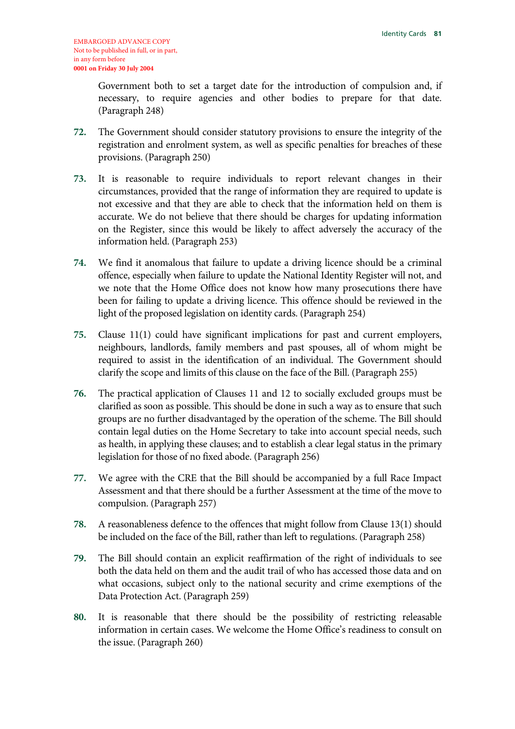Government both to set a target date for the introduction of compulsion and, if necessary, to require agencies and other bodies to prepare for that date. (Paragraph 248)

- **72.** The Government should consider statutory provisions to ensure the integrity of the registration and enrolment system, as well as specific penalties for breaches of these provisions. (Paragraph 250)
- **73.** It is reasonable to require individuals to report relevant changes in their circumstances, provided that the range of information they are required to update is not excessive and that they are able to check that the information held on them is accurate. We do not believe that there should be charges for updating information on the Register, since this would be likely to affect adversely the accuracy of the information held. (Paragraph 253)
- **74.** We find it anomalous that failure to update a driving licence should be a criminal offence, especially when failure to update the National Identity Register will not, and we note that the Home Office does not know how many prosecutions there have been for failing to update a driving licence. This offence should be reviewed in the light of the proposed legislation on identity cards. (Paragraph 254)
- **75.** Clause 11(1) could have significant implications for past and current employers, neighbours, landlords, family members and past spouses, all of whom might be required to assist in the identification of an individual. The Government should clarify the scope and limits of this clause on the face of the Bill. (Paragraph 255)
- **76.** The practical application of Clauses 11 and 12 to socially excluded groups must be clarified as soon as possible. This should be done in such a way as to ensure that such groups are no further disadvantaged by the operation of the scheme. The Bill should contain legal duties on the Home Secretary to take into account special needs, such as health, in applying these clauses; and to establish a clear legal status in the primary legislation for those of no fixed abode. (Paragraph 256)
- **77.** We agree with the CRE that the Bill should be accompanied by a full Race Impact Assessment and that there should be a further Assessment at the time of the move to compulsion. (Paragraph 257)
- **78.** A reasonableness defence to the offences that might follow from Clause 13(1) should be included on the face of the Bill, rather than left to regulations. (Paragraph 258)
- **79.** The Bill should contain an explicit reaffirmation of the right of individuals to see both the data held on them and the audit trail of who has accessed those data and on what occasions, subject only to the national security and crime exemptions of the Data Protection Act. (Paragraph 259)
- **80.** It is reasonable that there should be the possibility of restricting releasable information in certain cases. We welcome the Home Office's readiness to consult on the issue. (Paragraph 260)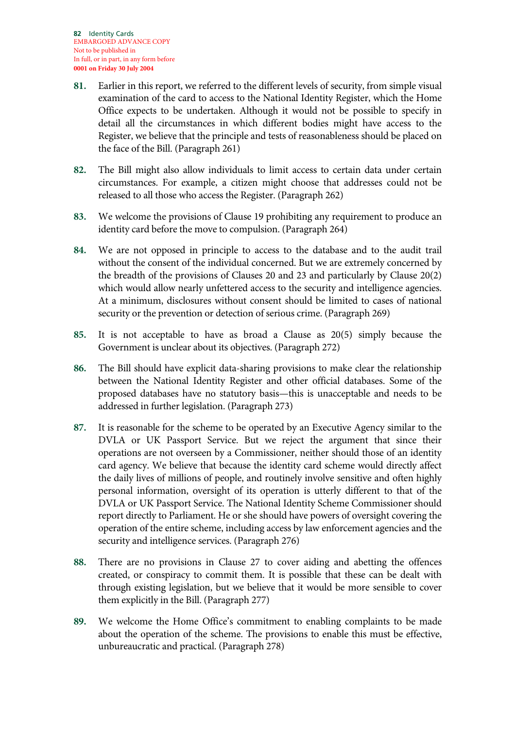- **81.** Earlier in this report, we referred to the different levels of security, from simple visual examination of the card to access to the National Identity Register, which the Home Office expects to be undertaken. Although it would not be possible to specify in detail all the circumstances in which different bodies might have access to the Register, we believe that the principle and tests of reasonableness should be placed on the face of the Bill. (Paragraph 261)
- **82.** The Bill might also allow individuals to limit access to certain data under certain circumstances. For example, a citizen might choose that addresses could not be released to all those who access the Register. (Paragraph 262)
- **83.** We welcome the provisions of Clause 19 prohibiting any requirement to produce an identity card before the move to compulsion. (Paragraph 264)
- **84.** We are not opposed in principle to access to the database and to the audit trail without the consent of the individual concerned. But we are extremely concerned by the breadth of the provisions of Clauses 20 and 23 and particularly by Clause 20(2) which would allow nearly unfettered access to the security and intelligence agencies. At a minimum, disclosures without consent should be limited to cases of national security or the prevention or detection of serious crime. (Paragraph 269)
- **85.** It is not acceptable to have as broad a Clause as 20(5) simply because the Government is unclear about its objectives. (Paragraph 272)
- **86.** The Bill should have explicit data-sharing provisions to make clear the relationship between the National Identity Register and other official databases. Some of the proposed databases have no statutory basis—this is unacceptable and needs to be addressed in further legislation. (Paragraph 273)
- **87.** It is reasonable for the scheme to be operated by an Executive Agency similar to the DVLA or UK Passport Service. But we reject the argument that since their operations are not overseen by a Commissioner, neither should those of an identity card agency. We believe that because the identity card scheme would directly affect the daily lives of millions of people, and routinely involve sensitive and often highly personal information, oversight of its operation is utterly different to that of the DVLA or UK Passport Service. The National Identity Scheme Commissioner should report directly to Parliament. He or she should have powers of oversight covering the operation of the entire scheme, including access by law enforcement agencies and the security and intelligence services. (Paragraph 276)
- **88.** There are no provisions in Clause 27 to cover aiding and abetting the offences created, or conspiracy to commit them. It is possible that these can be dealt with through existing legislation, but we believe that it would be more sensible to cover them explicitly in the Bill. (Paragraph 277)
- **89.** We welcome the Home Office's commitment to enabling complaints to be made about the operation of the scheme. The provisions to enable this must be effective, unbureaucratic and practical. (Paragraph 278)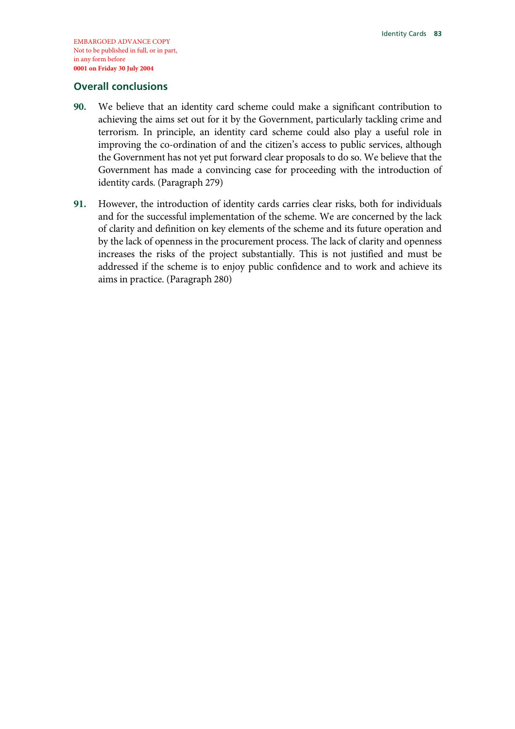### **Overall conclusions**

- **90.** We believe that an identity card scheme could make a significant contribution to achieving the aims set out for it by the Government, particularly tackling crime and terrorism. In principle, an identity card scheme could also play a useful role in improving the co-ordination of and the citizen's access to public services, although the Government has not yet put forward clear proposals to do so. We believe that the Government has made a convincing case for proceeding with the introduction of identity cards. (Paragraph 279)
- **91.** However, the introduction of identity cards carries clear risks, both for individuals and for the successful implementation of the scheme. We are concerned by the lack of clarity and definition on key elements of the scheme and its future operation and by the lack of openness in the procurement process. The lack of clarity and openness increases the risks of the project substantially. This is not justified and must be addressed if the scheme is to enjoy public confidence and to work and achieve its aims in practice. (Paragraph 280)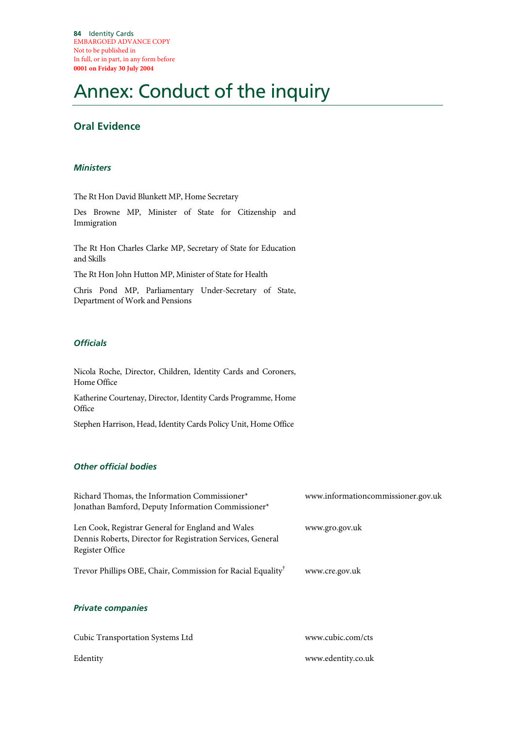# Annex: Conduct of the inquiry

# **Oral Evidence**

### *Ministers*

The Rt Hon David Blunkett MP, Home Secretary

Des Browne MP, Minister of State for Citizenship and Immigration

The Rt Hon Charles Clarke MP, Secretary of State for Education and Skills

The Rt Hon John Hutton MP, Minister of State for Health

Chris Pond MP, Parliamentary Under-Secretary of State, Department of Work and Pensions

### *Officials*

Nicola Roche, Director, Children, Identity Cards and Coroners, Home Office

Katherine Courtenay, Director, Identity Cards Programme, Home **Office** 

Stephen Harrison, Head, Identity Cards Policy Unit, Home Office

### *Other official bodies*

| Richard Thomas, the Information Commissioner*                                                                                       | www.informationcommissioner.gov.uk |
|-------------------------------------------------------------------------------------------------------------------------------------|------------------------------------|
| Jonathan Bamford, Deputy Information Commissioner*                                                                                  |                                    |
| Len Cook, Registrar General for England and Wales<br>Dennis Roberts, Director for Registration Services, General<br>Register Office | www.gro.gov.uk                     |
| Trevor Phillips OBE, Chair, Commission for Racial Equality <sup>†</sup>                                                             | www.cre.gov.uk                     |
| <b>Private companies</b>                                                                                                            |                                    |

Cubic Transportation Systems Ltd www.cubic.com/cts Edentity www.edentity.co.uk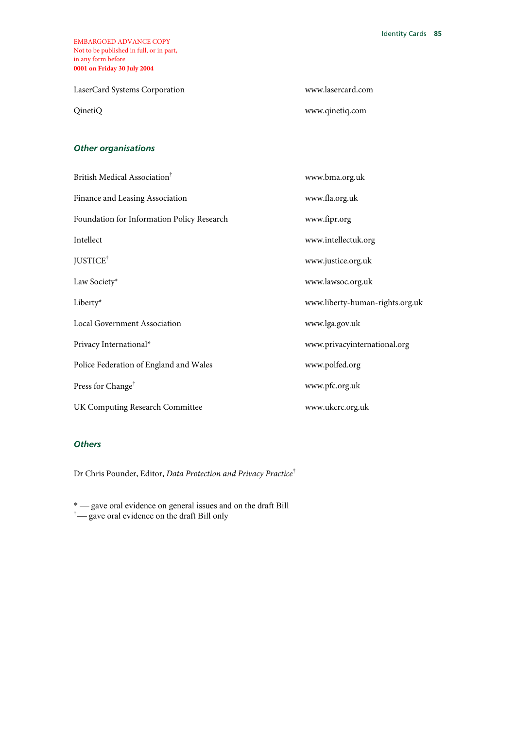LaserCard Systems Corporation www.lasercard.com

QinetiQ www.qinetiq.com

### *Other organisations*

| British Medical Association <sup>†</sup>   | www.bma.org.uk                  |
|--------------------------------------------|---------------------------------|
| Finance and Leasing Association            | www.fla.org.uk                  |
| Foundation for Information Policy Research | www.fipr.org                    |
| Intellect                                  | www.intellectuk.org             |
| JUSTICE <sup>†</sup>                       | www.justice.org.uk              |
| Law Society*                               | www.lawsoc.org.uk               |
| Liberty*                                   | www.liberty-human-rights.org.uk |
| Local Government Association               | www.lga.gov.uk                  |
| Privacy International*                     | www.privacyinternational.org    |
| Police Federation of England and Wales     | www.polfed.org                  |
| Press for Change <sup>†</sup>              | www.pfc.org.uk                  |
| UK Computing Research Committee            | www.ukcrc.org.uk                |

### *Others*

Dr Chris Pounder, Editor, *Data Protection and Privacy Practice*†

\* - gave oral evidence on general issues and on the draft Bill

 $\dagger$  gave oral evidence on the draft Bill only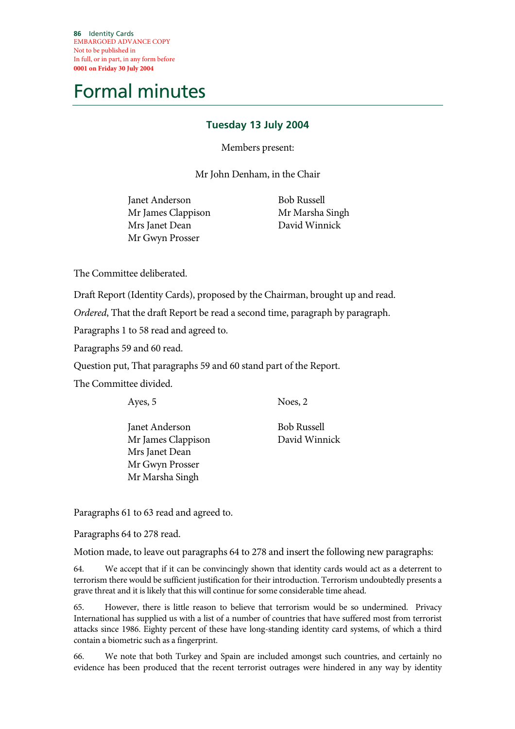**86** Identity Cards EMBARGOED ADVANCE COPY Not to be published in In full, or in part, in any form before **0001 on Friday 30 July 2004**

# Formal minutes

# **Tuesday 13 July 2004**

Members present:

Mr John Denham, in the Chair

Janet Anderson Mr James Clappison Mrs Janet Dean Mr Gwyn Prosser

 Bob Russell Mr Marsha Singh David Winnick

The Committee deliberated.

Draft Report (Identity Cards), proposed by the Chairman, brought up and read.

*Ordered*, That the draft Report be read a second time, paragraph by paragraph.

Paragraphs 1 to 58 read and agreed to.

Paragraphs 59 and 60 read.

Question put, That paragraphs 59 and 60 stand part of the Report.

The Committee divided.

Ayes, 5

Noes, 2

Janet Anderson Mr James Clappison Mrs Janet Dean Mr Gwyn Prosser Mr Marsha Singh

Bob Russell David Winnick

Paragraphs 61 to 63 read and agreed to.

Paragraphs 64 to 278 read.

Motion made, to leave out paragraphs 64 to 278 and insert the following new paragraphs:

64. We accept that if it can be convincingly shown that identity cards would act as a deterrent to terrorism there would be sufficient justification for their introduction. Terrorism undoubtedly presents a grave threat and it is likely that this will continue for some considerable time ahead.

65. However, there is little reason to believe that terrorism would be so undermined. Privacy International has supplied us with a list of a number of countries that have suffered most from terrorist attacks since 1986. Eighty percent of these have long-standing identity card systems, of which a third contain a biometric such as a fingerprint.

66. We note that both Turkey and Spain are included amongst such countries, and certainly no evidence has been produced that the recent terrorist outrages were hindered in any way by identity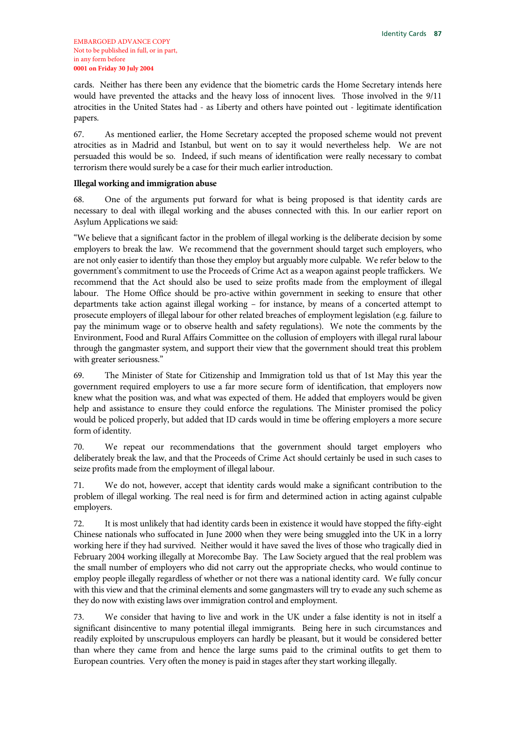cards. Neither has there been any evidence that the biometric cards the Home Secretary intends here would have prevented the attacks and the heavy loss of innocent lives. Those involved in the 9/11 atrocities in the United States had - as Liberty and others have pointed out - legitimate identification papers.

67. As mentioned earlier, the Home Secretary accepted the proposed scheme would not prevent atrocities as in Madrid and Istanbul, but went on to say it would nevertheless help. We are not persuaded this would be so. Indeed, if such means of identification were really necessary to combat terrorism there would surely be a case for their much earlier introduction.

#### **Illegal working and immigration abuse**

68. One of the arguments put forward for what is being proposed is that identity cards are necessary to deal with illegal working and the abuses connected with this. In our earlier report on Asylum Applications we said:

"We believe that a significant factor in the problem of illegal working is the deliberate decision by some employers to break the law. We recommend that the government should target such employers, who are not only easier to identify than those they employ but arguably more culpable. We refer below to the government's commitment to use the Proceeds of Crime Act as a weapon against people traffickers. We recommend that the Act should also be used to seize profits made from the employment of illegal labour. The Home Office should be pro-active within government in seeking to ensure that other departments take action against illegal working – for instance, by means of a concerted attempt to prosecute employers of illegal labour for other related breaches of employment legislation (e.g. failure to pay the minimum wage or to observe health and safety regulations). We note the comments by the Environment, Food and Rural Affairs Committee on the collusion of employers with illegal rural labour through the gangmaster system, and support their view that the government should treat this problem with greater seriousness."

69. The Minister of State for Citizenship and Immigration told us that of 1st May this year the government required employers to use a far more secure form of identification, that employers now knew what the position was, and what was expected of them. He added that employers would be given help and assistance to ensure they could enforce the regulations. The Minister promised the policy would be policed properly, but added that ID cards would in time be offering employers a more secure form of identity.

70. We repeat our recommendations that the government should target employers who deliberately break the law, and that the Proceeds of Crime Act should certainly be used in such cases to seize profits made from the employment of illegal labour.

71. We do not, however, accept that identity cards would make a significant contribution to the problem of illegal working. The real need is for firm and determined action in acting against culpable employers.

72. It is most unlikely that had identity cards been in existence it would have stopped the fifty-eight Chinese nationals who suffocated in June 2000 when they were being smuggled into the UK in a lorry working here if they had survived. Neither would it have saved the lives of those who tragically died in February 2004 working illegally at Morecombe Bay. The Law Society argued that the real problem was the small number of employers who did not carry out the appropriate checks, who would continue to employ people illegally regardless of whether or not there was a national identity card. We fully concur with this view and that the criminal elements and some gangmasters will try to evade any such scheme as they do now with existing laws over immigration control and employment.

73. We consider that having to live and work in the UK under a false identity is not in itself a significant disincentive to many potential illegal immigrants. Being here in such circumstances and readily exploited by unscrupulous employers can hardly be pleasant, but it would be considered better than where they came from and hence the large sums paid to the criminal outfits to get them to European countries. Very often the money is paid in stages after they start working illegally.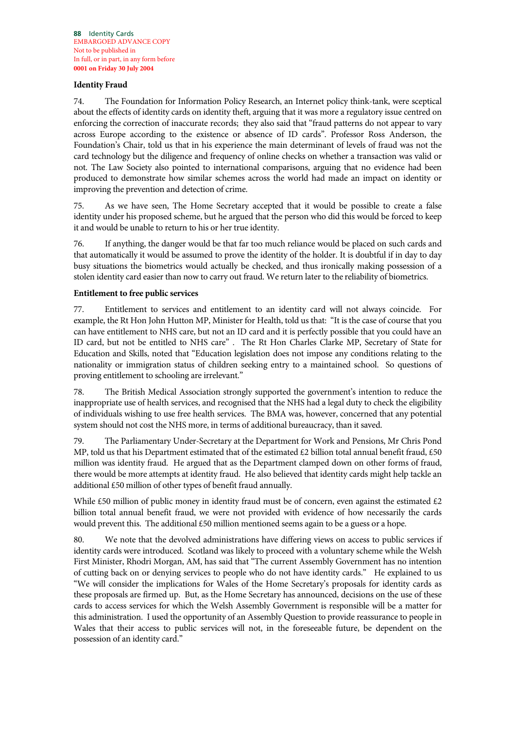### **Identity Fraud**

74. The Foundation for Information Policy Research, an Internet policy think-tank, were sceptical about the effects of identity cards on identity theft, arguing that it was more a regulatory issue centred on enforcing the correction of inaccurate records; they also said that "fraud patterns do not appear to vary across Europe according to the existence or absence of ID cards". Professor Ross Anderson, the Foundation's Chair, told us that in his experience the main determinant of levels of fraud was not the card technology but the diligence and frequency of online checks on whether a transaction was valid or not. The Law Society also pointed to international comparisons, arguing that no evidence had been produced to demonstrate how similar schemes across the world had made an impact on identity or improving the prevention and detection of crime.

75. As we have seen, The Home Secretary accepted that it would be possible to create a false identity under his proposed scheme, but he argued that the person who did this would be forced to keep it and would be unable to return to his or her true identity.

76. If anything, the danger would be that far too much reliance would be placed on such cards and that automatically it would be assumed to prove the identity of the holder. It is doubtful if in day to day busy situations the biometrics would actually be checked, and thus ironically making possession of a stolen identity card easier than now to carry out fraud. We return later to the reliability of biometrics.

### **Entitlement to free public services**

77. Entitlement to services and entitlement to an identity card will not always coincide. For example, the Rt Hon John Hutton MP, Minister for Health, told us that: "It is the case of course that you can have entitlement to NHS care, but not an ID card and it is perfectly possible that you could have an ID card, but not be entitled to NHS care" . The Rt Hon Charles Clarke MP, Secretary of State for Education and Skills, noted that "Education legislation does not impose any conditions relating to the nationality or immigration status of children seeking entry to a maintained school. So questions of proving entitlement to schooling are irrelevant."

78. The British Medical Association strongly supported the government's intention to reduce the inappropriate use of health services, and recognised that the NHS had a legal duty to check the eligibility of individuals wishing to use free health services. The BMA was, however, concerned that any potential system should not cost the NHS more, in terms of additional bureaucracy, than it saved.

79. The Parliamentary Under-Secretary at the Department for Work and Pensions, Mr Chris Pond MP, told us that his Department estimated that of the estimated £2 billion total annual benefit fraud, £50 million was identity fraud. He argued that as the Department clamped down on other forms of fraud, there would be more attempts at identity fraud. He also believed that identity cards might help tackle an additional £50 million of other types of benefit fraud annually.

While £50 million of public money in identity fraud must be of concern, even against the estimated £2 billion total annual benefit fraud, we were not provided with evidence of how necessarily the cards would prevent this. The additional £50 million mentioned seems again to be a guess or a hope.

80. We note that the devolved administrations have differing views on access to public services if identity cards were introduced. Scotland was likely to proceed with a voluntary scheme while the Welsh First Minister, Rhodri Morgan, AM, has said that "The current Assembly Government has no intention of cutting back on or denying services to people who do not have identity cards." He explained to us "We will consider the implications for Wales of the Home Secretary's proposals for identity cards as these proposals are firmed up. But, as the Home Secretary has announced, decisions on the use of these cards to access services for which the Welsh Assembly Government is responsible will be a matter for this administration. I used the opportunity of an Assembly Question to provide reassurance to people in Wales that their access to public services will not, in the foreseeable future, be dependent on the possession of an identity card."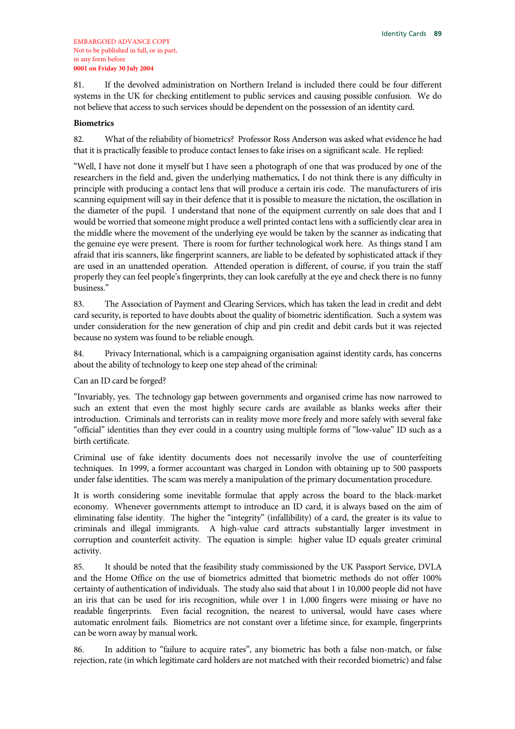81. If the devolved administration on Northern Ireland is included there could be four different systems in the UK for checking entitlement to public services and causing possible confusion. We do not believe that access to such services should be dependent on the possession of an identity card.

#### **Biometrics**

82. What of the reliability of biometrics? Professor Ross Anderson was asked what evidence he had that it is practically feasible to produce contact lenses to fake irises on a significant scale. He replied:

"Well, I have not done it myself but I have seen a photograph of one that was produced by one of the researchers in the field and, given the underlying mathematics, I do not think there is any difficulty in principle with producing a contact lens that will produce a certain iris code. The manufacturers of iris scanning equipment will say in their defence that it is possible to measure the nictation, the oscillation in the diameter of the pupil. I understand that none of the equipment currently on sale does that and I would be worried that someone might produce a well printed contact lens with a sufficiently clear area in the middle where the movement of the underlying eye would be taken by the scanner as indicating that the genuine eye were present. There is room for further technological work here. As things stand I am afraid that iris scanners, like fingerprint scanners, are liable to be defeated by sophisticated attack if they are used in an unattended operation. Attended operation is different, of course, if you train the staff properly they can feel people's fingerprints, they can look carefully at the eye and check there is no funny business."

83. The Association of Payment and Clearing Services, which has taken the lead in credit and debt card security, is reported to have doubts about the quality of biometric identification. Such a system was under consideration for the new generation of chip and pin credit and debit cards but it was rejected because no system was found to be reliable enough.

84. Privacy International, which is a campaigning organisation against identity cards, has concerns about the ability of technology to keep one step ahead of the criminal:

Can an ID card be forged?

"Invariably, yes. The technology gap between governments and organised crime has now narrowed to such an extent that even the most highly secure cards are available as blanks weeks after their introduction. Criminals and terrorists can in reality move more freely and more safely with several fake "official" identities than they ever could in a country using multiple forms of "low-value" ID such as a birth certificate.

Criminal use of fake identity documents does not necessarily involve the use of counterfeiting techniques. In 1999, a former accountant was charged in London with obtaining up to 500 passports under false identities. The scam was merely a manipulation of the primary documentation procedure.

It is worth considering some inevitable formulae that apply across the board to the black-market economy. Whenever governments attempt to introduce an ID card, it is always based on the aim of eliminating false identity. The higher the "integrity" (infallibility) of a card, the greater is its value to criminals and illegal immigrants. A high-value card attracts substantially larger investment in corruption and counterfeit activity. The equation is simple: higher value ID equals greater criminal activity.

85. It should be noted that the feasibility study commissioned by the UK Passport Service, DVLA and the Home Office on the use of biometrics admitted that biometric methods do not offer 100% certainty of authentication of individuals. The study also said that about 1 in 10,000 people did not have an iris that can be used for iris recognition, while over 1 in 1,000 fingers were missing or have no readable fingerprints. Even facial recognition, the nearest to universal, would have cases where automatic enrolment fails. Biometrics are not constant over a lifetime since, for example, fingerprints can be worn away by manual work.

86. In addition to "failure to acquire rates", any biometric has both a false non-match, or false rejection, rate (in which legitimate card holders are not matched with their recorded biometric) and false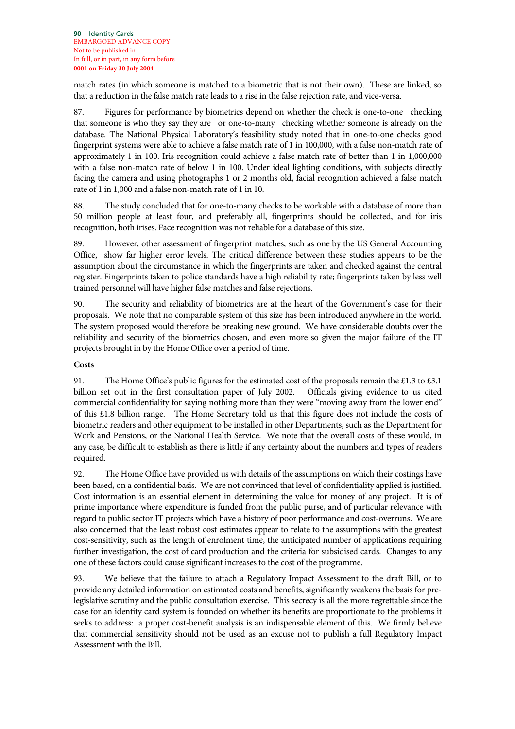match rates (in which someone is matched to a biometric that is not their own). These are linked, so that a reduction in the false match rate leads to a rise in the false rejection rate, and vice-versa.

87. Figures for performance by biometrics depend on whether the check is one-to-one checking that someone is who they say they are or one-to-many checking whether someone is already on the database. The National Physical Laboratory's feasibility study noted that in one-to-one checks good fingerprint systems were able to achieve a false match rate of 1 in 100,000, with a false non-match rate of approximately 1 in 100. Iris recognition could achieve a false match rate of better than 1 in 1,000,000 with a false non-match rate of below 1 in 100. Under ideal lighting conditions, with subjects directly facing the camera and using photographs 1 or 2 months old, facial recognition achieved a false match rate of 1 in 1,000 and a false non-match rate of 1 in 10.

88. The study concluded that for one-to-many checks to be workable with a database of more than 50 million people at least four, and preferably all, fingerprints should be collected, and for iris recognition, both irises. Face recognition was not reliable for a database of this size.

89. However, other assessment of fingerprint matches, such as one by the US General Accounting Office, show far higher error levels. The critical difference between these studies appears to be the assumption about the circumstance in which the fingerprints are taken and checked against the central register. Fingerprints taken to police standards have a high reliability rate; fingerprints taken by less well trained personnel will have higher false matches and false rejections.

90. The security and reliability of biometrics are at the heart of the Government's case for their proposals. We note that no comparable system of this size has been introduced anywhere in the world. The system proposed would therefore be breaking new ground. We have considerable doubts over the reliability and security of the biometrics chosen, and even more so given the major failure of the IT projects brought in by the Home Office over a period of time.

### **Costs**

91. The Home Office's public figures for the estimated cost of the proposals remain the £1.3 to £3.1 billion set out in the first consultation paper of July 2002. Officials giving evidence to us cited commercial confidentiality for saying nothing more than they were "moving away from the lower end" of this £1.8 billion range. The Home Secretary told us that this figure does not include the costs of biometric readers and other equipment to be installed in other Departments, such as the Department for Work and Pensions, or the National Health Service. We note that the overall costs of these would, in any case, be difficult to establish as there is little if any certainty about the numbers and types of readers required.

92. The Home Office have provided us with details of the assumptions on which their costings have been based, on a confidential basis. We are not convinced that level of confidentiality applied is justified. Cost information is an essential element in determining the value for money of any project. It is of prime importance where expenditure is funded from the public purse, and of particular relevance with regard to public sector IT projects which have a history of poor performance and cost-overruns. We are also concerned that the least robust cost estimates appear to relate to the assumptions with the greatest cost-sensitivity, such as the length of enrolment time, the anticipated number of applications requiring further investigation, the cost of card production and the criteria for subsidised cards. Changes to any one of these factors could cause significant increases to the cost of the programme.

93. We believe that the failure to attach a Regulatory Impact Assessment to the draft Bill, or to provide any detailed information on estimated costs and benefits, significantly weakens the basis for prelegislative scrutiny and the public consultation exercise. This secrecy is all the more regrettable since the case for an identity card system is founded on whether its benefits are proportionate to the problems it seeks to address: a proper cost-benefit analysis is an indispensable element of this. We firmly believe that commercial sensitivity should not be used as an excuse not to publish a full Regulatory Impact Assessment with the Bill.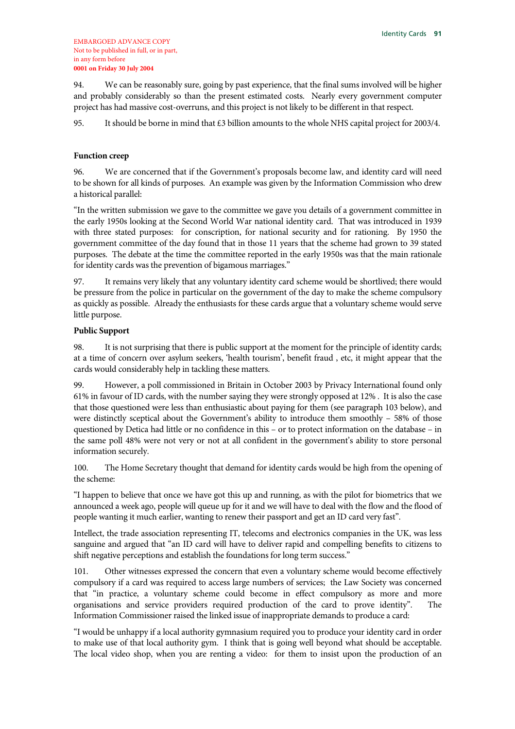94. We can be reasonably sure, going by past experience, that the final sums involved will be higher and probably considerably so than the present estimated costs. Nearly every government computer project has had massive cost-overruns, and this project is not likely to be different in that respect.

95. It should be borne in mind that £3 billion amounts to the whole NHS capital project for 2003/4.

#### **Function creep**

96. We are concerned that if the Government's proposals become law, and identity card will need to be shown for all kinds of purposes. An example was given by the Information Commission who drew a historical parallel:

"In the written submission we gave to the committee we gave you details of a government committee in the early 1950s looking at the Second World War national identity card. That was introduced in 1939 with three stated purposes: for conscription, for national security and for rationing. By 1950 the government committee of the day found that in those 11 years that the scheme had grown to 39 stated purposes. The debate at the time the committee reported in the early 1950s was that the main rationale for identity cards was the prevention of bigamous marriages."

97. It remains very likely that any voluntary identity card scheme would be shortlived; there would be pressure from the police in particular on the government of the day to make the scheme compulsory as quickly as possible. Already the enthusiasts for these cards argue that a voluntary scheme would serve little purpose.

#### **Public Support**

98. It is not surprising that there is public support at the moment for the principle of identity cards; at a time of concern over asylum seekers, 'health tourism', benefit fraud , etc, it might appear that the cards would considerably help in tackling these matters.

99. However, a poll commissioned in Britain in October 2003 by Privacy International found only 61% in favour of ID cards, with the number saying they were strongly opposed at 12% . It is also the case that those questioned were less than enthusiastic about paying for them (see paragraph 103 below), and were distinctly sceptical about the Government's ability to introduce them smoothly – 58% of those questioned by Detica had little or no confidence in this – or to protect information on the database – in the same poll 48% were not very or not at all confident in the government's ability to store personal information securely.

100. The Home Secretary thought that demand for identity cards would be high from the opening of the scheme:

"I happen to believe that once we have got this up and running, as with the pilot for biometrics that we announced a week ago, people will queue up for it and we will have to deal with the flow and the flood of people wanting it much earlier, wanting to renew their passport and get an ID card very fast".

Intellect, the trade association representing IT, telecoms and electronics companies in the UK, was less sanguine and argued that "an ID card will have to deliver rapid and compelling benefits to citizens to shift negative perceptions and establish the foundations for long term success."

101. Other witnesses expressed the concern that even a voluntary scheme would become effectively compulsory if a card was required to access large numbers of services; the Law Society was concerned that "in practice, a voluntary scheme could become in effect compulsory as more and more organisations and service providers required production of the card to prove identity". The Information Commissioner raised the linked issue of inappropriate demands to produce a card:

"I would be unhappy if a local authority gymnasium required you to produce your identity card in order to make use of that local authority gym. I think that is going well beyond what should be acceptable. The local video shop, when you are renting a video: for them to insist upon the production of an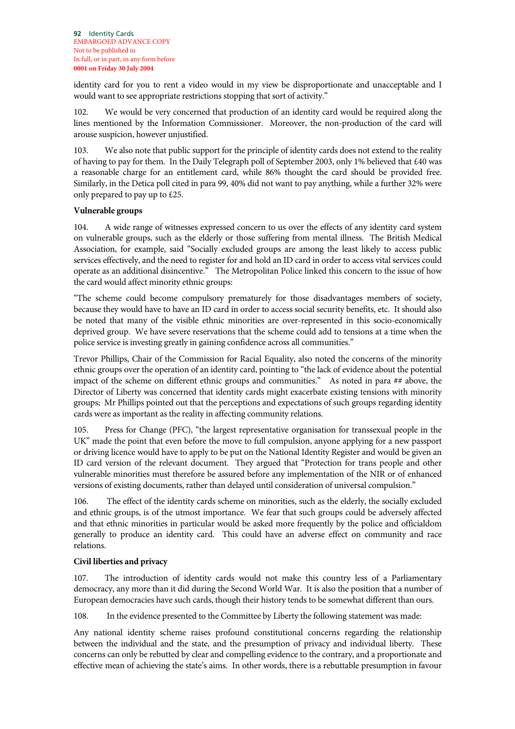identity card for you to rent a video would in my view be disproportionate and unacceptable and I would want to see appropriate restrictions stopping that sort of activity."

102. We would be very concerned that production of an identity card would be required along the lines mentioned by the Information Commissioner. Moreover, the non-production of the card will arouse suspicion, however unjustified.

103. We also note that public support for the principle of identity cards does not extend to the reality of having to pay for them. In the Daily Telegraph poll of September 2003, only 1% believed that £40 was a reasonable charge for an entitlement card, while 86% thought the card should be provided free. Similarly, in the Detica poll cited in para 99, 40% did not want to pay anything, while a further 32% were only prepared to pay up to £25.

### **Vulnerable groups**

104. A wide range of witnesses expressed concern to us over the effects of any identity card system on vulnerable groups, such as the elderly or those suffering from mental illness. The British Medical Association, for example, said "Socially excluded groups are among the least likely to access public services effectively, and the need to register for and hold an ID card in order to access vital services could operate as an additional disincentive." The Metropolitan Police linked this concern to the issue of how the card would affect minority ethnic groups:

"The scheme could become compulsory prematurely for those disadvantages members of society, because they would have to have an ID card in order to access social security benefits, etc. It should also be noted that many of the visible ethnic minorities are over-represented in this socio-economically deprived group. We have severe reservations that the scheme could add to tensions at a time when the police service is investing greatly in gaining confidence across all communities."

Trevor Phillips, Chair of the Commission for Racial Equality, also noted the concerns of the minority ethnic groups over the operation of an identity card, pointing to "the lack of evidence about the potential impact of the scheme on different ethnic groups and communities." As noted in para ## above, the Director of Liberty was concerned that identity cards might exacerbate existing tensions with minority groups; Mr Phillips pointed out that the perceptions and expectations of such groups regarding identity cards were as important as the reality in affecting community relations.

105. Press for Change (PFC), "the largest representative organisation for transsexual people in the UK" made the point that even before the move to full compulsion, anyone applying for a new passport or driving licence would have to apply to be put on the National Identity Register and would be given an ID card version of the relevant document. They argued that "Protection for trans people and other vulnerable minorities must therefore be assured before any implementation of the NIR or of enhanced versions of existing documents, rather than delayed until consideration of universal compulsion."

106. The effect of the identity cards scheme on minorities, such as the elderly, the socially excluded and ethnic groups, is of the utmost importance. We fear that such groups could be adversely affected and that ethnic minorities in particular would be asked more frequently by the police and officialdom generally to produce an identity card. This could have an adverse effect on community and race relations.

### **Civil liberties and privacy**

107. The introduction of identity cards would not make this country less of a Parliamentary democracy, any more than it did during the Second World War. It is also the position that a number of European democracies have such cards, though their history tends to be somewhat different than ours.

108. In the evidence presented to the Committee by Liberty the following statement was made:

Any national identity scheme raises profound constitutional concerns regarding the relationship between the individual and the state, and the presumption of privacy and individual liberty. These concerns can only be rebutted by clear and compelling evidence to the contrary, and a proportionate and effective mean of achieving the state's aims. In other words, there is a rebuttable presumption in favour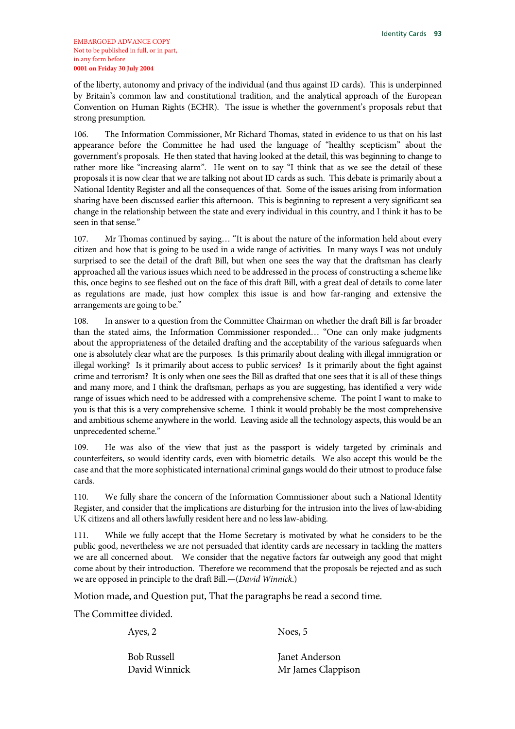of the liberty, autonomy and privacy of the individual (and thus against ID cards). This is underpinned by Britain's common law and constitutional tradition, and the analytical approach of the European Convention on Human Rights (ECHR). The issue is whether the government's proposals rebut that strong presumption.

106. The Information Commissioner, Mr Richard Thomas, stated in evidence to us that on his last appearance before the Committee he had used the language of "healthy scepticism" about the government's proposals. He then stated that having looked at the detail, this was beginning to change to rather more like "increasing alarm". He went on to say "I think that as we see the detail of these proposals it is now clear that we are talking not about ID cards as such. This debate is primarily about a National Identity Register and all the consequences of that. Some of the issues arising from information sharing have been discussed earlier this afternoon. This is beginning to represent a very significant sea change in the relationship between the state and every individual in this country, and I think it has to be seen in that sense."

107. Mr Thomas continued by saying… "It is about the nature of the information held about every citizen and how that is going to be used in a wide range of activities. In many ways I was not unduly surprised to see the detail of the draft Bill, but when one sees the way that the draftsman has clearly approached all the various issues which need to be addressed in the process of constructing a scheme like this, once begins to see fleshed out on the face of this draft Bill, with a great deal of details to come later as regulations are made, just how complex this issue is and how far-ranging and extensive the arrangements are going to be."

108. In answer to a question from the Committee Chairman on whether the draft Bill is far broader than the stated aims, the Information Commissioner responded… "One can only make judgments about the appropriateness of the detailed drafting and the acceptability of the various safeguards when one is absolutely clear what are the purposes. Is this primarily about dealing with illegal immigration or illegal working? Is it primarily about access to public services? Is it primarily about the fight against crime and terrorism? It is only when one sees the Bill as drafted that one sees that it is all of these things and many more, and I think the draftsman, perhaps as you are suggesting, has identified a very wide range of issues which need to be addressed with a comprehensive scheme. The point I want to make to you is that this is a very comprehensive scheme. I think it would probably be the most comprehensive and ambitious scheme anywhere in the world. Leaving aside all the technology aspects, this would be an unprecedented scheme."

109. He was also of the view that just as the passport is widely targeted by criminals and counterfeiters, so would identity cards, even with biometric details. We also accept this would be the case and that the more sophisticated international criminal gangs would do their utmost to produce false cards.

110. We fully share the concern of the Information Commissioner about such a National Identity Register, and consider that the implications are disturbing for the intrusion into the lives of law-abiding UK citizens and all others lawfully resident here and no less law-abiding.

111. While we fully accept that the Home Secretary is motivated by what he considers to be the public good, nevertheless we are not persuaded that identity cards are necessary in tackling the matters we are all concerned about. We consider that the negative factors far outweigh any good that might come about by their introduction. Therefore we recommend that the proposals be rejected and as such we are opposed in principle to the draft Bill.—(*David Winnick*.)

Motion made, and Question put, That the paragraphs be read a second time.

The Committee divided.

Ayes, 2

Noes, 5

Bob Russell David Winnick Janet Anderson Mr James Clappison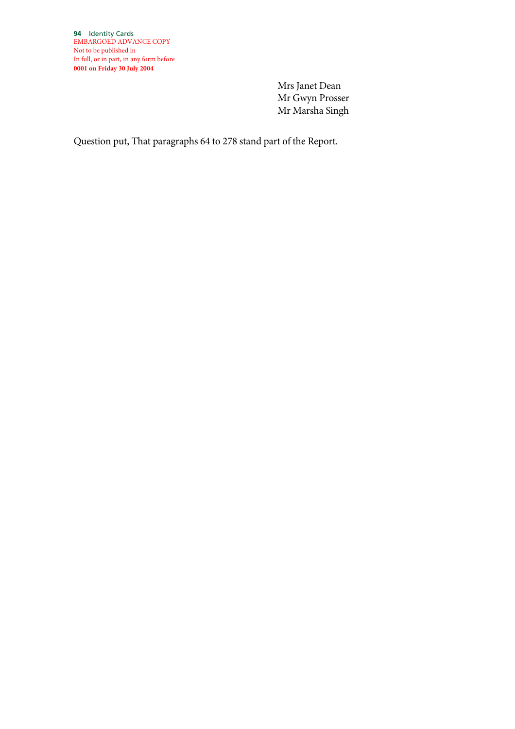Mrs Janet Dean Mr Gwyn Prosser Mr Marsha Singh

Question put, That paragraphs 64 to 278 stand part of the Report.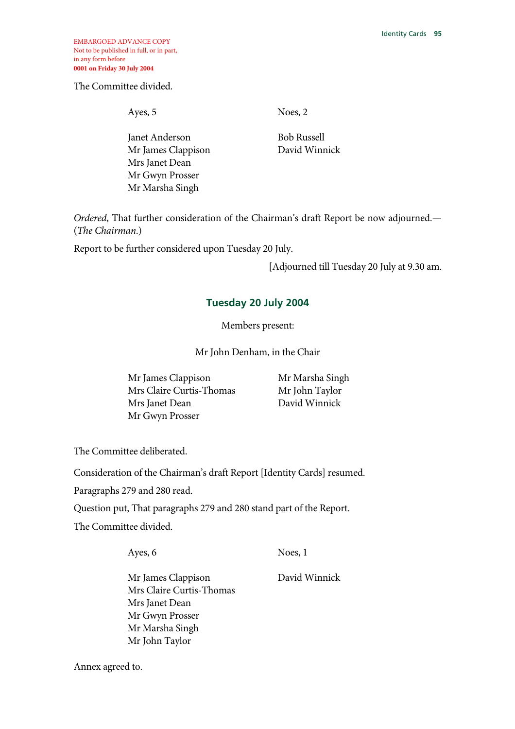EMBARGOED ADVANCE COPY Not to be published in full, or in part, in any form before **0001 on Friday 30 July 2004** 

The Committee divided.

Ayes, 5

Janet Anderson Mr James Clappison Mrs Janet Dean Mr Gwyn Prosser Mr Marsha Singh

Noes, 2

Bob Russell David Winnick

*Ordered*, That further consideration of the Chairman's draft Report be now adjourned.— (*The Chairman*.)

Report to be further considered upon Tuesday 20 July.

[Adjourned till Tuesday 20 July at 9.30 am.

### **Tuesday 20 July 2004**

Members present:

Mr John Denham, in the Chair

Mr James Clappison Mrs Claire Curtis-Thomas Mrs Janet Dean Mr Gwyn Prosser

 Mr Marsha Singh Mr John Taylor David Winnick

The Committee deliberated.

Consideration of the Chairman's draft Report [Identity Cards] resumed.

Paragraphs 279 and 280 read.

Question put, That paragraphs 279 and 280 stand part of the Report.

The Committee divided.

Ayes, 6

Noes, 1

David Winnick

Mr James Clappison Mrs Claire Curtis-Thomas Mrs Janet Dean Mr Gwyn Prosser Mr Marsha Singh Mr John Taylor

Annex agreed to.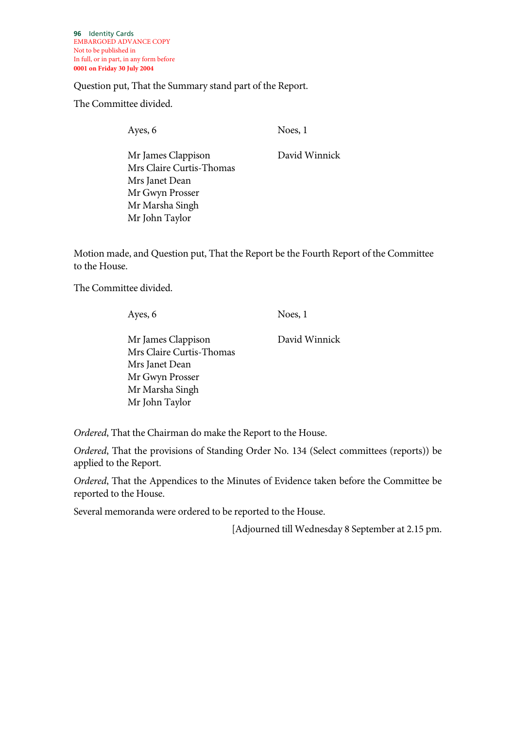**96** Identity Cards EMBARGOED ADVANCE COPY Not to be published in In full, or in part, in any form before **0001 on Friday 30 July 2004**

Question put, That the Summary stand part of the Report.

The Committee divided.

Ayes, 6

Noes, 1

Mr James Clappison Mrs Claire Curtis-Thomas Mrs Janet Dean Mr Gwyn Prosser Mr Marsha Singh Mr John Taylor

David Winnick

Motion made, and Question put, That the Report be the Fourth Report of the Committee to the House.

The Committee divided.

Ayes, 6

Noes, 1

Mr James Clappison Mrs Claire Curtis-Thomas Mrs Janet Dean Mr Gwyn Prosser Mr Marsha Singh Mr John Taylor David Winnick

*Ordered*, That the Chairman do make the Report to the House.

*Ordered*, That the provisions of Standing Order No. 134 (Select committees (reports)) be applied to the Report.

*Ordered*, That the Appendices to the Minutes of Evidence taken before the Committee be reported to the House.

Several memoranda were ordered to be reported to the House.

[Adjourned till Wednesday 8 September at 2.15 pm.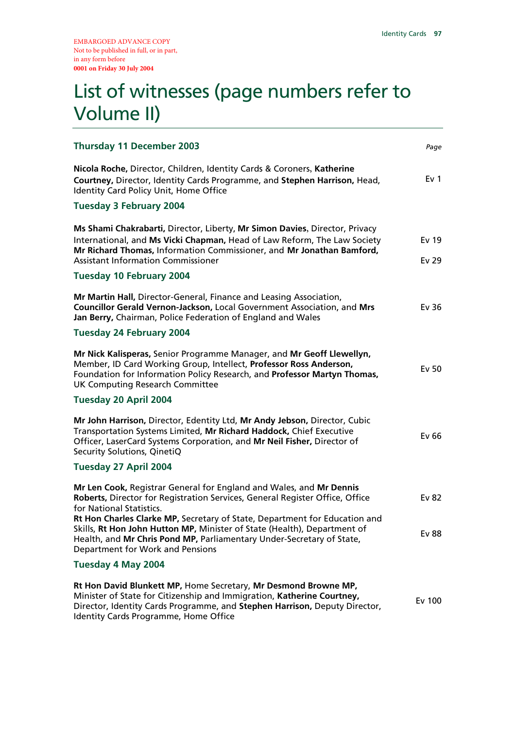# List of witnesses (page numbers refer to Volume II)

| <b>Thursday 11 December 2003</b>                                                                                                                                                                                                                                              | Page                      |
|-------------------------------------------------------------------------------------------------------------------------------------------------------------------------------------------------------------------------------------------------------------------------------|---------------------------|
| Nicola Roche, Director, Children, Identity Cards & Coroners, Katherine<br>Courtney, Director, Identity Cards Programme, and Stephen Harrison, Head,<br>Identity Card Policy Unit, Home Office                                                                                 | Ev <sub>1</sub>           |
| <b>Tuesday 3 February 2004</b>                                                                                                                                                                                                                                                |                           |
| Ms Shami Chakrabarti, Director, Liberty, Mr Simon Davies, Director, Privacy<br>International, and Ms Vicki Chapman, Head of Law Reform, The Law Society<br>Mr Richard Thomas, Information Commissioner, and Mr Jonathan Bamford,<br><b>Assistant Information Commissioner</b> | Ev 19<br>Ev <sub>29</sub> |
| <b>Tuesday 10 February 2004</b>                                                                                                                                                                                                                                               |                           |
| Mr Martin Hall, Director-General, Finance and Leasing Association,<br>Councillor Gerald Vernon-Jackson, Local Government Association, and Mrs<br>Jan Berry, Chairman, Police Federation of England and Wales                                                                  | Ev 36                     |
| <b>Tuesday 24 February 2004</b>                                                                                                                                                                                                                                               |                           |
| Mr Nick Kalisperas, Senior Programme Manager, and Mr Geoff Llewellyn,<br>Member, ID Card Working Group, Intellect, Professor Ross Anderson,<br>Foundation for Information Policy Research, and Professor Martyn Thomas,<br><b>UK Computing Research Committee</b>             | Ev 50                     |
| Tuesday 20 April 2004                                                                                                                                                                                                                                                         |                           |
| Mr John Harrison, Director, Edentity Ltd, Mr Andy Jebson, Director, Cubic<br>Transportation Systems Limited, Mr Richard Haddock, Chief Executive<br>Officer, LaserCard Systems Corporation, and Mr Neil Fisher, Director of<br>Security Solutions, QinetiQ                    | Ev 66                     |
| Tuesday 27 April 2004                                                                                                                                                                                                                                                         |                           |
| Mr Len Cook, Registrar General for England and Wales, and Mr Dennis<br>Roberts, Director for Registration Services, General Register Office, Office<br>for National Statistics.                                                                                               | Ev 82                     |
| Rt Hon Charles Clarke MP, Secretary of State, Department for Education and<br>Skills, Rt Hon John Hutton MP, Minister of State (Health), Department of<br>Health, and Mr Chris Pond MP, Parliamentary Under-Secretary of State,<br>Department for Work and Pensions           | <b>Ev 88</b>              |
| Tuesday 4 May 2004                                                                                                                                                                                                                                                            |                           |
| Rt Hon David Blunkett MP, Home Secretary, Mr Desmond Browne MP,<br>Minister of State for Citizenship and Immigration, Katherine Courtney,<br>Director, Identity Cards Programme, and Stephen Harrison, Deputy Director,<br>Identity Cards Programme, Home Office              | Ev 100                    |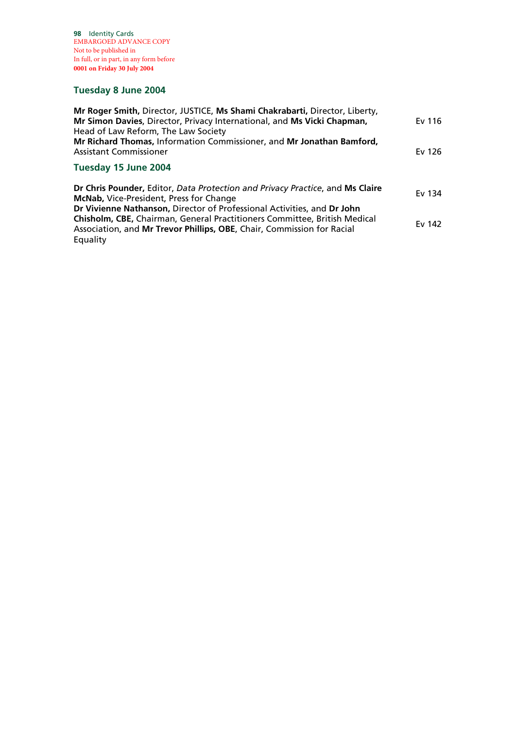**98** Identity Cards EMBARGOED ADVANCE COPY Not to be published in In full, or in part, in any form before **0001 on Friday 30 July 2004**

## **Tuesday 8 June 2004**

| Ev 116 |
|--------|
| Ev 126 |
|        |
| Ev 134 |
|        |
|        |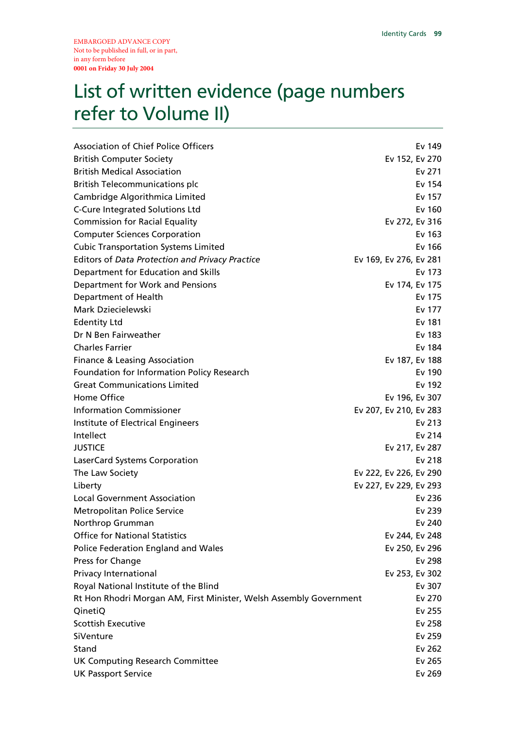# List of written evidence (page numbers refer to Volume II)

| <b>Association of Chief Police Officers</b>                        |                        | Ev 149         |
|--------------------------------------------------------------------|------------------------|----------------|
| <b>British Computer Society</b>                                    |                        | Ev 152, Ev 270 |
| <b>British Medical Association</b>                                 |                        | Ev 271         |
| <b>British Telecommunications plc</b>                              |                        | Ev 154         |
| Cambridge Algorithmica Limited                                     |                        | Ev 157         |
| <b>C-Cure Integrated Solutions Ltd</b>                             |                        | Ev 160         |
| <b>Commission for Racial Equality</b>                              |                        | Ev 272, Ev 316 |
| <b>Computer Sciences Corporation</b>                               |                        | Ev 163         |
| <b>Cubic Transportation Systems Limited</b>                        |                        | Ev 166         |
| <b>Editors of Data Protection and Privacy Practice</b>             | Ev 169, Ev 276, Ev 281 |                |
| Department for Education and Skills                                |                        | Ev 173         |
| Department for Work and Pensions                                   |                        | Ev 174, Ev 175 |
| Department of Health                                               |                        | Ev 175         |
| Mark Dziecielewski                                                 |                        | Ev 177         |
| <b>Edentity Ltd</b>                                                |                        | Ev 181         |
| Dr N Ben Fairweather                                               |                        | Ev 183         |
| <b>Charles Farrier</b>                                             |                        | Ev 184         |
| <b>Finance &amp; Leasing Association</b>                           |                        | Ev 187, Ev 188 |
| Foundation for Information Policy Research                         |                        | Ev 190         |
| <b>Great Communications Limited</b>                                |                        | Ev 192         |
| Home Office                                                        |                        | Ev 196, Ev 307 |
| <b>Information Commissioner</b>                                    | Ev 207, Ev 210, Ev 283 |                |
| Institute of Electrical Engineers                                  |                        | Ev 213         |
| Intellect                                                          |                        | Ev 214         |
| <b>JUSTICE</b>                                                     |                        | Ev 217, Ev 287 |
| LaserCard Systems Corporation                                      |                        | Ev 218         |
| The Law Society                                                    | Ev 222, Ev 226, Ev 290 |                |
| Liberty                                                            | Ev 227, Ev 229, Ev 293 |                |
| Local Government Association                                       |                        | Ev 236         |
| <b>Metropolitan Police Service</b>                                 |                        | Ev 239         |
| Northrop Grumman                                                   |                        | Ev 240         |
| <b>Office for National Statistics</b>                              |                        | Ev 244, Ev 248 |
| Police Federation England and Wales                                |                        | Ev 250, Ev 296 |
| Press for Change                                                   |                        | Ev 298         |
| Privacy International                                              |                        | Ev 253, Ev 302 |
| Royal National Institute of the Blind                              |                        | Ev 307         |
| Rt Hon Rhodri Morgan AM, First Minister, Welsh Assembly Government |                        | Ev 270         |
| QinetiQ                                                            |                        | Ev 255         |
| <b>Scottish Executive</b>                                          |                        | Ev 258         |
| SiVenture                                                          |                        | Ev 259         |
| Stand                                                              |                        | Ev 262         |
| <b>UK Computing Research Committee</b>                             |                        | Ev 265         |
| <b>UK Passport Service</b>                                         |                        | Ev 269         |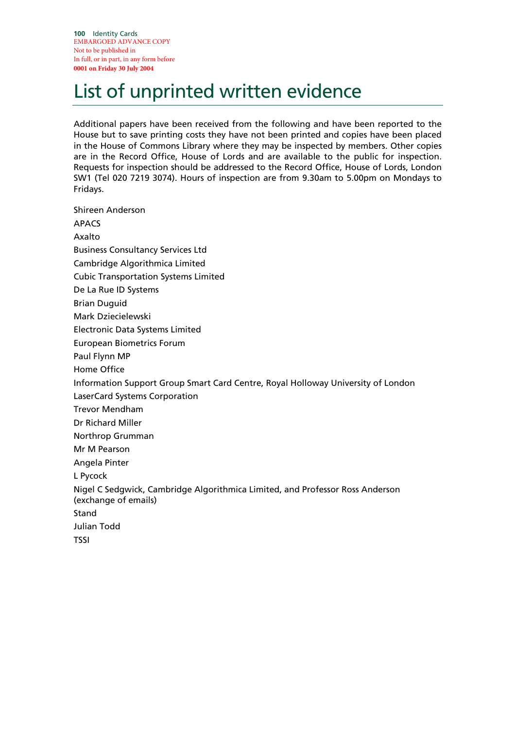**100** Identity Cards EMBARGOED ADVANCE COPY Not to be published in In full, or in part, in any form before **0001 on Friday 30 July 2004**

# List of unprinted written evidence

Additional papers have been received from the following and have been reported to the House but to save printing costs they have not been printed and copies have been placed in the House of Commons Library where they may be inspected by members. Other copies are in the Record Office, House of Lords and are available to the public for inspection. Requests for inspection should be addressed to the Record Office, House of Lords, London SW1 (Tel 020 7219 3074). Hours of inspection are from 9.30am to 5.00pm on Mondays to Fridays.

Shireen Anderson APACS Axalto Business Consultancy Services Ltd Cambridge Algorithmica Limited Cubic Transportation Systems Limited De La Rue ID Systems Brian Duguid Mark Dziecielewski Electronic Data Systems Limited European Biometrics Forum Paul Flynn MP Home Office Information Support Group Smart Card Centre, Royal Holloway University of London LaserCard Systems Corporation Trevor Mendham Dr Richard Miller Northrop Grumman Mr M Pearson Angela Pinter L Pycock Nigel C Sedgwick, Cambridge Algorithmica Limited, and Professor Ross Anderson (exchange of emails) Stand Julian Todd TSSI